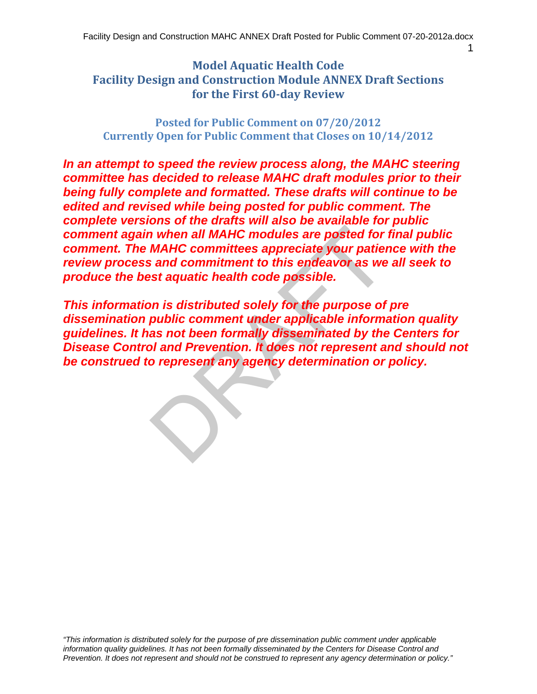1

## **Model Aquatic Health Code Facility Design and Construction Module ANNEX Draft Sections for the First 60‐day Review**

 **Posted for Public Comment on 07/20/2012 Currently Open for Public Comment that Closes on 10/14/2012**

*In an attempt to speed the review process along, the MAHC steering committee has decided to release MAHC draft modules prior to their being fully complete and formatted. These drafts will continue to be edited and revised while being posted for public comment. The complete versions of the drafts will also be available for public comment again when all MAHC modules are posted for final public comment. The MAHC committees appreciate your patience with the review process and commitment to this endeavor as we all seek to produce the best aquatic health code possible.* 

In when all MAHC modules are posted for<br>
MAHC committees appreciate your patients<br>
and commitment to this endeavor as we<br>
set aquatic health code possible.<br>
DRAFT is endeavor as we<br>
set aquatic health code possible.<br>
DRAFT *This information is distributed solely for the purpose of pre dissemination public comment under applicable information quality guidelines. It has not been formally disseminated by the Centers for Disease Control and Prevention. It does not represent and should not be construed to represent any agency determination or policy.*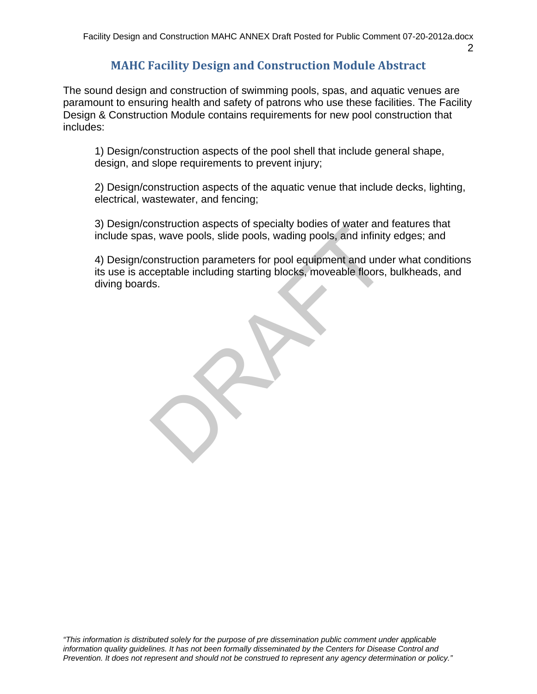# **MAHC Facility Design and Construction Module Abstract**

The sound design and construction of swimming pools, spas, and aquatic venues are paramount to ensuring health and safety of patrons who use these facilities. The Facility Design & Construction Module contains requirements for new pool construction that includes:

1) Design/construction aspects of the pool shell that include general shape, design, and slope requirements to prevent injury;

2) Design/construction aspects of the aquatic venue that include decks, lighting, electrical, wastewater, and fencing;

3) Design/construction aspects of specialty bodies of water and features that include spas, wave pools, slide pools, wading pools, and infinity edges; and

4) Design/construction parameters for pool equipment and under what conditions its use is acceptable including starting blocks, moveable floors, bulkheads, and diving boards.

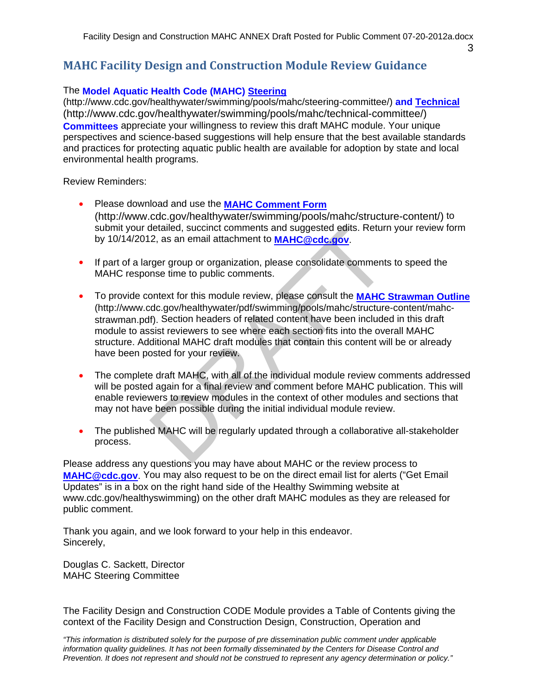3

## **MAHC Facility Design and Construction Module Review Guidance**

#### The **Model Aquatic Health Code (MAHC) Steering**

(http://www.cdc.gov/healthywater/swimming/pools/mahc/steering-committee/) **and Technical**  (http://www.cdc.gov/healthywater/swimming/pools/mahc/technical-committee/) **Committees** appreciate your willingness to review this draft MAHC module. Your unique perspectives and science-based suggestions will help ensure that the best available standards and practices for protecting aquatic public health are available for adoption by state and local environmental health programs.

Review Reminders:

- Please download and use the **MAHC Comment Form**  (http://www.cdc.gov/healthywater/swimming/pools/mahc/structure-content/) to submit your detailed, succinct comments and suggested edits. Return your review form by 10/14/2012, as an email attachment to **MAHC@cdc.gov**.
- If part of a larger group or organization, please consolidate comments to speed the MAHC response time to public comments.
- detailed, succinct comments and suggested edits. Return<br>2, as an email attachment to **MAHC@cdc.gov**.<br>1997 group or organization, please consolidate comments<br>1998 time to public comments.<br>
Sontext for this module review, pl To provide context for this module review, please consult the **MAHC Strawman Outline**  (http://www.cdc.gov/healthywater/pdf/swimming/pools/mahc/structure-content/mahcstrawman.pdf). Section headers of related content have been included in this draft module to assist reviewers to see where each section fits into the overall MAHC structure. Additional MAHC draft modules that contain this content will be or already have been posted for your review.
- The complete draft MAHC, with all of the individual module review comments addressed will be posted again for a final review and comment before MAHC publication. This will enable reviewers to review modules in the context of other modules and sections that may not have been possible during the initial individual module review.
- The published MAHC will be regularly updated through a collaborative all-stakeholder process.

Please address any questions you may have about MAHC or the review process to **MAHC@cdc.gov**. You may also request to be on the direct email list for alerts ("Get Email Updates" is in a box on the right hand side of the Healthy Swimming website at www.cdc.gov/healthyswimming) on the other draft MAHC modules as they are released for public comment.

Thank you again, and we look forward to your help in this endeavor. Sincerely,

Douglas C. Sackett, Director MAHC Steering Committee

The Facility Design and Construction CODE Module provides a Table of Contents giving the context of the Facility Design and Construction Design, Construction, Operation and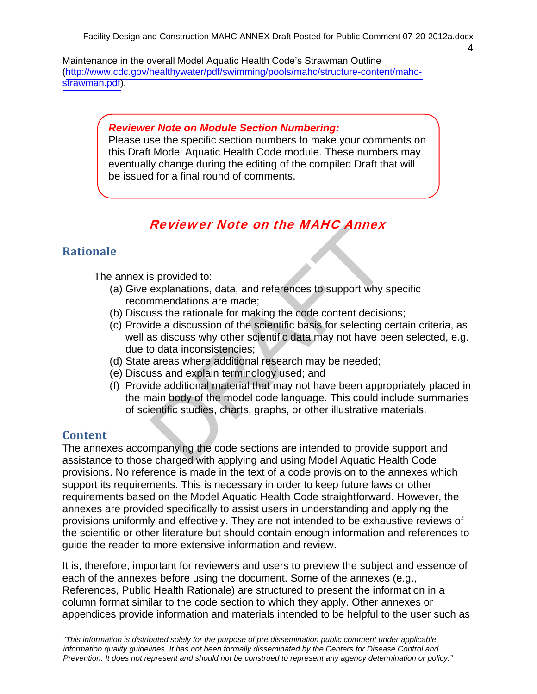$\lambda$ 

Maintenance in the overall Model Aquatic Health Code's Strawman Outline (http://www.cdc.gov/healthywater/pdf/swimming/pools/mahc/structure-content/mahcstrawman.pdf).

#### *Reviewer Note on Module Section Numbering:*

Please use the specific section numbers to make your comments on this Draft Model Aquatic Health Code module. These numbers may eventually change during the editing of the compiled Draft that will be issued for a final round of comments.

## Reviewer Note on the MAHC Annex

## **Rationale**

The annex is provided to:

- (a) Give explanations, data, and references to support why specific recommendations are made;
- (b) Discuss the rationale for making the code content decisions;
- (c) Provide a discussion of the scientific basis for selecting certain criteria, as well as discuss why other scientific data may not have been selected, e.g. due to data inconsistencies;
- (d) State areas where additional research may be needed;
- (e) Discuss and explain terminology used; and
- **EVIEWER NOTE ON THE MAPPLE ANTIEX**<br>sprovided to:<br>explanations, data, and references to support why s<br>nmendations are made;<br>uss the rationale for making the code content decisid<br>de a discussion of the scientific data may n (f) Provide additional material that may not have been appropriately placed in the main body of the model code language. This could include summaries of scientific studies, charts, graphs, or other illustrative materials.

## **Content**

The annexes accompanying the code sections are intended to provide support and assistance to those charged with applying and using Model Aquatic Health Code provisions. No reference is made in the text of a code provision to the annexes which support its requirements. This is necessary in order to keep future laws or other requirements based on the Model Aquatic Health Code straightforward. However, the annexes are provided specifically to assist users in understanding and applying the provisions uniformly and effectively. They are not intended to be exhaustive reviews of the scientific or other literature but should contain enough information and references to guide the reader to more extensive information and review.

It is, therefore, important for reviewers and users to preview the subject and essence of each of the annexes before using the document. Some of the annexes (e.g., References, Public Health Rationale) are structured to present the information in a column format similar to the code section to which they apply. Other annexes or appendices provide information and materials intended to be helpful to the user such as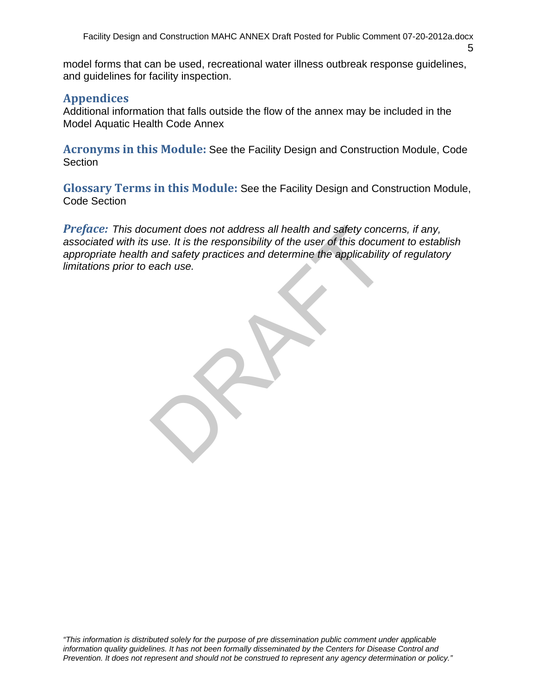5

model forms that can be used, recreational water illness outbreak response guidelines, and guidelines for facility inspection.

## **Appendices**

Additional information that falls outside the flow of the annex may be included in the Model Aquatic Health Code Annex

Acronyms in this Module: See the Facility Design and Construction Module, Code **Section** 

 **Glossary Terms in this Module:** See the Facility Design and Construction Module, Code Section

cument does not address all health and safety concuse. It is the responsibility of the user of this docum<br>and safety practices and determine the applicability<br>each use. *Preface: This document does not address all health and safety concerns, if any, associated with its use. It is the responsibility of the user of this document to establish appropriate health and safety practices and determine the applicability of regulatory limitations prior to each use.*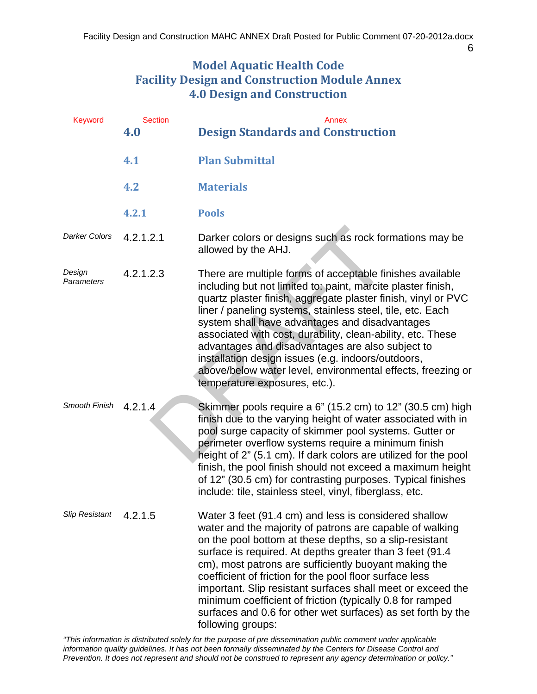#### 6

## **Model Aquatic Health Code Facility Design and Construction Module Annex 4.0 Design and Construction**

| <b>Keyword</b>        | <b>Section</b><br>4.0 | Annex<br><b>Design Standards and Construction</b>                                                                                                                                                                                                                                                                                                                                                                                                                                                                                                                                   |
|-----------------------|-----------------------|-------------------------------------------------------------------------------------------------------------------------------------------------------------------------------------------------------------------------------------------------------------------------------------------------------------------------------------------------------------------------------------------------------------------------------------------------------------------------------------------------------------------------------------------------------------------------------------|
|                       | 4.1                   | <b>Plan Submittal</b>                                                                                                                                                                                                                                                                                                                                                                                                                                                                                                                                                               |
|                       | 4.2                   | <b>Materials</b>                                                                                                                                                                                                                                                                                                                                                                                                                                                                                                                                                                    |
|                       | 4.2.1                 | <b>Pools</b>                                                                                                                                                                                                                                                                                                                                                                                                                                                                                                                                                                        |
| <b>Darker Colors</b>  | 4.2.1.2.1             | Darker colors or designs such as rock formations may be<br>allowed by the AHJ.                                                                                                                                                                                                                                                                                                                                                                                                                                                                                                      |
| Design<br>Parameters  | 4.2.1.2.3             | There are multiple forms of acceptable finishes available<br>including but not limited to: paint, marcite plaster finish,<br>quartz plaster finish, aggregate plaster finish, vinyl or PVC<br>liner / paneling systems, stainless steel, tile, etc. Each<br>system shall have advantages and disadvantages<br>associated with cost, durability, clean-ability, etc. These<br>advantages and disadvantages are also subject to<br>installation design issues (e.g. indoors/outdoors,<br>above/below water level, environmental effects, freezing or<br>temperature exposures, etc.). |
| Smooth Finish         | 4.2.1.4               | Skimmer pools require a 6" (15.2 cm) to 12" (30.5 cm) high<br>finish due to the varying height of water associated with in<br>pool surge capacity of skimmer pool systems. Gutter or<br>perimeter overflow systems require a minimum finish<br>height of 2" (5.1 cm). If dark colors are utilized for the pool<br>finish, the pool finish should not exceed a maximum height<br>of 12" (30.5 cm) for contrasting purposes. Typical finishes<br>include: tile, stainless steel, vinyl, fiberglass, etc.                                                                              |
| <b>Slip Resistant</b> | 4.2.1.5               | Water 3 feet (91.4 cm) and less is considered shallow<br>water and the majority of patrons are capable of walking<br>on the pool bottom at these depths, so a slip-resistant<br>surface is required. At depths greater than 3 feet (91.4)<br>cm), most patrons are sufficiently buoyant making the<br>coefficient of friction for the pool floor surface less<br>important. Slip resistant surfaces shall meet or exceed the<br>minimum coefficient of friction (typically 0.8 for ramped<br>surfaces and 0.6 for other wet surfaces) as set forth by the<br>following groups:      |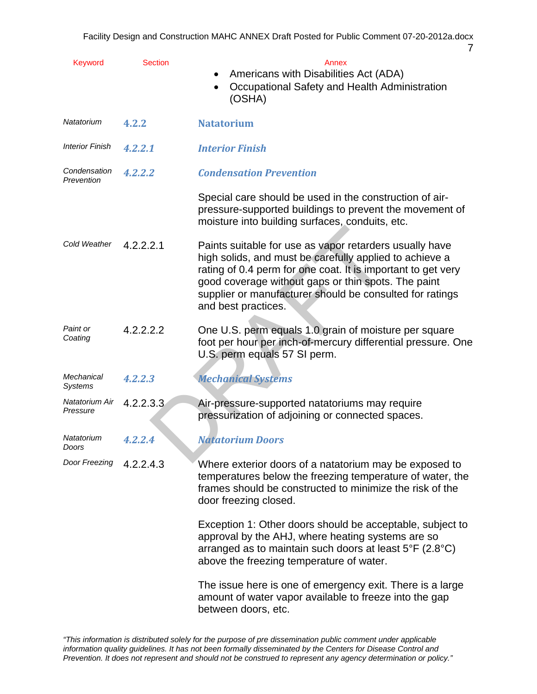| Keyword                      | <b>Section</b> | Annex<br>Americans with Disabilities Act (ADA)<br>Occupational Safety and Health Administration<br>(OSHA)                                                                                                                                                                                                                    |
|------------------------------|----------------|------------------------------------------------------------------------------------------------------------------------------------------------------------------------------------------------------------------------------------------------------------------------------------------------------------------------------|
| Natatorium                   | 4.2.2          | <b>Natatorium</b>                                                                                                                                                                                                                                                                                                            |
| <b>Interior Finish</b>       | 4.2.2.1        | <b>Interior Finish</b>                                                                                                                                                                                                                                                                                                       |
| Condensation<br>Prevention   | 4.2.2.2        | <b>Condensation Prevention</b>                                                                                                                                                                                                                                                                                               |
|                              |                | Special care should be used in the construction of air-<br>pressure-supported buildings to prevent the movement of<br>moisture into building surfaces, conduits, etc.                                                                                                                                                        |
| Cold Weather                 | 4.2.2.2.1      | Paints suitable for use as vapor retarders usually have<br>high solids, and must be carefully applied to achieve a<br>rating of 0.4 perm for one coat. It is important to get very<br>good coverage without gaps or thin spots. The paint<br>supplier or manufacturer should be consulted for ratings<br>and best practices. |
| Paint or<br>Coating          | 4.2.2.2.2      | One U.S. perm equals 1.0 grain of moisture per square<br>foot per hour per inch-of-mercury differential pressure. One<br>U.S. perm equals 57 SI perm.                                                                                                                                                                        |
| Mechanical<br><b>Systems</b> | 4.2.2.3        | <b>Mechanical Systems</b>                                                                                                                                                                                                                                                                                                    |
| Natatorium Air<br>Pressure   | 4.2.2.3.3      | Air-pressure-supported natatoriums may require<br>pressurization of adjoining or connected spaces.                                                                                                                                                                                                                           |
| Natatorium<br>Doors          | 4.2.2.4        | <b>Natatorium Doors</b>                                                                                                                                                                                                                                                                                                      |
| Door Freezing                | 4.2.2.4.3      | Where exterior doors of a natatorium may be exposed to<br>temperatures below the freezing temperature of water, the<br>frames should be constructed to minimize the risk of the<br>door freezing closed.                                                                                                                     |
|                              |                | Exception 1: Other doors should be acceptable, subject to<br>approval by the AHJ, where heating systems are so<br>arranged as to maintain such doors at least $5^{\circ}F$ (2.8 $^{\circ}C$ )<br>above the freezing temperature of water.                                                                                    |
|                              |                | The issue here is one of emergency exit. There is a large<br>amount of water vapor available to freeze into the gap<br>between doors, etc.                                                                                                                                                                                   |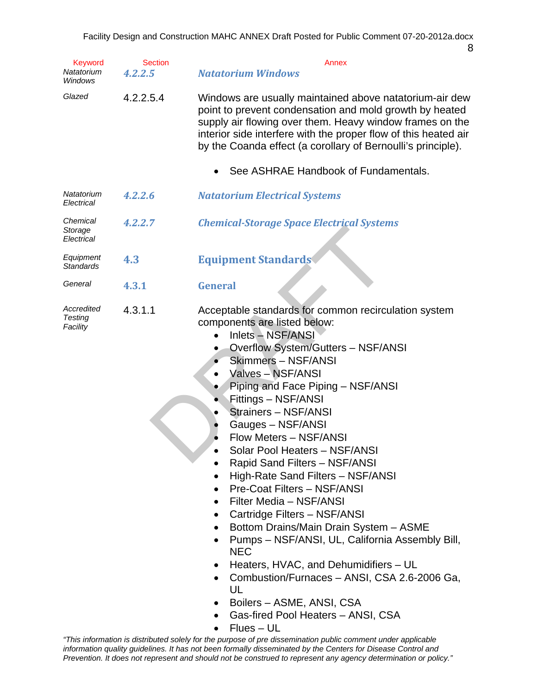Keyword Section **Section** Annex

| ٠                      |
|------------------------|
| e e                    |
| ×<br>×<br>٢<br>×<br>۰. |

| Natatorium<br>Windows                    | 4.2.2.5   | <b>Natatorium Windows</b>                                                                                                                                                                                                                                                                                                                                                                                                                                                                                                                                                                                                                                                                                                                                                                                                                                                                                                                                                                                   |
|------------------------------------------|-----------|-------------------------------------------------------------------------------------------------------------------------------------------------------------------------------------------------------------------------------------------------------------------------------------------------------------------------------------------------------------------------------------------------------------------------------------------------------------------------------------------------------------------------------------------------------------------------------------------------------------------------------------------------------------------------------------------------------------------------------------------------------------------------------------------------------------------------------------------------------------------------------------------------------------------------------------------------------------------------------------------------------------|
| Glazed                                   | 4.2.2.5.4 | Windows are usually maintained above natatorium-air dew<br>point to prevent condensation and mold growth by heated<br>supply air flowing over them. Heavy window frames on the<br>interior side interfere with the proper flow of this heated air<br>by the Coanda effect (a corollary of Bernoulli's principle).                                                                                                                                                                                                                                                                                                                                                                                                                                                                                                                                                                                                                                                                                           |
|                                          |           | See ASHRAE Handbook of Fundamentals.                                                                                                                                                                                                                                                                                                                                                                                                                                                                                                                                                                                                                                                                                                                                                                                                                                                                                                                                                                        |
| Natatorium<br>Electrical                 | 4.2.2.6   | <b>Natatorium Electrical Systems</b>                                                                                                                                                                                                                                                                                                                                                                                                                                                                                                                                                                                                                                                                                                                                                                                                                                                                                                                                                                        |
| Chemical<br>Storage<br>Electrical        | 4.2.2.7   | <b>Chemical-Storage Space Electrical Systems</b>                                                                                                                                                                                                                                                                                                                                                                                                                                                                                                                                                                                                                                                                                                                                                                                                                                                                                                                                                            |
| Equipment<br><b>Standards</b>            | 4.3       | <b>Equipment Standards</b>                                                                                                                                                                                                                                                                                                                                                                                                                                                                                                                                                                                                                                                                                                                                                                                                                                                                                                                                                                                  |
| General                                  | 4.3.1     | <b>General</b>                                                                                                                                                                                                                                                                                                                                                                                                                                                                                                                                                                                                                                                                                                                                                                                                                                                                                                                                                                                              |
| Accredited<br><b>Testing</b><br>Facility | 4.3.1.1   | Acceptable standards for common recirculation system<br>components are listed below:<br>Inlets - NSF/ANSI<br><b>Overflow System/Gutters - NSF/ANSI</b><br>$\bullet$<br><b>Skimmers - NSF/ANSI</b><br>$\bullet$<br>Valves - NSF/ANSI<br>$\bullet$<br>Piping and Face Piping - NSF/ANSI<br>Fittings - NSF/ANSI<br>Strainers - NSF/ANSI<br>$\bullet$<br>Gauges - NSF/ANSI<br>$\bullet$<br>Flow Meters - NSF/ANSI<br>$\bullet$<br>Solar Pool Heaters - NSF/ANSI<br>$\bullet$<br>Rapid Sand Filters - NSF/ANSI<br>High-Rate Sand Filters - NSF/ANSI<br>Pre-Coat Filters - NSF/ANSI<br>Filter Media - NSF/ANSI<br>$\bullet$<br>Cartridge Filters - NSF/ANSI<br>$\bullet$<br>Bottom Drains/Main Drain System - ASME<br>$\bullet$<br>Pumps - NSF/ANSI, UL, California Assembly Bill,<br><b>NEC</b><br>Heaters, HVAC, and Dehumidifiers - UL<br>$\bullet$<br>Combustion/Furnaces - ANSI, CSA 2.6-2006 Ga,<br>$\bullet$<br>UL<br>Boilers - ASME, ANSI, CSA<br>Gas-fired Pool Heaters - ANSI, CSA<br>٠<br>$Flues - UL$ |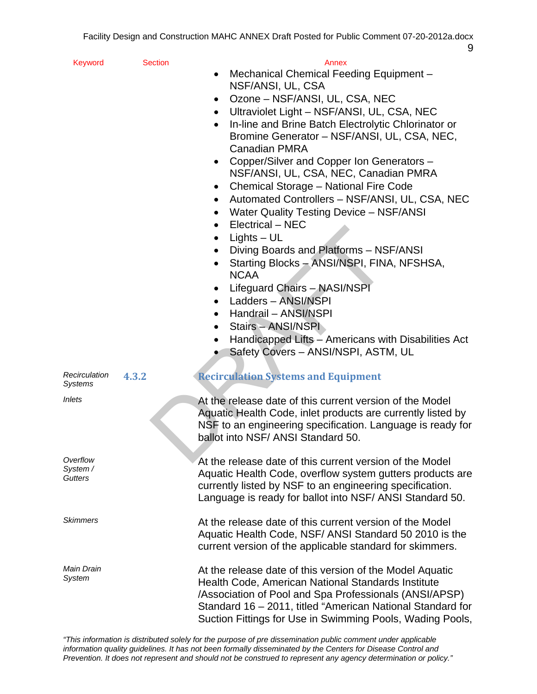| Keyword                         | <b>Section</b> | Annex<br>Mechanical Chemical Feeding Equipment -<br>$\bullet$<br>NSF/ANSI, UL, CSA<br>Ozone – NSF/ANSI, UL, CSA, NEC<br>$\bullet$<br>Ultraviolet Light - NSF/ANSI, UL, CSA, NEC<br>In-line and Brine Batch Electrolytic Chlorinator or<br>Bromine Generator - NSF/ANSI, UL, CSA, NEC,<br><b>Canadian PMRA</b><br>Copper/Silver and Copper Ion Generators -<br>$\bullet$<br>NSF/ANSI, UL, CSA, NEC, Canadian PMRA<br>Chemical Storage - National Fire Code<br>Automated Controllers - NSF/ANSI, UL, CSA, NEC<br>$\bullet$<br>Water Quality Testing Device - NSF/ANSI<br>٠<br>Electrical - NEC<br>$\bullet$<br>$Lights - UL$<br>Diving Boards and Platforms - NSF/ANSI |
|---------------------------------|----------------|----------------------------------------------------------------------------------------------------------------------------------------------------------------------------------------------------------------------------------------------------------------------------------------------------------------------------------------------------------------------------------------------------------------------------------------------------------------------------------------------------------------------------------------------------------------------------------------------------------------------------------------------------------------------|
|                                 |                | Starting Blocks - ANSI/NSPI, FINA, NFSHSA,<br><b>NCAA</b><br>Lifeguard Chairs - NASI/NSPI<br>Ladders - ANSI/NSPI<br>Handrail - ANSI/NSPI<br>Stairs - ANSI/NSPI<br>$\bullet$<br>Handicapped Lifts - Americans with Disabilities Act<br>$\bullet$<br>Safety Covers - ANSI/NSPI, ASTM, UL                                                                                                                                                                                                                                                                                                                                                                               |
| Recirculation<br><b>Systems</b> | 4.3.2          | <b>Recirculation Systems and Equipment</b>                                                                                                                                                                                                                                                                                                                                                                                                                                                                                                                                                                                                                           |
| <i>Inlets</i>                   |                | At the release date of this current version of the Model<br>Aquatic Health Code, inlet products are currently listed by<br>NSF to an engineering specification. Language is ready for<br>ballot into NSF/ ANSI Standard 50.                                                                                                                                                                                                                                                                                                                                                                                                                                          |
| Overflow<br>System /<br>Gutters |                | At the release date of this current version of the Model<br>Aquatic Health Code, overflow system gutters products are<br>currently listed by NSF to an engineering specification.<br>Language is ready for ballot into NSF/ ANSI Standard 50.                                                                                                                                                                                                                                                                                                                                                                                                                        |
| Skimmers                        |                | At the release date of this current version of the Model<br>Aquatic Health Code, NSF/ ANSI Standard 50 2010 is the<br>current version of the applicable standard for skimmers.                                                                                                                                                                                                                                                                                                                                                                                                                                                                                       |
| Main Drain<br>System            |                | At the release date of this version of the Model Aquatic<br>Health Code, American National Standards Institute<br>/Association of Pool and Spa Professionals (ANSI/APSP)<br>Standard 16 - 2011, titled "American National Standard for<br>Suction Fittings for Use in Swimming Pools, Wading Pools,                                                                                                                                                                                                                                                                                                                                                                  |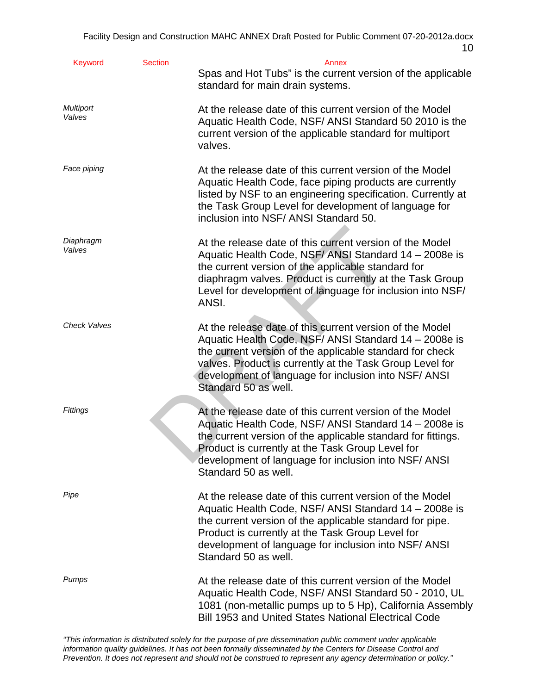| <b>Keyword</b>             | <b>Section</b> | Annex<br>Spas and Hot Tubs" is the current version of the applicable<br>standard for main drain systems.                                                                                                                                                                                                                  |
|----------------------------|----------------|---------------------------------------------------------------------------------------------------------------------------------------------------------------------------------------------------------------------------------------------------------------------------------------------------------------------------|
| <b>Multiport</b><br>Valves |                | At the release date of this current version of the Model<br>Aquatic Health Code, NSF/ ANSI Standard 50 2010 is the<br>current version of the applicable standard for multiport<br>valves.                                                                                                                                 |
| Face piping                |                | At the release date of this current version of the Model<br>Aquatic Health Code, face piping products are currently<br>listed by NSF to an engineering specification. Currently at<br>the Task Group Level for development of language for<br>inclusion into NSF/ ANSI Standard 50.                                       |
| Diaphragm<br>Valves        |                | At the release date of this current version of the Model<br>Aquatic Health Code, NSF/ ANSI Standard 14 - 2008e is<br>the current version of the applicable standard for<br>diaphragm valves. Product is currently at the Task Group<br>Level for development of language for inclusion into NSF/<br>ANSI.                 |
| <b>Check Valves</b>        |                | At the release date of this current version of the Model<br>Aquatic Health Code, NSF/ ANSI Standard 14 - 2008e is<br>the current version of the applicable standard for check<br>valves. Product is currently at the Task Group Level for<br>development of language for inclusion into NSF/ ANSI<br>Standard 50 as well. |
| Fittings                   |                | At the release date of this current version of the Model<br>Aquatic Health Code, NSF/ ANSI Standard 14 - 2008e is<br>the current version of the applicable standard for fittings.<br>Product is currently at the Task Group Level for<br>development of language for inclusion into NSF/ ANSI<br>Standard 50 as well.     |
| Pipe                       |                | At the release date of this current version of the Model<br>Aquatic Health Code, NSF/ ANSI Standard 14 - 2008e is<br>the current version of the applicable standard for pipe.<br>Product is currently at the Task Group Level for<br>development of language for inclusion into NSF/ ANSI<br>Standard 50 as well.         |
| Pumps                      |                | At the release date of this current version of the Model<br>Aquatic Health Code, NSF/ ANSI Standard 50 - 2010, UL<br>1081 (non-metallic pumps up to 5 Hp), California Assembly<br>Bill 1953 and United States National Electrical Code                                                                                    |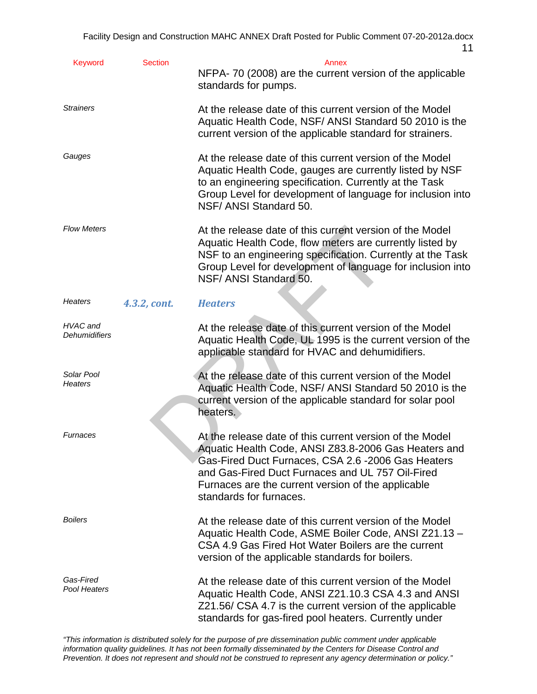|                           |                | $\mathbf{L}$                                                                                                                                                                                                                                                                                                |
|---------------------------|----------------|-------------------------------------------------------------------------------------------------------------------------------------------------------------------------------------------------------------------------------------------------------------------------------------------------------------|
| Keyword                   | <b>Section</b> | Annex<br>NFPA-70 (2008) are the current version of the applicable<br>standards for pumps.                                                                                                                                                                                                                   |
| <b>Strainers</b>          |                | At the release date of this current version of the Model<br>Aquatic Health Code, NSF/ ANSI Standard 50 2010 is the<br>current version of the applicable standard for strainers.                                                                                                                             |
| Gauges                    |                | At the release date of this current version of the Model<br>Aquatic Health Code, gauges are currently listed by NSF<br>to an engineering specification. Currently at the Task<br>Group Level for development of language for inclusion into<br>NSF/ ANSI Standard 50.                                       |
| <b>Flow Meters</b>        |                | At the release date of this current version of the Model<br>Aquatic Health Code, flow meters are currently listed by<br>NSF to an engineering specification. Currently at the Task<br>Group Level for development of language for inclusion into<br>NSF/ ANSI Standard 50.                                  |
| <b>Heaters</b>            | 4.3.2, cont.   | <b>Heaters</b>                                                                                                                                                                                                                                                                                              |
| HVAC and<br>Dehumidifiers |                | At the release date of this current version of the Model<br>Aquatic Health Code, UL 1995 is the current version of the<br>applicable standard for HVAC and dehumidifiers.                                                                                                                                   |
| Solar Pool<br>Heaters     |                | At the release date of this current version of the Model<br>Aquatic Health Code, NSF/ ANSI Standard 50 2010 is the<br>current version of the applicable standard for solar pool<br>heaters.                                                                                                                 |
| Furnaces                  |                | At the release date of this current version of the Model<br>Aquatic Health Code, ANSI Z83.8-2006 Gas Heaters and<br>Gas-Fired Duct Furnaces, CSA 2.6 -2006 Gas Heaters<br>and Gas-Fired Duct Furnaces and UL 757 Oil-Fired<br>Furnaces are the current version of the applicable<br>standards for furnaces. |
| <b>Boilers</b>            |                | At the release date of this current version of the Model<br>Aquatic Health Code, ASME Boiler Code, ANSI Z21.13 -<br>CSA 4.9 Gas Fired Hot Water Boilers are the current<br>version of the applicable standards for boilers.                                                                                 |
| Gas-Fired<br>Pool Heaters |                | At the release date of this current version of the Model<br>Aquatic Health Code, ANSI Z21.10.3 CSA 4.3 and ANSI<br>Z21.56/ CSA 4.7 is the current version of the applicable                                                                                                                                 |

*"This information is distributed solely for the purpose of pre dissemination public comment under applicable information quality guidelines. It has not been formally disseminated by the Centers for Disease Control and Prevention. It does not represent and should not be construed to represent any agency determination or policy."* 

standards for gas-fired pool heaters. Currently under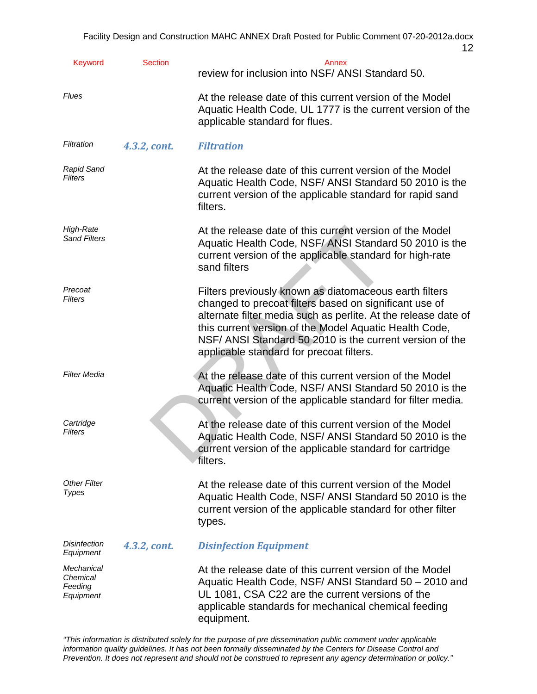|                                                |                | 12                                                                                                                                                                                                                                                                                                                                                   |
|------------------------------------------------|----------------|------------------------------------------------------------------------------------------------------------------------------------------------------------------------------------------------------------------------------------------------------------------------------------------------------------------------------------------------------|
| <b>Keyword</b>                                 | <b>Section</b> | Annex<br>review for inclusion into NSF/ ANSI Standard 50.                                                                                                                                                                                                                                                                                            |
| <b>Flues</b>                                   |                | At the release date of this current version of the Model<br>Aquatic Health Code, UL 1777 is the current version of the<br>applicable standard for flues.                                                                                                                                                                                             |
| Filtration                                     | 4.3.2, cont.   | <b>Filtration</b>                                                                                                                                                                                                                                                                                                                                    |
| <b>Rapid Sand</b><br><b>Filters</b>            |                | At the release date of this current version of the Model<br>Aquatic Health Code, NSF/ ANSI Standard 50 2010 is the<br>current version of the applicable standard for rapid sand<br>filters.                                                                                                                                                          |
| High-Rate<br><b>Sand Filters</b>               |                | At the release date of this current version of the Model<br>Aquatic Health Code, NSF/ANSI Standard 50 2010 is the<br>current version of the applicable standard for high-rate<br>sand filters                                                                                                                                                        |
| Precoat<br>Filters                             |                | Filters previously known as diatomaceous earth filters<br>changed to precoat filters based on significant use of<br>alternate filter media such as perlite. At the release date of<br>this current version of the Model Aquatic Health Code,<br>NSF/ ANSI Standard 50 2010 is the current version of the<br>applicable standard for precoat filters. |
| <b>Filter Media</b>                            |                | At the release date of this current version of the Model<br>Aquatic Health Code, NSF/ ANSI Standard 50 2010 is the<br>current version of the applicable standard for filter media.                                                                                                                                                                   |
| Cartridge<br><b>Filters</b>                    |                | At the release date of this current version of the Model<br>Aquatic Health Code, NSF/ ANSI Standard 50 2010 is the<br>current version of the applicable standard for cartridge<br>filters.                                                                                                                                                           |
| <b>Other Filter</b><br><b>Types</b>            |                | At the release date of this current version of the Model<br>Aquatic Health Code, NSF/ ANSI Standard 50 2010 is the<br>current version of the applicable standard for other filter<br>types.                                                                                                                                                          |
| <b>Disinfection</b><br>Equipment               | 4.3.2, cont.   | <b>Disinfection Equipment</b>                                                                                                                                                                                                                                                                                                                        |
| Mechanical<br>Chemical<br>Feeding<br>Equipment |                | At the release date of this current version of the Model<br>Aquatic Health Code, NSF/ ANSI Standard 50 - 2010 and<br>UL 1081, CSA C22 are the current versions of the<br>applicable standards for mechanical chemical feeding<br>equipment.                                                                                                          |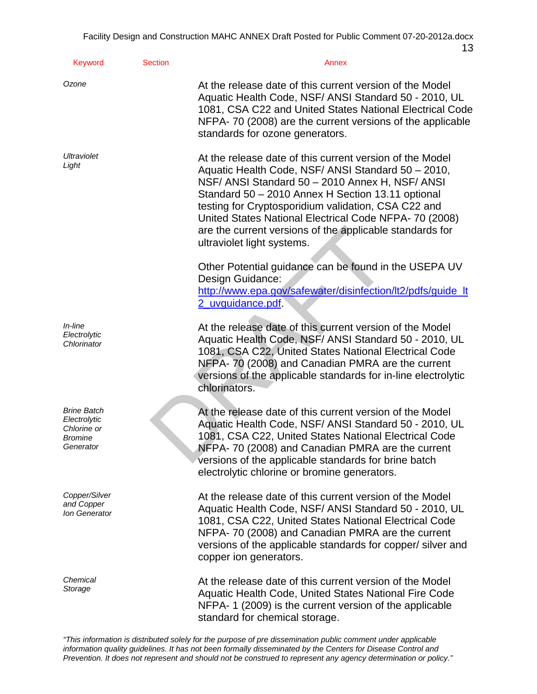| Keyword                                                                   | <b>Section</b> | Annex                                                                                                                                                                                                                                                                                                                                                                                                                             |
|---------------------------------------------------------------------------|----------------|-----------------------------------------------------------------------------------------------------------------------------------------------------------------------------------------------------------------------------------------------------------------------------------------------------------------------------------------------------------------------------------------------------------------------------------|
| Ozone                                                                     |                | At the release date of this current version of the Model<br>Aquatic Health Code, NSF/ ANSI Standard 50 - 2010, UL<br>1081, CSA C22 and United States National Electrical Code<br>NFPA-70 (2008) are the current versions of the applicable<br>standards for ozone generators.                                                                                                                                                     |
| Ultraviolet<br>Light                                                      |                | At the release date of this current version of the Model<br>Aquatic Health Code, NSF/ ANSI Standard 50 - 2010,<br>NSF/ ANSI Standard 50 - 2010 Annex H, NSF/ ANSI<br>Standard 50 - 2010 Annex H Section 13.11 optional<br>testing for Cryptosporidium validation, CSA C22 and<br>United States National Electrical Code NFPA- 70 (2008)<br>are the current versions of the applicable standards for<br>ultraviolet light systems. |
|                                                                           |                | Other Potential guidance can be found in the USEPA UV<br>Design Guidance:<br>http://www.epa.gov/safewater/disinfection/lt2/pdfs/guide_lt<br>2_uvguidance.pdf.                                                                                                                                                                                                                                                                     |
| <i>In-line</i><br>Electrolytic<br>Chlorinator                             |                | At the release date of this current version of the Model<br>Aquatic Health Code, NSF/ ANSI Standard 50 - 2010, UL<br>1081, CSA C22, United States National Electrical Code<br>NFPA-70 (2008) and Canadian PMRA are the current<br>versions of the applicable standards for in-line electrolytic<br>chlorinators.                                                                                                                  |
| <b>Brine Batch</b><br>Electrolytic<br>Chlorine or<br>Bromine<br>Generator |                | At the release date of this current version of the Model<br>Aquatic Health Code, NSF/ ANSI Standard 50 - 2010, UL<br>1081, CSA C22, United States National Electrical Code<br>NFPA- 70 (2008) and Canadian PMRA are the current<br>versions of the applicable standards for brine batch<br>electrolytic chlorine or bromine generators.                                                                                           |
| Copper/Silver<br>and Copper<br>Ion Generator                              |                | At the release date of this current version of the Model<br>Aquatic Health Code, NSF/ ANSI Standard 50 - 2010, UL<br>1081, CSA C22, United States National Electrical Code<br>NFPA-70 (2008) and Canadian PMRA are the current<br>versions of the applicable standards for copper/ silver and<br>copper ion generators.                                                                                                           |
| Chemical<br>Storage                                                       |                | At the release date of this current version of the Model<br>Aquatic Health Code, United States National Fire Code<br>NFPA-1 (2009) is the current version of the applicable<br>standard for chemical storage.                                                                                                                                                                                                                     |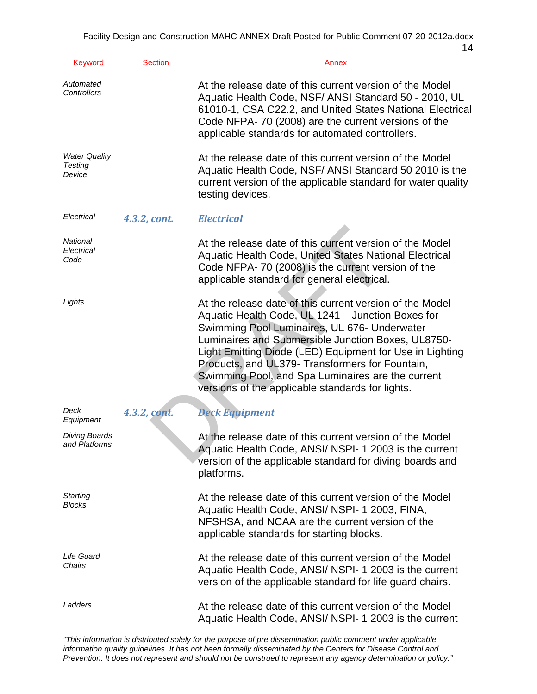| <b>Keyword</b>                            | <b>Section</b> | Annex                                                                                                                                                                                                                                                                                                                                                                                                                                       |
|-------------------------------------------|----------------|---------------------------------------------------------------------------------------------------------------------------------------------------------------------------------------------------------------------------------------------------------------------------------------------------------------------------------------------------------------------------------------------------------------------------------------------|
| Automated<br>Controllers                  |                | At the release date of this current version of the Model<br>Aquatic Health Code, NSF/ ANSI Standard 50 - 2010, UL<br>61010-1, CSA C22.2, and United States National Electrical<br>Code NFPA-70 (2008) are the current versions of the<br>applicable standards for automated controllers.                                                                                                                                                    |
| <b>Water Quality</b><br>Testing<br>Device |                | At the release date of this current version of the Model<br>Aquatic Health Code, NSF/ ANSI Standard 50 2010 is the<br>current version of the applicable standard for water quality<br>testing devices.                                                                                                                                                                                                                                      |
| Electrical                                | 4.3.2, cont.   | <b>Electrical</b>                                                                                                                                                                                                                                                                                                                                                                                                                           |
| National<br>Electrical<br>Code            |                | At the release date of this current version of the Model<br>Aquatic Health Code, United States National Electrical<br>Code NFPA-70 (2008) is the current version of the<br>applicable standard for general electrical.                                                                                                                                                                                                                      |
| Lights                                    |                | At the release date of this current version of the Model<br>Aquatic Health Code, UL 1241 - Junction Boxes for<br>Swimming Pool Luminaires, UL 676- Underwater<br>Luminaires and Submersible Junction Boxes, UL8750-<br>Light Emitting Diode (LED) Equipment for Use in Lighting<br>Products, and UL379- Transformers for Fountain,<br>Swimming Pool, and Spa Luminaires are the current<br>versions of the applicable standards for lights. |
| Deck<br>Equipment                         | 4.3.2, cont.   | <b>Deck Equipment</b>                                                                                                                                                                                                                                                                                                                                                                                                                       |
| <b>Diving Boards</b><br>and Platforms     |                | At the release date of this current version of the Model<br>Aquatic Health Code, ANSI/ NSPI- 1 2003 is the current<br>version of the applicable standard for diving boards and<br>platforms.                                                                                                                                                                                                                                                |
| Starting<br>Blocks                        |                | At the release date of this current version of the Model<br>Aquatic Health Code, ANSI/ NSPI- 1 2003, FINA,<br>NFSHSA, and NCAA are the current version of the<br>applicable standards for starting blocks.                                                                                                                                                                                                                                  |
| Life Guard<br>Chairs                      |                | At the release date of this current version of the Model<br>Aquatic Health Code, ANSI/ NSPI-12003 is the current<br>version of the applicable standard for life guard chairs.                                                                                                                                                                                                                                                               |
| Ladders                                   |                | At the release date of this current version of the Model<br>Aquatic Health Code, ANSI/NSPI-1 2003 is the current                                                                                                                                                                                                                                                                                                                            |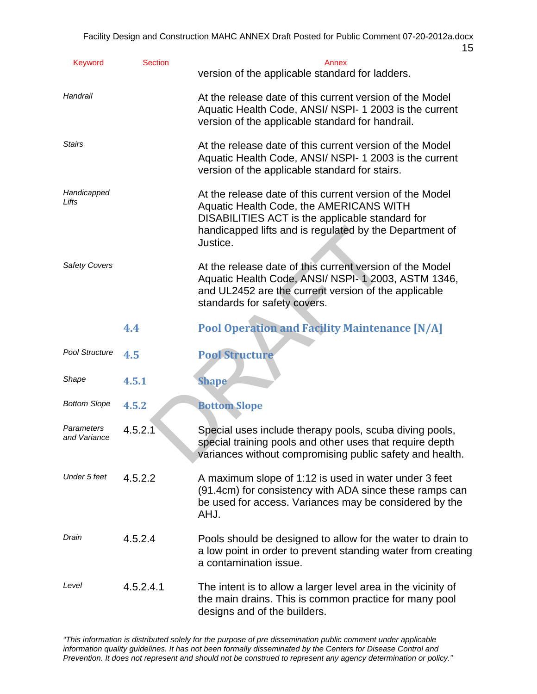|                            |                |                                                                                                                                                                                                                               | 15 |
|----------------------------|----------------|-------------------------------------------------------------------------------------------------------------------------------------------------------------------------------------------------------------------------------|----|
| Keyword                    | <b>Section</b> | Annex<br>version of the applicable standard for ladders.                                                                                                                                                                      |    |
| Handrail                   |                | At the release date of this current version of the Model<br>Aquatic Health Code, ANSI/ NSPI- 1 2003 is the current<br>version of the applicable standard for handrail.                                                        |    |
| <b>Stairs</b>              |                | At the release date of this current version of the Model<br>Aquatic Health Code, ANSI/ NSPI- 1 2003 is the current<br>version of the applicable standard for stairs.                                                          |    |
| Handicapped<br>Lifts       |                | At the release date of this current version of the Model<br>Aquatic Health Code, the AMERICANS WITH<br>DISABILITIES ACT is the applicable standard for<br>handicapped lifts and is regulated by the Department of<br>Justice. |    |
| <b>Safety Covers</b>       |                | At the release date of this current version of the Model<br>Aquatic Health Code, ANSI/ NSPI-1 2003, ASTM 1346,<br>and UL2452 are the current version of the applicable<br>standards for safety covers.                        |    |
|                            | 4.4            | <b>Pool Operation and Facility Maintenance [N/A]</b>                                                                                                                                                                          |    |
| Pool Structure             | 4.5            | <b>Pool Structure</b>                                                                                                                                                                                                         |    |
| Shape                      | 4.5.1          | <b>Shape</b>                                                                                                                                                                                                                  |    |
| <b>Bottom Slope</b>        | 4.5.2          | <b>Bottom Slope</b>                                                                                                                                                                                                           |    |
| Parameters<br>and Variance | 4.5.2.1        | Special uses include therapy pools, scuba diving pools,<br>special training pools and other uses that require depth<br>variances without compromising public safety and health.                                               |    |
| Under 5 feet               | 4.5.2.2        | A maximum slope of 1:12 is used in water under 3 feet<br>(91.4cm) for consistency with ADA since these ramps can<br>be used for access. Variances may be considered by the<br>AHJ.                                            |    |
| Drain                      | 4.5.2.4        | Pools should be designed to allow for the water to drain to<br>a low point in order to prevent standing water from creating<br>a contamination issue.                                                                         |    |
| Level                      | 4.5.2.4.1      | The intent is to allow a larger level area in the vicinity of<br>the main drains. This is common practice for many pool<br>designs and of the builders.                                                                       |    |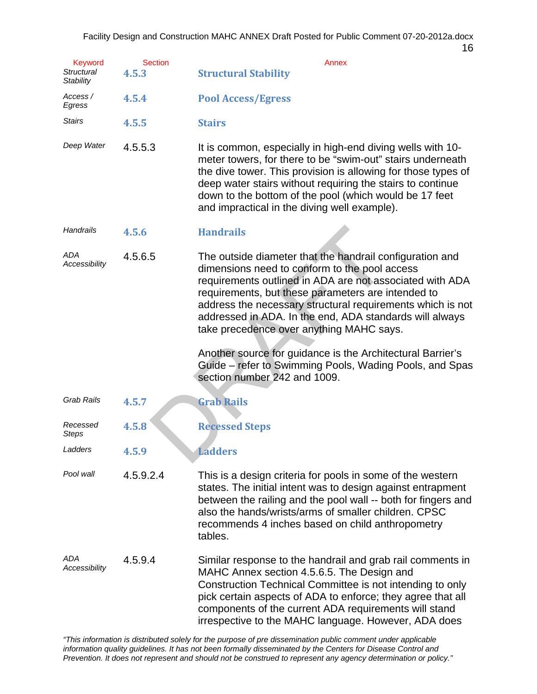| 7-20-2012a.docx |    |
|-----------------|----|
|                 | 16 |

| <b>Keyword</b><br>Structural<br>Stability | <b>Section</b><br>4.5.3 | <b>Annex</b><br><b>Structural Stability</b>                                                                                                                                                                                                                                                                                                                                                      |
|-------------------------------------------|-------------------------|--------------------------------------------------------------------------------------------------------------------------------------------------------------------------------------------------------------------------------------------------------------------------------------------------------------------------------------------------------------------------------------------------|
| Access /<br>Egress                        | 4.5.4                   | <b>Pool Access/Egress</b>                                                                                                                                                                                                                                                                                                                                                                        |
| <b>Stairs</b>                             | 4.5.5                   | <b>Stairs</b>                                                                                                                                                                                                                                                                                                                                                                                    |
| Deep Water                                | 4.5.5.3                 | It is common, especially in high-end diving wells with 10-<br>meter towers, for there to be "swim-out" stairs underneath<br>the dive tower. This provision is allowing for those types of<br>deep water stairs without requiring the stairs to continue<br>down to the bottom of the pool (which would be 17 feet<br>and impractical in the diving well example).                                |
| <b>Handrails</b>                          | 4.5.6                   | <b>Handrails</b>                                                                                                                                                                                                                                                                                                                                                                                 |
| ADA<br>Accessibility                      | 4.5.6.5                 | The outside diameter that the handrail configuration and<br>dimensions need to conform to the pool access<br>requirements outlined in ADA are not associated with ADA<br>requirements, but these parameters are intended to<br>address the necessary structural requirements which is not<br>addressed in ADA. In the end, ADA standards will always<br>take precedence over anything MAHC says. |
|                                           |                         | Another source for guidance is the Architectural Barrier's<br>Guide – refer to Swimming Pools, Wading Pools, and Spas<br>section number 242 and 1009.                                                                                                                                                                                                                                            |
| <b>Grab Rails</b>                         | 4.5.7                   | <b>Grab Rails</b>                                                                                                                                                                                                                                                                                                                                                                                |
| Recessed<br><b>Steps</b>                  | 4.5.8                   | <b>Recessed Steps</b>                                                                                                                                                                                                                                                                                                                                                                            |
| Ladders                                   | 4.5.9                   | <b>Ladders</b>                                                                                                                                                                                                                                                                                                                                                                                   |
| Pool wall                                 | 4.5.9.2.4               | This is a design criteria for pools in some of the western<br>states. The initial intent was to design against entrapment<br>between the railing and the pool wall -- both for fingers and<br>also the hands/wrists/arms of smaller children. CPSC<br>recommends 4 inches based on child anthropometry<br>tables.                                                                                |
| ADA<br>Accessibility                      | 4.5.9.4                 | Similar response to the handrail and grab rail comments in<br>MAHC Annex section 4.5.6.5. The Design and<br>Construction Technical Committee is not intending to only<br>pick certain aspects of ADA to enforce; they agree that all<br>components of the current ADA requirements will stand<br>irrespective to the MAHC language. However, ADA does                                            |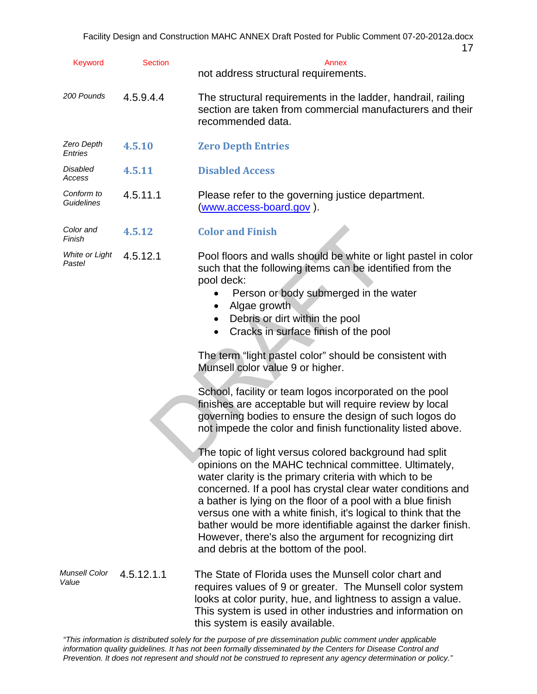| <b>Keyword</b>           | <b>Section</b> | $\mathbf{L}$<br>Annex<br>not address structural requirements.                                                                                                                                                                                                                                                                                                                                                                                                                                                                                                                                                                                                                                                                                                                                                                                                                                                                                                                                                                                                                                          |
|--------------------------|----------------|--------------------------------------------------------------------------------------------------------------------------------------------------------------------------------------------------------------------------------------------------------------------------------------------------------------------------------------------------------------------------------------------------------------------------------------------------------------------------------------------------------------------------------------------------------------------------------------------------------------------------------------------------------------------------------------------------------------------------------------------------------------------------------------------------------------------------------------------------------------------------------------------------------------------------------------------------------------------------------------------------------------------------------------------------------------------------------------------------------|
| 200 Pounds               | 4.5.9.4.4      | The structural requirements in the ladder, handrail, railing<br>section are taken from commercial manufacturers and their<br>recommended data.                                                                                                                                                                                                                                                                                                                                                                                                                                                                                                                                                                                                                                                                                                                                                                                                                                                                                                                                                         |
| Zero Depth<br>Entries    | 4.5.10         | <b>Zero Depth Entries</b>                                                                                                                                                                                                                                                                                                                                                                                                                                                                                                                                                                                                                                                                                                                                                                                                                                                                                                                                                                                                                                                                              |
| Disabled<br>Access       | 4.5.11         | <b>Disabled Access</b>                                                                                                                                                                                                                                                                                                                                                                                                                                                                                                                                                                                                                                                                                                                                                                                                                                                                                                                                                                                                                                                                                 |
| Conform to<br>Guidelines | 4.5.11.1       | Please refer to the governing justice department.<br>(www.access-board.gov).                                                                                                                                                                                                                                                                                                                                                                                                                                                                                                                                                                                                                                                                                                                                                                                                                                                                                                                                                                                                                           |
| Color and<br>Finish      | 4.5.12         | <b>Color and Finish</b>                                                                                                                                                                                                                                                                                                                                                                                                                                                                                                                                                                                                                                                                                                                                                                                                                                                                                                                                                                                                                                                                                |
| White or Light<br>Pastel | 4.5.12.1       | Pool floors and walls should be white or light pastel in color<br>such that the following items can be identified from the<br>pool deck:<br>Person or body submerged in the water<br>Algae growth<br>٠<br>Debris or dirt within the pool<br>$\bullet$<br>Cracks in surface finish of the pool<br>$\bullet$<br>The term "light pastel color" should be consistent with<br>Munsell color value 9 or higher.<br>School, facility or team logos incorporated on the pool<br>finishes are acceptable but will require review by local<br>governing bodies to ensure the design of such logos do<br>not impede the color and finish functionality listed above.<br>The topic of light versus colored background had split<br>opinions on the MAHC technical committee. Ultimately,<br>water clarity is the primary criteria with which to be<br>concerned. If a pool has crystal clear water conditions and<br>a bather is lying on the floor of a pool with a blue finish<br>versus one with a white finish, it's logical to think that the<br>bather would be more identifiable against the darker finish. |
| Munsell Color<br>Value   | 4.5.12.1.1     | and debris at the bottom of the pool.<br>The State of Florida uses the Munsell color chart and<br>requires values of 9 or greater. The Munsell color system<br>looks at color purity, hue, and lightness to assign a value.<br>This system is used in other industries and information on                                                                                                                                                                                                                                                                                                                                                                                                                                                                                                                                                                                                                                                                                                                                                                                                              |

*"This information is distributed solely for the purpose of pre dissemination public comment under applicable information quality guidelines. It has not been formally disseminated by the Centers for Disease Control and Prevention. It does not represent and should not be construed to represent any agency determination or policy."* 

this system is easily available.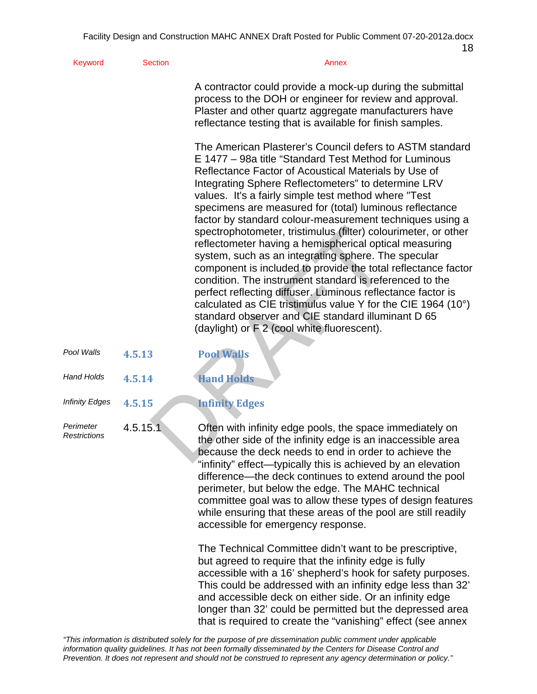| Keyword                   | <b>Section</b> | Annex                                                                                                                                                                                                                                                                                                                                                                                                                                                                                                                                                                                                                                                                                                                                                                                                                                                                                                                                                              |
|---------------------------|----------------|--------------------------------------------------------------------------------------------------------------------------------------------------------------------------------------------------------------------------------------------------------------------------------------------------------------------------------------------------------------------------------------------------------------------------------------------------------------------------------------------------------------------------------------------------------------------------------------------------------------------------------------------------------------------------------------------------------------------------------------------------------------------------------------------------------------------------------------------------------------------------------------------------------------------------------------------------------------------|
|                           |                | A contractor could provide a mock-up during the submittal<br>process to the DOH or engineer for review and approval.<br>Plaster and other quartz aggregate manufacturers have<br>reflectance testing that is available for finish samples.                                                                                                                                                                                                                                                                                                                                                                                                                                                                                                                                                                                                                                                                                                                         |
|                           |                | The American Plasterer's Council defers to ASTM standard<br>E 1477 - 98a title "Standard Test Method for Luminous<br>Reflectance Factor of Acoustical Materials by Use of<br>Integrating Sphere Reflectometers" to determine LRV<br>values. It's a fairly simple test method where "Test<br>specimens are measured for (total) luminous reflectance<br>factor by standard colour-measurement techniques using a<br>spectrophotometer, tristimulus (filter) colourimeter, or other<br>reflectometer having a hemispherical optical measuring<br>system, such as an integrating sphere. The specular<br>component is included to provide the total reflectance factor<br>condition. The instrument standard is referenced to the<br>perfect reflecting diffuser. Luminous reflectance factor is<br>calculated as CIE tristimulus value Y for the CIE 1964 (10°)<br>standard observer and CIE standard illuminant D 65<br>(daylight) or F 2 (cool white fluorescent). |
| Pool Walls                | 4.5.13         | <b>Pool Walls</b>                                                                                                                                                                                                                                                                                                                                                                                                                                                                                                                                                                                                                                                                                                                                                                                                                                                                                                                                                  |
| <b>Hand Holds</b>         | 4.5.14         | <b>Hand Holds</b>                                                                                                                                                                                                                                                                                                                                                                                                                                                                                                                                                                                                                                                                                                                                                                                                                                                                                                                                                  |
| <b>Infinity Edges</b>     | 4.5.15         | <b>Infinity Edges</b>                                                                                                                                                                                                                                                                                                                                                                                                                                                                                                                                                                                                                                                                                                                                                                                                                                                                                                                                              |
| Perimeter<br>Restrictions | 4.5.15.1       | Often with infinity edge pools, the space immediately on<br>the other side of the infinity edge is an inaccessible area<br>because the deck needs to end in order to achieve the<br>بمنازعت دواهر ويمرز والممردم والمستمر والمتوازع والممتوسط بالمستركز والربانا وبتلويزا                                                                                                                                                                                                                                                                                                                                                                                                                                                                                                                                                                                                                                                                                          |

*Pestrictions* and the other side of the infinity edge is an inaccessible area because the deck needs to end in order to achieve the "infinity" effect—typically this is achieved by an elevation difference—the deck continues to extend around the pool perimeter, but below the edge. The MAHC technical committee goal was to allow these types of design features while ensuring that these areas of the pool are still readily accessible for emergency response.

> The Technical Committee didn't want to be prescriptive, but agreed to require that the infinity edge is fully accessible with a 16' shepherd's hook for safety purposes. This could be addressed with an infinity edge less than 32' and accessible deck on either side. Or an infinity edge longer than 32' could be permitted but the depressed area that is required to create the "vanishing" effect (see annex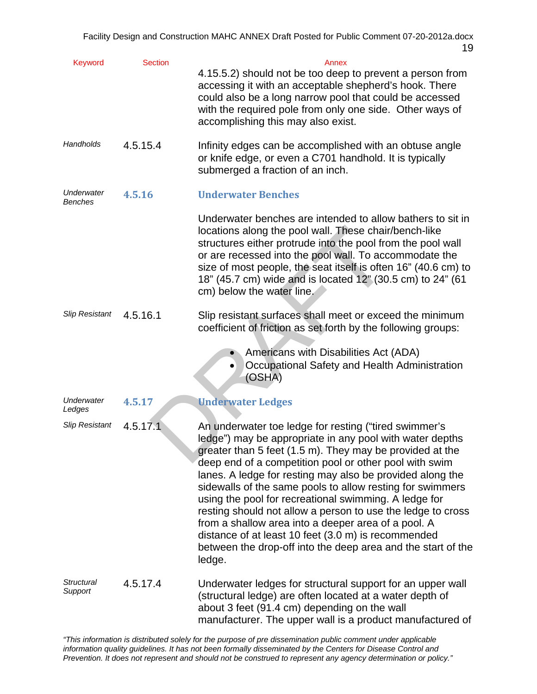| <b>Keyword</b>               | <b>Section</b> | Annex<br>4.15.5.2) should not be too deep to prevent a person from<br>accessing it with an acceptable shepherd's hook. There<br>could also be a long narrow pool that could be accessed<br>with the required pole from only one side. Other ways of<br>accomplishing this may also exist.                                                                                                                                                                                                                                                                                                                                                                                         |
|------------------------------|----------------|-----------------------------------------------------------------------------------------------------------------------------------------------------------------------------------------------------------------------------------------------------------------------------------------------------------------------------------------------------------------------------------------------------------------------------------------------------------------------------------------------------------------------------------------------------------------------------------------------------------------------------------------------------------------------------------|
| Handholds                    | 4.5.15.4       | Infinity edges can be accomplished with an obtuse angle<br>or knife edge, or even a C701 handhold. It is typically<br>submerged a fraction of an inch.                                                                                                                                                                                                                                                                                                                                                                                                                                                                                                                            |
| Underwater<br><b>Benches</b> | 4.5.16         | <b>Underwater Benches</b>                                                                                                                                                                                                                                                                                                                                                                                                                                                                                                                                                                                                                                                         |
|                              |                | Underwater benches are intended to allow bathers to sit in<br>locations along the pool wall. These chair/bench-like<br>structures either protrude into the pool from the pool wall<br>or are recessed into the pool wall. To accommodate the<br>size of most people, the seat itself is often 16" (40.6 cm) to<br>18" (45.7 cm) wide and is located 12" (30.5 cm) to 24" (61<br>cm) below the water line.                                                                                                                                                                                                                                                                         |
| <b>Slip Resistant</b>        | 4.5.16.1       | Slip resistant surfaces shall meet or exceed the minimum<br>coefficient of friction as set forth by the following groups:                                                                                                                                                                                                                                                                                                                                                                                                                                                                                                                                                         |
|                              |                | Americans with Disabilities Act (ADA)<br>Occupational Safety and Health Administration<br>(OSHA)                                                                                                                                                                                                                                                                                                                                                                                                                                                                                                                                                                                  |
| <b>Underwater</b><br>Ledges  | 4.5.17         | <b>Underwater Ledges</b>                                                                                                                                                                                                                                                                                                                                                                                                                                                                                                                                                                                                                                                          |
| <b>Slip Resistant</b>        | 4.5.17.1       | An underwater toe ledge for resting ("tired swimmer's<br>ledge") may be appropriate in any pool with water depths<br>greater than 5 feet (1.5 m). They may be provided at the<br>deep end of a competition pool or other pool with swim<br>lanes. A ledge for resting may also be provided along the<br>sidewalls of the same pools to allow resting for swimmers<br>using the pool for recreational swimming. A ledge for<br>resting should not allow a person to use the ledge to cross<br>from a shallow area into a deeper area of a pool. A<br>distance of at least 10 feet (3.0 m) is recommended<br>between the drop-off into the deep area and the start of the<br>ledge. |
| Structural<br>Support        | 4.5.17.4       | Underwater ledges for structural support for an upper wall<br>(structural ledge) are often located at a water depth of<br>about 3 feet (91.4 cm) depending on the wall<br>manufacturer. The upper wall is a product manufactured of                                                                                                                                                                                                                                                                                                                                                                                                                                               |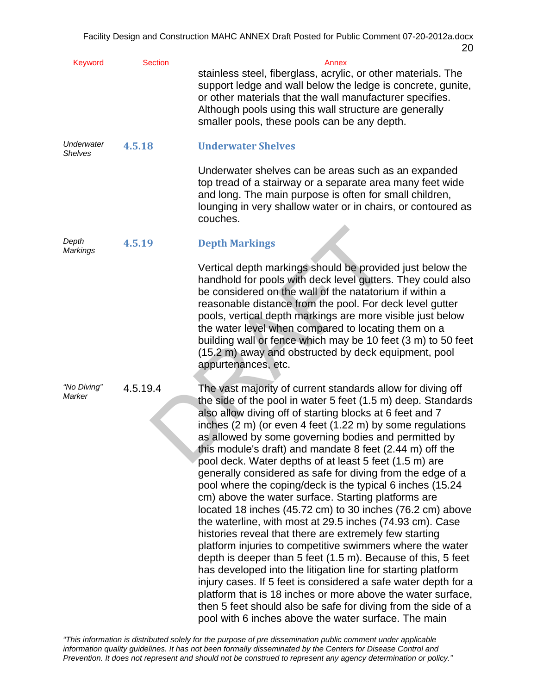| Keyword                  | <b>Section</b> | Annex<br>stainless steel, fiberglass, acrylic, or other materials. The<br>support ledge and wall below the ledge is concrete, gunite,<br>or other materials that the wall manufacturer specifies.<br>Although pools using this wall structure are generally<br>smaller pools, these pools can be any depth.                                                                                                                                                                                                                                                                                                                                                                                                                                                                                                                                                                                                                                                                                                                                                                                                                                                                                                                                                     |
|--------------------------|----------------|-----------------------------------------------------------------------------------------------------------------------------------------------------------------------------------------------------------------------------------------------------------------------------------------------------------------------------------------------------------------------------------------------------------------------------------------------------------------------------------------------------------------------------------------------------------------------------------------------------------------------------------------------------------------------------------------------------------------------------------------------------------------------------------------------------------------------------------------------------------------------------------------------------------------------------------------------------------------------------------------------------------------------------------------------------------------------------------------------------------------------------------------------------------------------------------------------------------------------------------------------------------------|
| Underwater<br>Shelves    | 4.5.18         | <b>Underwater Shelves</b>                                                                                                                                                                                                                                                                                                                                                                                                                                                                                                                                                                                                                                                                                                                                                                                                                                                                                                                                                                                                                                                                                                                                                                                                                                       |
|                          |                | Underwater shelves can be areas such as an expanded<br>top tread of a stairway or a separate area many feet wide<br>and long. The main purpose is often for small children,<br>lounging in very shallow water or in chairs, or contoured as<br>couches.                                                                                                                                                                                                                                                                                                                                                                                                                                                                                                                                                                                                                                                                                                                                                                                                                                                                                                                                                                                                         |
| Depth<br><b>Markings</b> | 4.5.19         | <b>Depth Markings</b>                                                                                                                                                                                                                                                                                                                                                                                                                                                                                                                                                                                                                                                                                                                                                                                                                                                                                                                                                                                                                                                                                                                                                                                                                                           |
|                          |                | Vertical depth markings should be provided just below the<br>handhold for pools with deck level gutters. They could also<br>be considered on the wall of the natatorium if within a<br>reasonable distance from the pool. For deck level gutter<br>pools, vertical depth markings are more visible just below<br>the water level when compared to locating them on a<br>building wall or fence which may be 10 feet (3 m) to 50 feet<br>(15.2 m) away and obstructed by deck equipment, pool<br>appurtenances, etc.                                                                                                                                                                                                                                                                                                                                                                                                                                                                                                                                                                                                                                                                                                                                             |
| "No Diving"<br>Marker    | 4.5.19.4       | The vast majority of current standards allow for diving off<br>the side of the pool in water 5 feet (1.5 m) deep. Standards<br>also allow diving off of starting blocks at 6 feet and 7<br>inches (2 m) (or even 4 feet (1.22 m) by some regulations<br>as allowed by some governing bodies and permitted by<br>this module's draft) and mandate 8 feet (2.44 m) off the<br>pool deck. Water depths of at least 5 feet (1.5 m) are<br>generally considered as safe for diving from the edge of a<br>pool where the coping/deck is the typical 6 inches (15.24)<br>cm) above the water surface. Starting platforms are<br>located 18 inches (45.72 cm) to 30 inches (76.2 cm) above<br>the waterline, with most at 29.5 inches (74.93 cm). Case<br>histories reveal that there are extremely few starting<br>platform injuries to competitive swimmers where the water<br>depth is deeper than 5 feet (1.5 m). Because of this, 5 feet<br>has developed into the litigation line for starting platform<br>injury cases. If 5 feet is considered a safe water depth for a<br>platform that is 18 inches or more above the water surface,<br>then 5 feet should also be safe for diving from the side of a<br>pool with 6 inches above the water surface. The main |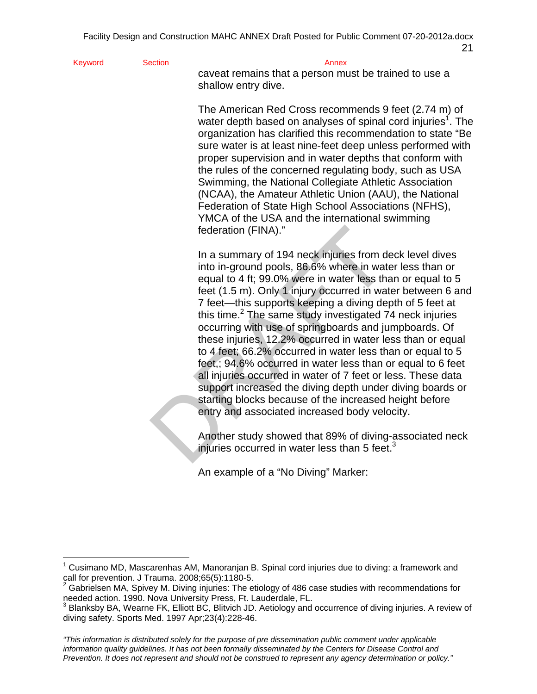```
Keyword Section Section Annex
```
1

caveat remains that a person must be trained to use a shallow entry dive.

The American Red Cross recommends 9 feet (2.74 m) of water depth based on analyses of spinal cord injuries<sup>1</sup>. The organization has clarified this recommendation to state "Be sure water is at least nine-feet deep unless performed with proper supervision and in water depths that conform with the rules of the concerned regulating body, such as USA Swimming, the National Collegiate Athletic Association (NCAA), the Amateur Athletic Union (AAU), the National Federation of State High School Associations (NFHS), YMCA of the USA and the international swimming federation (FINA)."

federation (FINA)."<br>
In a summary of 194 neck injuries from d<br>
into in-ground pools, 86.6% where in wat<br>
equal to 4 ft; 99.0% were in water less the<br>
feet (1.5 m). Only 1 injury occurred in wa<br>
7 feet—this supports keeping In a summary of 194 neck injuries from deck level dives into in-ground pools, 86.6% where in water less than or equal to 4 ft; 99.0% were in water less than or equal to 5 feet (1.5 m). Only 1 injury occurred in water between 6 and 7 feet—this supports keeping a diving depth of 5 feet at this time. $2$  The same study investigated 74 neck injuries occurring with use of springboards and jumpboards. Of these injuries, 12.2% occurred in water less than or equal to 4 feet; 66.2% occurred in water less than or equal to 5 feet,; 94.6% occurred in water less than or equal to 6 feet all injuries occurred in water of 7 feet or less. These data support increased the diving depth under diving boards or starting blocks because of the increased height before entry and associated increased body velocity.

injuries occurred in water less than 5 feet. $3$ Another study showed that 89% of diving-associated neck

An example of a "No Diving" Marker:

<sup>1</sup> Cusimano MD, Mascarenhas AM, Manoranjan B. Spinal cord injuries due to diving: a framework and call for prevention. J Trauma. 2008;65(5):1180-5.<br><sup>2</sup> Gabrielsen MA, Spivey M. Diving injuries: The etiology of 486 case studies with recommendations for

needed action. 1990. Nova University Press, Ft. Lauderdale, FL.

 $^3$  Blanksby BA, Wearne FK, Elliott BC, Blitvich JD. Aetiology and occurrence of diving injuries. A review of diving safety. Sports Med. 1997 Apr;23(4):228-46.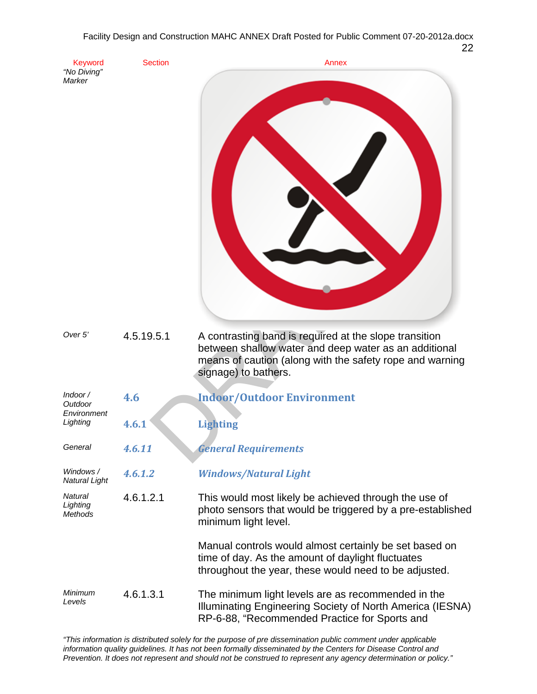| Keyword                                        | <b>Section</b> | Annex                                                                                                                                                                                               |
|------------------------------------------------|----------------|-----------------------------------------------------------------------------------------------------------------------------------------------------------------------------------------------------|
| "No Diving"<br>Marker                          |                |                                                                                                                                                                                                     |
| Over 5'                                        | 4.5.19.5.1     | A contrasting band is required at the slope transition<br>between shallow water and deep water as an additional<br>means of caution (along with the safety rope and warning<br>signage) to bathers. |
| Indoor /<br>Outdoor<br>Environment<br>Lighting | 4.6            | <b>Indoor/Outdoor Environment</b>                                                                                                                                                                   |
|                                                | 4.6.1          | <b>Lighting</b>                                                                                                                                                                                     |
| General                                        | 4.6.11         | <b>General Requirements</b>                                                                                                                                                                         |
| Windows /<br>Natural Light                     | 4.6.1.2        | <b>Windows/Natural Light</b>                                                                                                                                                                        |
| Natural<br>Lighting<br>Methods                 | 4.6.1.2.1      | This would most likely be achieved through the use of<br>photo sensors that would be triggered by a pre-established<br>minimum light level.                                                         |
|                                                |                | Manual controls would almost certainly be set based on<br>time of day. As the amount of daylight fluctuates<br>throughout the year, these would need to be adjusted.                                |
| Minimum<br>Levels                              | 4.6.1.3.1      | The minimum light levels are as recommended in the<br>Illuminating Engineering Society of North America (IESNA)<br>RP-6-88, "Recommended Practice for Sports and                                    |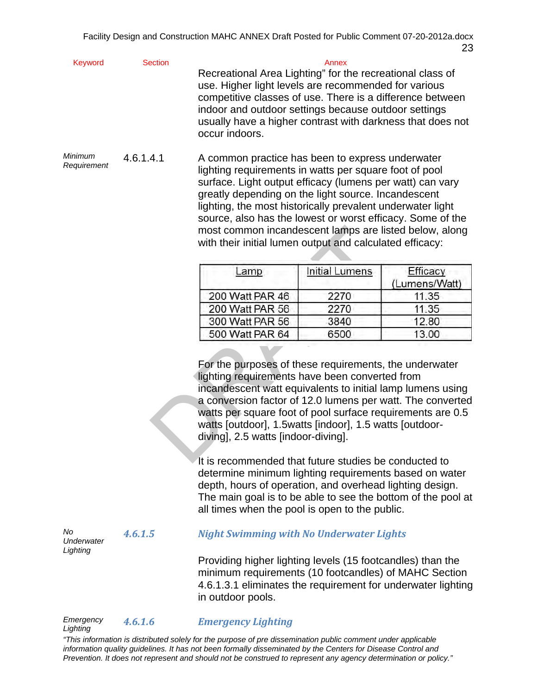| Keyword | <b>Section</b> | Annex                                                                        |
|---------|----------------|------------------------------------------------------------------------------|
|         |                | Recreational Area Lighting" for the recreational class of                    |
|         |                | use. Higher light levels are recommended for various                         |
|         |                | competitive classes of use. There is a difference between                    |
|         |                | indoor and outdoor settings because outdoor settings                         |
|         |                | usually have a higher contrast with darkness that does not<br>occur indoors. |
|         |                |                                                                              |

*Minimum Requirement* 4.6.1.4.1 A common practice has been to express underwater lighting requirements in watts per square foot of pool surface. Light output efficacy (lumens per watt) can vary greatly depending on the light source. Incandescent lighting, the most historically prevalent underwater light source, also has the lowest or worst efficacy. Some of the most common incandescent lamps are listed below, along with their initial lumen output and calculated efficacy:

| Lamp            | Initial Lumens | Efficacy<br>(Lumens/Watt) |
|-----------------|----------------|---------------------------|
| 200 Watt PAR 46 | 2270           | 11.35                     |
| 200 Watt PAR 56 | 2270           | 11.35                     |
| 300 Watt PAR 56 | 3840           | 12.80                     |
| 500 Watt PAR 64 | 6500           | 13.00                     |

most common incandescent lamps are list<br>with their initial lumen output and calculat<br>
<u>Lamper Initial Lumens</u><br>
200 Watt PAR 46 2270<br>
200 Watt PAR 56 2270<br>
300 Watt PAR 56 3840<br>
500 Watt PAR 64 6500<br>
For the purposes of the For the purposes of these requirements, the underwater lighting requirements have been converted from incandescent watt equivalents to initial lamp lumens using a conversion factor of 12.0 lumens per watt. The converted watts per square foot of pool surface requirements are 0.5 watts [outdoor], 1.5watts [indoor], 1.5 watts [outdoordiving], 2.5 watts [indoor-diving].

It is recommended that future studies be conducted to determine minimum lighting requirements based on water depth, hours of operation, and overhead lighting design. The main goal is to be able to see the bottom of the pool at all times when the pool is open to the public.

 *4.6.1.5 Night Swimming with No Underwater Lights*

Providing higher lighting levels (15 footcandles) than the minimum requirements (10 footcandles) of MAHC Section 4.6.1.3.1 eliminates the requirement for underwater lighting in outdoor pools.

# *Emergency 4.6.1.6 Emergency Lighting Lighting*

*No* 

*Underwater Lighting*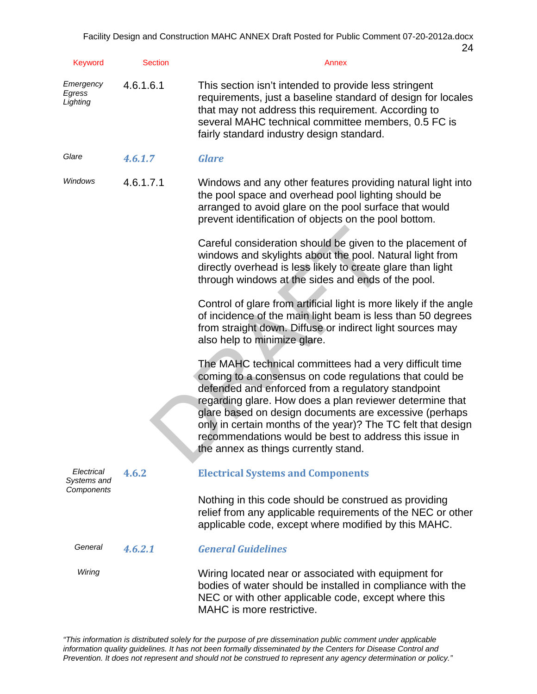| Keyword                         | <b>Section</b> | Annex                                                                                                                                                                                                                                                                                                                                                                                                                                                            |
|---------------------------------|----------------|------------------------------------------------------------------------------------------------------------------------------------------------------------------------------------------------------------------------------------------------------------------------------------------------------------------------------------------------------------------------------------------------------------------------------------------------------------------|
| Emergency<br>Egress<br>Lighting | 4.6.1.6.1      | This section isn't intended to provide less stringent<br>requirements, just a baseline standard of design for locales<br>that may not address this requirement. According to<br>several MAHC technical committee members, 0.5 FC is<br>fairly standard industry design standard.                                                                                                                                                                                 |
| Glare                           | 4.6.1.7        | <b>Glare</b>                                                                                                                                                                                                                                                                                                                                                                                                                                                     |
| Windows                         | 4.6.1.7.1      | Windows and any other features providing natural light into<br>the pool space and overhead pool lighting should be<br>arranged to avoid glare on the pool surface that would<br>prevent identification of objects on the pool bottom.                                                                                                                                                                                                                            |
|                                 |                | Careful consideration should be given to the placement of<br>windows and skylights about the pool. Natural light from<br>directly overhead is less likely to create glare than light<br>through windows at the sides and ends of the pool.                                                                                                                                                                                                                       |
|                                 |                | Control of glare from artificial light is more likely if the angle<br>of incidence of the main light beam is less than 50 degrees<br>from straight down. Diffuse or indirect light sources may<br>also help to minimize glare.                                                                                                                                                                                                                                   |
|                                 |                | The MAHC technical committees had a very difficult time<br>coming to a consensus on code regulations that could be<br>defended and enforced from a regulatory standpoint<br>regarding glare. How does a plan reviewer determine that<br>glare based on design documents are excessive (perhaps<br>only in certain months of the year)? The TC felt that design<br>recommendations would be best to address this issue in<br>the annex as things currently stand. |
| Electrical<br>Systems and       | 4.6.2          | <b>Electrical Systems and Components</b>                                                                                                                                                                                                                                                                                                                                                                                                                         |
| Components                      |                | Nothing in this code should be construed as providing<br>relief from any applicable requirements of the NEC or other<br>applicable code, except where modified by this MAHC.                                                                                                                                                                                                                                                                                     |
| General                         | 4.6.2.1        | <b>General Guidelines</b>                                                                                                                                                                                                                                                                                                                                                                                                                                        |
| Wiring                          |                | Wiring located near or associated with equipment for<br>bodies of water should be installed in compliance with the<br>NEC or with other applicable code, except where this<br>MAHC is more restrictive.                                                                                                                                                                                                                                                          |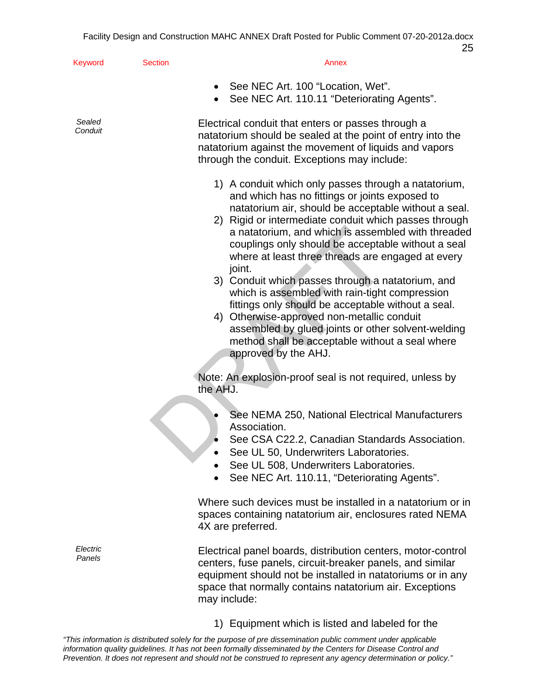| Keyword            | <b>Section</b> | Annex                                                                                                                                                                                                                                                                                                                                                                                                                                                                                                                                                                                                                                                                                                                                             |
|--------------------|----------------|---------------------------------------------------------------------------------------------------------------------------------------------------------------------------------------------------------------------------------------------------------------------------------------------------------------------------------------------------------------------------------------------------------------------------------------------------------------------------------------------------------------------------------------------------------------------------------------------------------------------------------------------------------------------------------------------------------------------------------------------------|
|                    |                | See NEC Art. 100 "Location, Wet".<br>See NEC Art. 110.11 "Deteriorating Agents".                                                                                                                                                                                                                                                                                                                                                                                                                                                                                                                                                                                                                                                                  |
| Sealed<br>Conduit  |                | Electrical conduit that enters or passes through a<br>natatorium should be sealed at the point of entry into the<br>natatorium against the movement of liquids and vapors<br>through the conduit. Exceptions may include:                                                                                                                                                                                                                                                                                                                                                                                                                                                                                                                         |
|                    |                | 1) A conduit which only passes through a natatorium,<br>and which has no fittings or joints exposed to<br>natatorium air, should be acceptable without a seal.<br>2) Rigid or intermediate conduit which passes through<br>a natatorium, and which is assembled with threaded<br>couplings only should be acceptable without a seal<br>where at least three threads are engaged at every<br>joint.<br>3) Conduit which passes through a natatorium, and<br>which is assembled with rain-tight compression<br>fittings only should be acceptable without a seal.<br>Otherwise-approved non-metallic conduit<br>4)<br>assembled by glued joints or other solvent-welding<br>method shall be acceptable without a seal where<br>approved by the AHJ. |
|                    |                | Note: An explosion-proof seal is not required, unless by<br>the AHJ.                                                                                                                                                                                                                                                                                                                                                                                                                                                                                                                                                                                                                                                                              |
|                    |                | See NEMA 250, National Electrical Manufacturers<br>Association.<br>See CSA C22.2, Canadian Standards Association.<br>See UL 50, Underwriters Laboratories.<br>See UL 508, Underwriters Laboratories.<br>See NEC Art. 110.11, "Deteriorating Agents".                                                                                                                                                                                                                                                                                                                                                                                                                                                                                              |
|                    |                | Where such devices must be installed in a natatorium or in<br>spaces containing natatorium air, enclosures rated NEMA<br>4X are preferred.                                                                                                                                                                                                                                                                                                                                                                                                                                                                                                                                                                                                        |
| Electric<br>Panels |                | Electrical panel boards, distribution centers, motor-control<br>centers, fuse panels, circuit-breaker panels, and similar<br>equipment should not be installed in natatoriums or in any<br>space that normally contains natatorium air. Exceptions<br>may include:                                                                                                                                                                                                                                                                                                                                                                                                                                                                                |

1) Equipment which is listed and labeled for the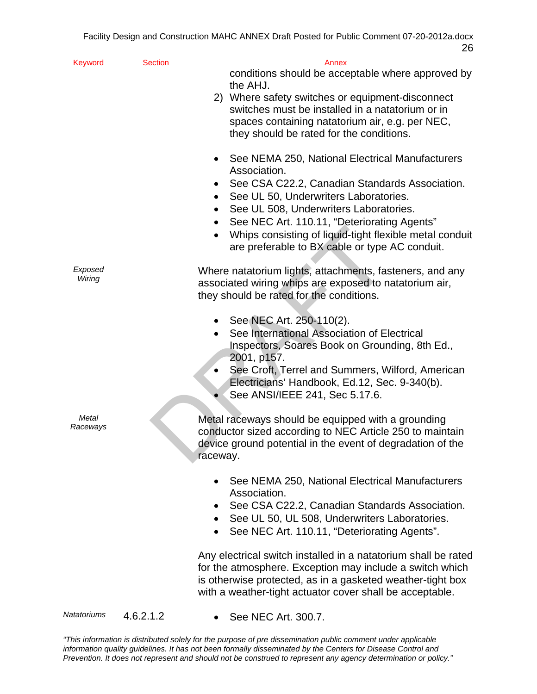| Keyword           | <b>Section</b>                                                                                                                                               | Annex                                                                                                                                                                                                                                                |
|-------------------|--------------------------------------------------------------------------------------------------------------------------------------------------------------|------------------------------------------------------------------------------------------------------------------------------------------------------------------------------------------------------------------------------------------------------|
|                   |                                                                                                                                                              | conditions should be acceptable where approved by<br>the AHJ.                                                                                                                                                                                        |
|                   |                                                                                                                                                              | 2) Where safety switches or equipment-disconnect<br>switches must be installed in a natatorium or in                                                                                                                                                 |
|                   |                                                                                                                                                              | spaces containing natatorium air, e.g. per NEC,<br>they should be rated for the conditions.                                                                                                                                                          |
|                   |                                                                                                                                                              | See NEMA 250, National Electrical Manufacturers<br>Association.                                                                                                                                                                                      |
|                   |                                                                                                                                                              | See CSA C22.2, Canadian Standards Association.<br>See UL 50, Underwriters Laboratories.<br>٠                                                                                                                                                         |
|                   |                                                                                                                                                              | See UL 508, Underwriters Laboratories.                                                                                                                                                                                                               |
|                   |                                                                                                                                                              | See NEC Art. 110.11, "Deteriorating Agents"<br>Whips consisting of liquid-tight flexible metal conduit<br>$\bullet$<br>are preferable to BX cable or type AC conduit.                                                                                |
| Exposed<br>Wiring |                                                                                                                                                              | Where natatorium lights, attachments, fasteners, and any<br>associated wiring whips are exposed to natatorium air,<br>they should be rated for the conditions.                                                                                       |
|                   |                                                                                                                                                              | See NEC Art. 250-110(2).<br>See International Association of Electrical<br>$\bullet$<br>Inspectors, Soares Book on Grounding, 8th Ed.,                                                                                                               |
|                   |                                                                                                                                                              | 2001, p157.<br>See Croft, Terrel and Summers, Wilford, American                                                                                                                                                                                      |
|                   |                                                                                                                                                              | Electricians' Handbook, Ed.12, Sec. 9-340(b).<br>See ANSI/IEEE 241, Sec 5.17.6.                                                                                                                                                                      |
| Metal<br>Raceways |                                                                                                                                                              | Metal raceways should be equipped with a grounding<br>conductor sized according to NEC Article 250 to maintain<br>device ground potential in the event of degradation of the<br>raceway.                                                             |
|                   |                                                                                                                                                              | See NEMA 250, National Electrical Manufacturers<br>Association.                                                                                                                                                                                      |
|                   | See CSA C22.2, Canadian Standards Association.<br>See UL 50, UL 508, Underwriters Laboratories.<br>$\bullet$<br>See NEC Art. 110.11, "Deteriorating Agents". |                                                                                                                                                                                                                                                      |
|                   |                                                                                                                                                              | Any electrical switch installed in a natatorium shall be rated<br>for the atmosphere. Exception may include a switch which<br>is otherwise protected, as in a gasketed weather-tight box<br>with a weather-tight actuator cover shall be acceptable. |
| Natatoriums       | 4.6.2.1.2                                                                                                                                                    | See NEC Art. 300.7.                                                                                                                                                                                                                                  |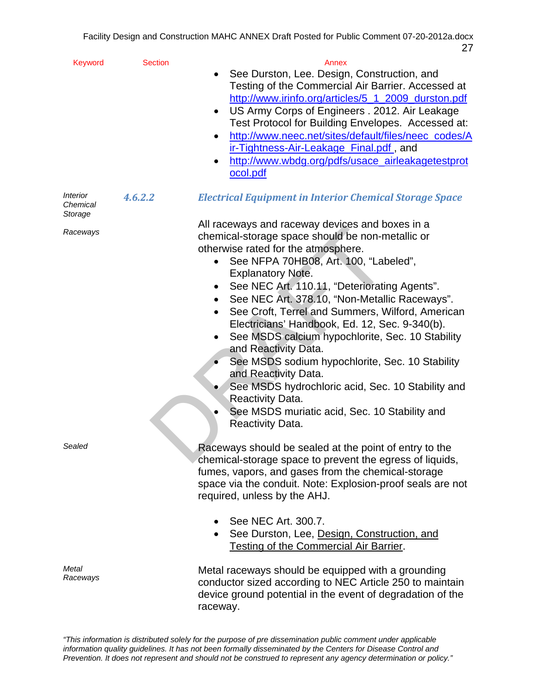| <b>Keyword</b>                                       | <b>Section</b> | Annex                                                                                                                                                                                                                                                                                                                                                                                                                                                                                                                                                                                                                                                                                                                                           |
|------------------------------------------------------|----------------|-------------------------------------------------------------------------------------------------------------------------------------------------------------------------------------------------------------------------------------------------------------------------------------------------------------------------------------------------------------------------------------------------------------------------------------------------------------------------------------------------------------------------------------------------------------------------------------------------------------------------------------------------------------------------------------------------------------------------------------------------|
|                                                      |                | See Durston, Lee. Design, Construction, and<br>Testing of the Commercial Air Barrier. Accessed at<br>http://www.irinfo.org/articles/5_1_2009_durston.pdf<br>US Army Corps of Engineers . 2012. Air Leakage<br>$\bullet$<br>Test Protocol for Building Envelopes. Accessed at:<br>http://www.neec.net/sites/default/files/neec_codes/A<br>٠<br>ir-Tightness-Air-Leakage_Final.pdf, and<br>http://www.wbdg.org/pdfs/usace_airleakagetestprot<br>٠<br>ocol.pdf                                                                                                                                                                                                                                                                                     |
| <i><u><b>Interior</b></u></i><br>Chemical<br>Storage | 4.6.2.2        | <b>Electrical Equipment in Interior Chemical Storage Space</b>                                                                                                                                                                                                                                                                                                                                                                                                                                                                                                                                                                                                                                                                                  |
| Raceways                                             |                | All raceways and raceway devices and boxes in a<br>chemical-storage space should be non-metallic or<br>otherwise rated for the atmosphere.<br>See NFPA 70HB08, Art. 100, "Labeled",<br><b>Explanatory Note.</b><br>See NEC Art. 110.11, "Deteriorating Agents".<br>See NEC Art. 378.10, "Non-Metallic Raceways".<br>$\bullet$<br>See Croft, Terrel and Summers, Wilford, American<br>Electricians' Handbook, Ed. 12, Sec. 9-340(b).<br>See MSDS calcium hypochlorite, Sec. 10 Stability<br>and Reactivity Data.<br>See MSDS sodium hypochlorite, Sec. 10 Stability<br>and Reactivity Data.<br>See MSDS hydrochloric acid, Sec. 10 Stability and<br><b>Reactivity Data.</b><br>See MSDS muriatic acid, Sec. 10 Stability and<br>Reactivity Data. |
| Sealed                                               |                | Raceways should be sealed at the point of entry to the<br>chemical-storage space to prevent the egress of liquids,<br>fumes, vapors, and gases from the chemical-storage<br>space via the conduit. Note: Explosion-proof seals are not<br>required, unless by the AHJ.<br>See NEC Art. 300.7.<br>See Durston, Lee, Design, Construction, and<br>Testing of the Commercial Air Barrier.                                                                                                                                                                                                                                                                                                                                                          |
| Metal<br>Raceways                                    |                | Metal raceways should be equipped with a grounding<br>conductor sized according to NEC Article 250 to maintain<br>device ground potential in the event of degradation of the<br>raceway.                                                                                                                                                                                                                                                                                                                                                                                                                                                                                                                                                        |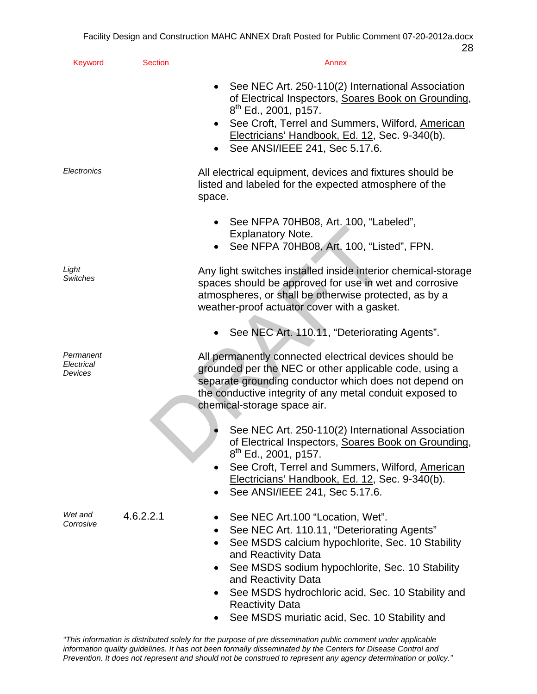| Keyword                            | <b>Section</b> | Annex                                                                                                                                                                                                                                                                                                                                                                     |
|------------------------------------|----------------|---------------------------------------------------------------------------------------------------------------------------------------------------------------------------------------------------------------------------------------------------------------------------------------------------------------------------------------------------------------------------|
|                                    |                | See NEC Art. 250-110(2) International Association<br>of Electrical Inspectors, Soares Book on Grounding,<br>$8th$ Ed., 2001, p157.<br>See Croft, Terrel and Summers, Wilford, American<br>$\bullet$<br>Electricians' Handbook, Ed. 12, Sec. 9-340(b).<br>See ANSI/IEEE 241, Sec 5.17.6.                                                                                   |
| Electronics                        |                | All electrical equipment, devices and fixtures should be<br>listed and labeled for the expected atmosphere of the<br>space.                                                                                                                                                                                                                                               |
|                                    |                | • See NFPA 70HB08, Art. 100, "Labeled",<br><b>Explanatory Note.</b><br>See NFPA 70HB08, Art. 100, "Listed", FPN.                                                                                                                                                                                                                                                          |
| Light<br><b>Switches</b>           |                | Any light switches installed inside interior chemical-storage<br>spaces should be approved for use in wet and corrosive<br>atmospheres, or shall be otherwise protected, as by a<br>weather-proof actuator cover with a gasket.                                                                                                                                           |
|                                    |                | See NEC Art. 110.11, "Deteriorating Agents".                                                                                                                                                                                                                                                                                                                              |
| Permanent<br>Electrical<br>Devices |                | All permanently connected electrical devices should be<br>grounded per the NEC or other applicable code, using a<br>separate grounding conductor which does not depend on<br>the conductive integrity of any metal conduit exposed to<br>chemical-storage space air.                                                                                                      |
|                                    |                | See NEC Art. 250-110(2) International Association<br>of Electrical Inspectors, Soares Book on Grounding,<br>8 <sup>th</sup> Ed., 2001, p157.<br>See Croft, Terrel and Summers, Wilford, American<br>Electricians' Handbook, Ed. 12, Sec. 9-340(b).<br>See ANSI/IEEE 241, Sec 5.17.6.                                                                                      |
| Wet and<br>Corrosive               | 4.6.2.2.1      | See NEC Art.100 "Location, Wet".<br>See NEC Art. 110.11, "Deteriorating Agents"<br>See MSDS calcium hypochlorite, Sec. 10 Stability<br>and Reactivity Data<br>See MSDS sodium hypochlorite, Sec. 10 Stability<br>٠<br>and Reactivity Data<br>See MSDS hydrochloric acid, Sec. 10 Stability and<br><b>Reactivity Data</b><br>See MSDS muriatic acid, Sec. 10 Stability and |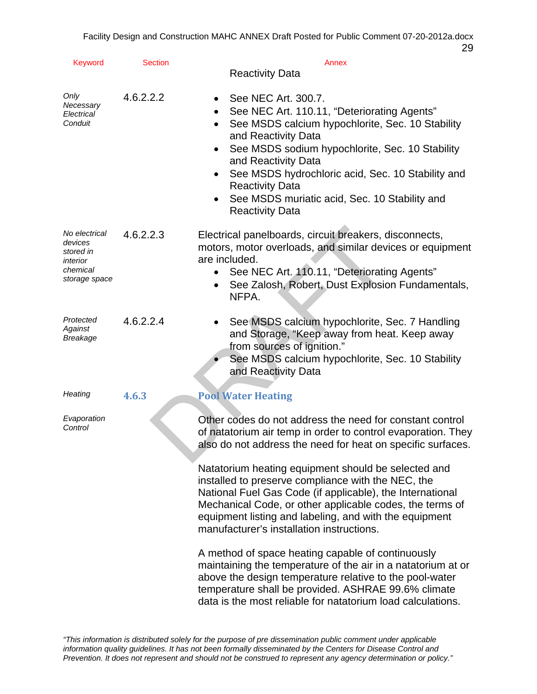| <b>Keyword</b>                                                                 | <b>Section</b> | Annex                                                                                                                                                                                                                                                                                                                                                                                                                    |
|--------------------------------------------------------------------------------|----------------|--------------------------------------------------------------------------------------------------------------------------------------------------------------------------------------------------------------------------------------------------------------------------------------------------------------------------------------------------------------------------------------------------------------------------|
|                                                                                |                | <b>Reactivity Data</b>                                                                                                                                                                                                                                                                                                                                                                                                   |
| Only<br>Necessary<br>Electrical<br>Conduit                                     | 4.6.2.2.2      | See NEC Art. 300.7.<br>$\bullet$<br>See NEC Art. 110.11, "Deteriorating Agents"<br>$\bullet$<br>See MSDS calcium hypochlorite, Sec. 10 Stability<br>$\bullet$<br>and Reactivity Data<br>See MSDS sodium hypochlorite, Sec. 10 Stability<br>and Reactivity Data<br>See MSDS hydrochloric acid, Sec. 10 Stability and<br><b>Reactivity Data</b><br>See MSDS muriatic acid, Sec. 10 Stability and<br><b>Reactivity Data</b> |
| No electrical<br>devices<br>stored in<br>interior<br>chemical<br>storage space | 4.6.2.2.3      | Electrical panelboards, circuit breakers, disconnects,<br>motors, motor overloads, and similar devices or equipment<br>are included.<br>See NEC Art. 110.11, "Deteriorating Agents"<br>See Zalosh, Robert, Dust Explosion Fundamentals,<br>NFPA.                                                                                                                                                                         |
| Protected<br>Against<br><b>Breakage</b>                                        | 4.6.2.2.4      | See MSDS calcium hypochlorite, Sec. 7 Handling<br>and Storage, "Keep away from heat. Keep away<br>from sources of ignition."<br>See MSDS calcium hypochlorite, Sec. 10 Stability<br>and Reactivity Data                                                                                                                                                                                                                  |
| Heating                                                                        | 4.6.3          | <b>Pool Water Heating</b>                                                                                                                                                                                                                                                                                                                                                                                                |
| Evaporation<br>Control                                                         |                | Other codes do not address the need for constant control<br>of natatorium air temp in order to control evaporation. They<br>also do not address the need for heat on specific surfaces.                                                                                                                                                                                                                                  |
|                                                                                |                | Natatorium heating equipment should be selected and<br>installed to preserve compliance with the NEC, the<br>National Fuel Gas Code (if applicable), the International<br>Mechanical Code, or other applicable codes, the terms of<br>equipment listing and labeling, and with the equipment<br>manufacturer's installation instructions.                                                                                |
|                                                                                |                | A method of space heating capable of continuously<br>maintaining the temperature of the air in a natatorium at or<br>above the design temperature relative to the pool-water<br>temperature shall be provided. ASHRAE 99.6% climate<br>data is the most reliable for natatorium load calculations.                                                                                                                       |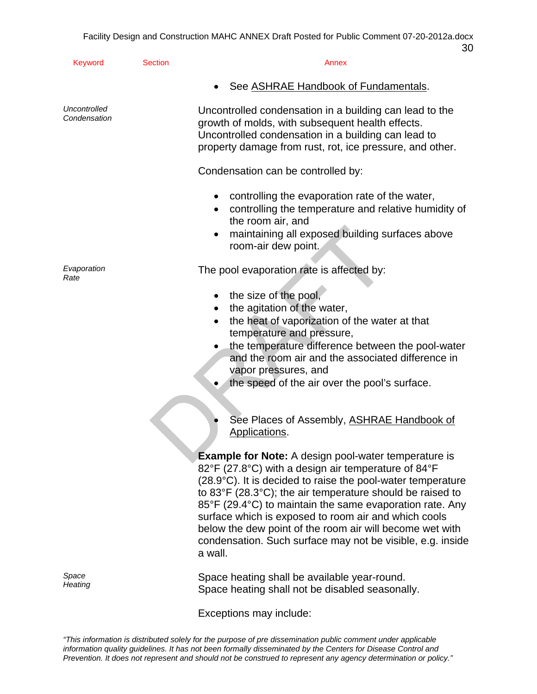| <b>Keyword</b>               | <b>Section</b> | Annex                                                                                                                                                                                                                                                                                                                                                                                                                                                                                                                       |
|------------------------------|----------------|-----------------------------------------------------------------------------------------------------------------------------------------------------------------------------------------------------------------------------------------------------------------------------------------------------------------------------------------------------------------------------------------------------------------------------------------------------------------------------------------------------------------------------|
|                              |                | See ASHRAE Handbook of Fundamentals.                                                                                                                                                                                                                                                                                                                                                                                                                                                                                        |
| Uncontrolled<br>Condensation |                | Uncontrolled condensation in a building can lead to the<br>growth of molds, with subsequent health effects.<br>Uncontrolled condensation in a building can lead to<br>property damage from rust, rot, ice pressure, and other.                                                                                                                                                                                                                                                                                              |
|                              |                | Condensation can be controlled by:                                                                                                                                                                                                                                                                                                                                                                                                                                                                                          |
|                              |                | controlling the evaporation rate of the water,<br>٠<br>controlling the temperature and relative humidity of<br>the room air, and<br>maintaining all exposed building surfaces above<br>٠<br>room-air dew point.                                                                                                                                                                                                                                                                                                             |
| Evaporation<br>Rate          |                | The pool evaporation rate is affected by:                                                                                                                                                                                                                                                                                                                                                                                                                                                                                   |
|                              |                | the size of the pool,<br>٠<br>the agitation of the water,<br>the heat of vaporization of the water at that<br>٠<br>temperature and pressure,<br>the temperature difference between the pool-water<br>and the room air and the associated difference in<br>vapor pressures, and<br>the speed of the air over the pool's surface.<br>See Places of Assembly, ASHRAE Handbook of<br>Applications.                                                                                                                              |
|                              |                | <b>Example for Note:</b> A design pool-water temperature is<br>82°F (27.8°C) with a design air temperature of 84°F<br>(28.9°C). It is decided to raise the pool-water temperature<br>to 83 $\degree$ F (28.3 $\degree$ C); the air temperature should be raised to<br>85°F (29.4°C) to maintain the same evaporation rate. Any<br>surface which is exposed to room air and which cools<br>below the dew point of the room air will become wet with<br>condensation. Such surface may not be visible, e.g. inside<br>a wall. |
| Space                        |                | Snace heating shall he available vear-round                                                                                                                                                                                                                                                                                                                                                                                                                                                                                 |

*Space* **Space heating shall be available year-round.** Preating shall be available year-round.<br>Heating *Heating* **Space heating shall not be disabled seasonally.** 

Exceptions may include: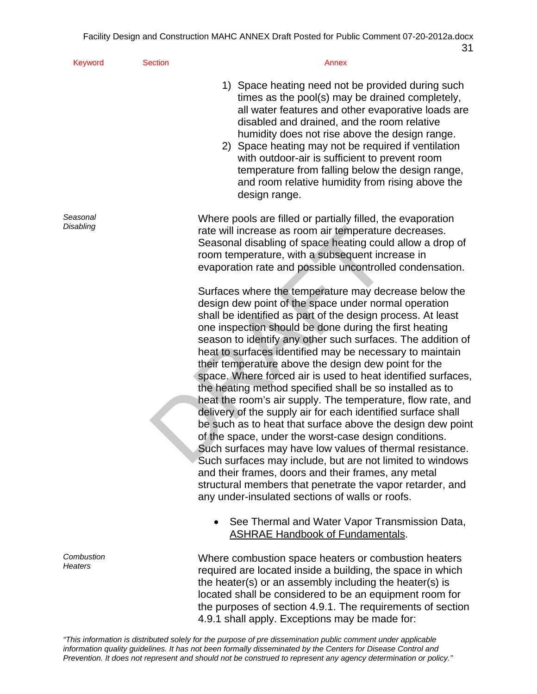| <b>Keyword</b>        | <b>Section</b> | Annex                                                                                                                                                                                                                                                                                                                                                                                                                                                                                                                                                                                                                                                                                                                                                                                                                                                                                                                                                                                                                                                                                                       |
|-----------------------|----------------|-------------------------------------------------------------------------------------------------------------------------------------------------------------------------------------------------------------------------------------------------------------------------------------------------------------------------------------------------------------------------------------------------------------------------------------------------------------------------------------------------------------------------------------------------------------------------------------------------------------------------------------------------------------------------------------------------------------------------------------------------------------------------------------------------------------------------------------------------------------------------------------------------------------------------------------------------------------------------------------------------------------------------------------------------------------------------------------------------------------|
|                       |                | 1) Space heating need not be provided during such<br>times as the pool(s) may be drained completely,<br>all water features and other evaporative loads are<br>disabled and drained, and the room relative<br>humidity does not rise above the design range.<br>2) Space heating may not be required if ventilation<br>with outdoor-air is sufficient to prevent room<br>temperature from falling below the design range,<br>and room relative humidity from rising above the<br>design range.                                                                                                                                                                                                                                                                                                                                                                                                                                                                                                                                                                                                               |
| Seasonal<br>Disabling |                | Where pools are filled or partially filled, the evaporation<br>rate will increase as room air temperature decreases.<br>Seasonal disabling of space heating could allow a drop of<br>room temperature, with a subsequent increase in<br>evaporation rate and possible uncontrolled condensation.                                                                                                                                                                                                                                                                                                                                                                                                                                                                                                                                                                                                                                                                                                                                                                                                            |
|                       |                | Surfaces where the temperature may decrease below the<br>design dew point of the space under normal operation<br>shall be identified as part of the design process. At least<br>one inspection should be done during the first heating<br>season to identify any other such surfaces. The addition of<br>heat to surfaces identified may be necessary to maintain<br>their temperature above the design dew point for the<br>space. Where forced air is used to heat identified surfaces,<br>the heating method specified shall be so installed as to<br>heat the room's air supply. The temperature, flow rate, and<br>delivery of the supply air for each identified surface shall<br>be such as to heat that surface above the design dew point<br>of the space, under the worst-case design conditions.<br>Such surfaces may have low values of thermal resistance.<br>Such surfaces may include, but are not limited to windows<br>and their frames, doors and their frames, any metal<br>structural members that penetrate the vapor retarder, and<br>any under-insulated sections of walls or roofs. |
|                       |                | See Thermal and Water Vapor Transmission Data,<br><b>ASHRAE Handbook of Fundamentals.</b>                                                                                                                                                                                                                                                                                                                                                                                                                                                                                                                                                                                                                                                                                                                                                                                                                                                                                                                                                                                                                   |
| Combustion<br>Heaters |                | Where combustion space heaters or combustion heaters<br>required are located inside a building, the space in which<br>the heater(s) or an assembly including the heater(s) is<br>located shall be considered to be an equipment room for<br>the purposes of section 4.9.1. The requirements of section<br>4.9.1 shall apply. Exceptions may be made for:                                                                                                                                                                                                                                                                                                                                                                                                                                                                                                                                                                                                                                                                                                                                                    |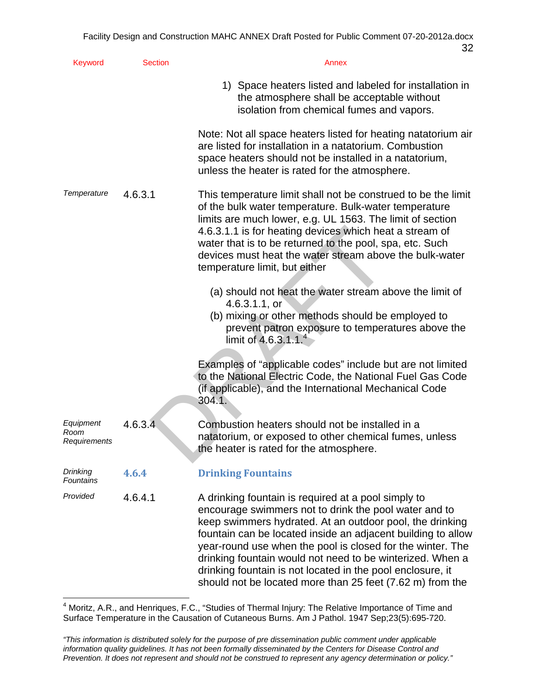| Keyword                           | <b>Section</b> | Annex                                                                                                                                                                                                                                                                                                                                                                                                                                                                                          |
|-----------------------------------|----------------|------------------------------------------------------------------------------------------------------------------------------------------------------------------------------------------------------------------------------------------------------------------------------------------------------------------------------------------------------------------------------------------------------------------------------------------------------------------------------------------------|
|                                   |                | 1) Space heaters listed and labeled for installation in<br>the atmosphere shall be acceptable without<br>isolation from chemical fumes and vapors.                                                                                                                                                                                                                                                                                                                                             |
|                                   |                | Note: Not all space heaters listed for heating natatorium air<br>are listed for installation in a natatorium. Combustion<br>space heaters should not be installed in a natatorium,<br>unless the heater is rated for the atmosphere.                                                                                                                                                                                                                                                           |
| Temperature                       | 4.6.3.1        | This temperature limit shall not be construed to be the limit<br>of the bulk water temperature. Bulk-water temperature<br>limits are much lower, e.g. UL 1563. The limit of section<br>4.6.3.1.1 is for heating devices which heat a stream of<br>water that is to be returned to the pool, spa, etc. Such<br>devices must heat the water stream above the bulk-water<br>temperature limit, but either                                                                                         |
|                                   |                | (a) should not heat the water stream above the limit of<br>4.6.3.1.1, or<br>(b) mixing or other methods should be employed to<br>prevent patron exposure to temperatures above the<br>limit of 4.6.3.1.1. <sup>4</sup>                                                                                                                                                                                                                                                                         |
|                                   |                | Examples of "applicable codes" include but are not limited<br>to the National Electric Code, the National Fuel Gas Code<br>(if applicable), and the International Mechanical Code<br>304.1.                                                                                                                                                                                                                                                                                                    |
| Equipment<br>Room<br>Requirements | 4.6.3.4        | Combustion heaters should not be installed in a<br>natatorium, or exposed to other chemical fumes, unless<br>the heater is rated for the atmosphere.                                                                                                                                                                                                                                                                                                                                           |
| Drinking<br><b>Fountains</b>      | 4.6.4          | <b>Drinking Fountains</b>                                                                                                                                                                                                                                                                                                                                                                                                                                                                      |
| Provided                          | 4.6.4.1        | A drinking fountain is required at a pool simply to<br>encourage swimmers not to drink the pool water and to<br>keep swimmers hydrated. At an outdoor pool, the drinking<br>fountain can be located inside an adjacent building to allow<br>year-round use when the pool is closed for the winter. The<br>drinking fountain would not need to be winterized. When a<br>drinking fountain is not located in the pool enclosure, it<br>should not be located more than 25 feet (7.62 m) from the |

 4 Moritz, A.R., and Henriques, F.C., "Studies of Thermal Injury: The Relative Importance of Time and Surface Temperature in the Causation of Cutaneous Burns. Am J Pathol. 1947 Sep;23(5):695-720.

*<sup>&</sup>quot;This information is distributed solely for the purpose of pre dissemination public comment under applicable information quality guidelines. It has not been formally disseminated by the Centers for Disease Control and Prevention. It does not represent and should not be construed to represent any agency determination or policy."*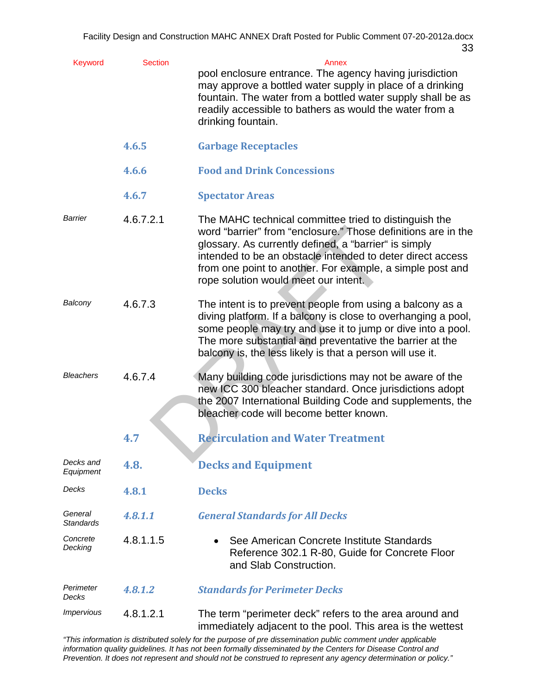| <b>Keyword</b>              | <b>Section</b> | Annex<br>pool enclosure entrance. The agency having jurisdiction<br>may approve a bottled water supply in place of a drinking<br>fountain. The water from a bottled water supply shall be as<br>readily accessible to bathers as would the water from a<br>drinking fountain.                                                                      |
|-----------------------------|----------------|----------------------------------------------------------------------------------------------------------------------------------------------------------------------------------------------------------------------------------------------------------------------------------------------------------------------------------------------------|
|                             | 4.6.5          | <b>Garbage Receptacles</b>                                                                                                                                                                                                                                                                                                                         |
|                             | 4.6.6          | <b>Food and Drink Concessions</b>                                                                                                                                                                                                                                                                                                                  |
|                             | 4.6.7          | <b>Spectator Areas</b>                                                                                                                                                                                                                                                                                                                             |
| Barrier                     | 4.6.7.2.1      | The MAHC technical committee tried to distinguish the<br>word "barrier" from "enclosure." Those definitions are in the<br>glossary. As currently defined, a "barrier" is simply<br>intended to be an obstacle intended to deter direct access<br>from one point to another. For example, a simple post and<br>rope solution would meet our intent. |
| Balcony                     | 4.6.7.3        | The intent is to prevent people from using a balcony as a<br>diving platform. If a balcony is close to overhanging a pool,<br>some people may try and use it to jump or dive into a pool.<br>The more substantial and preventative the barrier at the<br>balcony is, the less likely is that a person will use it.                                 |
| <b>Bleachers</b>            | 4.6.7.4        | Many building code jurisdictions may not be aware of the<br>new ICC 300 bleacher standard. Once jurisdictions adopt<br>the 2007 International Building Code and supplements, the<br>bleacher code will become better known.                                                                                                                        |
|                             | 4.7            | <b>Recirculation and Water Treatment</b>                                                                                                                                                                                                                                                                                                           |
| Decks and<br>Equipment      | 4.8.           | <b>Decks and Equipment</b>                                                                                                                                                                                                                                                                                                                         |
| Decks                       | 4.8.1          | <b>Decks</b>                                                                                                                                                                                                                                                                                                                                       |
| General<br><b>Standards</b> | 4.8.1.1        | <b>General Standards for All Decks</b>                                                                                                                                                                                                                                                                                                             |
| Concrete<br>Decking         | 4.8.1.1.5      | See American Concrete Institute Standards<br>Reference 302.1 R-80, Guide for Concrete Floor<br>and Slab Construction.                                                                                                                                                                                                                              |
| Perimeter<br>Decks          | 4.8.1.2        | <b>Standards for Perimeter Decks</b>                                                                                                                                                                                                                                                                                                               |
| <i><b>Impervious</b></i>    | 4.8.1.2.1      | The term "perimeter deck" refers to the area around and<br>immediately adjacent to the pool. This area is the wettest                                                                                                                                                                                                                              |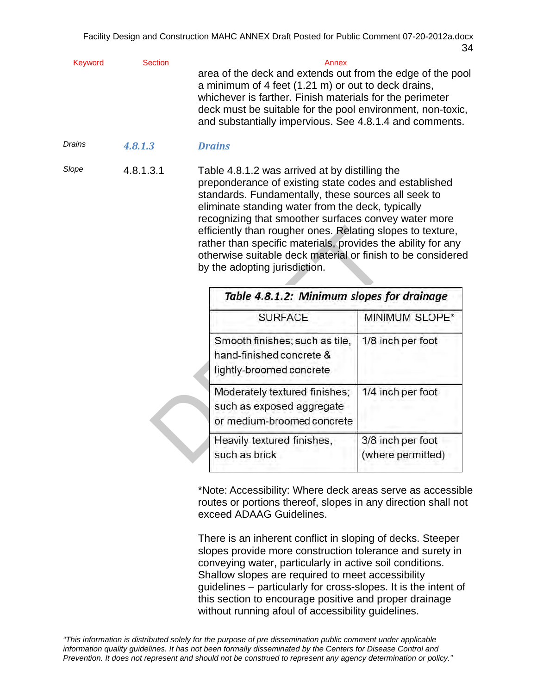| Keyword | Section | Annex                                                      |
|---------|---------|------------------------------------------------------------|
|         |         | area of the deck and extends out from the edge of the pool |
|         |         | a minimum of 4 feet (1.21 m) or out to deck drains,        |
|         |         | whichever is farther. Finish materials for the perimeter   |
|         |         | deck must be suitable for the pool environment, non-toxic, |
|         |         | and substantially impervious. See 4.8.1.4 and comments.    |
|         |         |                                                            |

*Drains 4.8.1.3 Drains*

*Slope* 4.8.1.3.1 Table 4.8.1.2 was arrived at by distilling the preponderance of existing state codes and established standards. Fundamentally, these sources all seek to eliminate standing water from the deck, typically recognizing that smoother surfaces convey water more efficiently than rougher ones. Relating slopes to texture, rather than specific materials, provides the ability for any otherwise suitable deck material or finish to be considered by the adopting jurisdiction.

| efficiently than rougher ones. Relating slopes to texture,<br>rather than specific materials, provides the ability for any<br>otherwise suitable deck material or finish to be considere<br>by the adopting jurisdiction.<br>Table 4.8.1.2: Minimum slopes for drainage |                                        |
|-------------------------------------------------------------------------------------------------------------------------------------------------------------------------------------------------------------------------------------------------------------------------|----------------------------------------|
| <b>SURFACE</b>                                                                                                                                                                                                                                                          | MINIMUM SLOPE*                         |
| Smooth finishes; such as tile,<br>hand-finished concrete &<br>lightly-broomed concrete                                                                                                                                                                                  | 1/8 inch per foot                      |
| Moderately textured finishes;<br>such as exposed aggregate<br>or medium-broomed concrete                                                                                                                                                                                | 1/4 inch per foot                      |
| Heavily textured finishes,<br>such as brick                                                                                                                                                                                                                             | 3/8 inch per foot<br>(where permitted) |

\*Note: Accessibility: Where deck areas serve as accessible routes or portions thereof, slopes in any direction shall not exceed ADAAG Guidelines.

There is an inherent conflict in sloping of decks. Steeper slopes provide more construction tolerance and surety in conveying water, particularly in active soil conditions. Shallow slopes are required to meet accessibility guidelines – particularly for cross-slopes. It is the intent of this section to encourage positive and proper drainage without running afoul of accessibility guidelines.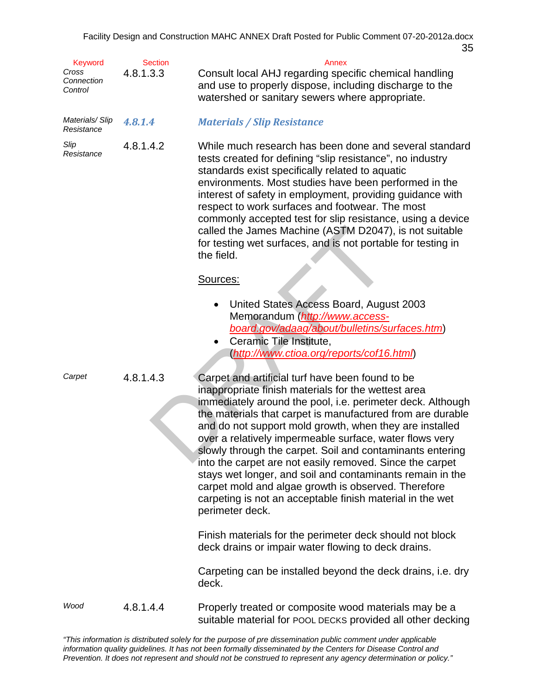| <b>Keyword</b><br>Cross<br>Connection<br>Control | <b>Section</b><br>4.8.1.3.3 | Annex<br>Consult local AHJ regarding specific chemical handling<br>and use to properly dispose, including discharge to the<br>watershed or sanitary sewers where appropriate.                                                                                                                                                                                                                                                                                                                                                                                                                                                                                                          |
|--------------------------------------------------|-----------------------------|----------------------------------------------------------------------------------------------------------------------------------------------------------------------------------------------------------------------------------------------------------------------------------------------------------------------------------------------------------------------------------------------------------------------------------------------------------------------------------------------------------------------------------------------------------------------------------------------------------------------------------------------------------------------------------------|
| Materials/Slip<br>Resistance                     | 4.8.1.4                     | <b>Materials / Slip Resistance</b>                                                                                                                                                                                                                                                                                                                                                                                                                                                                                                                                                                                                                                                     |
| Slip<br>Resistance                               | 4.8.1.4.2                   | While much research has been done and several standard<br>tests created for defining "slip resistance", no industry<br>standards exist specifically related to aquatic<br>environments. Most studies have been performed in the<br>interest of safety in employment, providing guidance with<br>respect to work surfaces and footwear. The most<br>commonly accepted test for slip resistance, using a device<br>called the James Machine (ASTM D2047), is not suitable<br>for testing wet surfaces, and is not portable for testing in<br>the field.                                                                                                                                  |
|                                                  |                             | Sources:                                                                                                                                                                                                                                                                                                                                                                                                                                                                                                                                                                                                                                                                               |
|                                                  |                             | United States Access Board, August 2003<br>$\bullet$<br>Memorandum (http://www.access-<br>board.gov/adaag/about/bulletins/surfaces.htm)<br>Ceramic Tile Institute,<br>٠<br>(http://www.ctioa.org/reports/cof16.html)                                                                                                                                                                                                                                                                                                                                                                                                                                                                   |
| Carpet                                           | 4.8.1.4.3                   | Carpet and artificial turf have been found to be<br>inappropriate finish materials for the wettest area<br>immediately around the pool, i.e. perimeter deck. Although<br>the materials that carpet is manufactured from are durable<br>and do not support mold growth, when they are installed<br>over a relatively impermeable surface, water flows very<br>slowly through the carpet. Soil and contaminants entering<br>into the carpet are not easily removed. Since the carpet<br>stays wet longer, and soil and contaminants remain in the<br>carpet mold and algae growth is observed. Therefore<br>carpeting is not an acceptable finish material in the wet<br>perimeter deck. |
|                                                  |                             | Finish materials for the perimeter deck should not block<br>deck drains or impair water flowing to deck drains.                                                                                                                                                                                                                                                                                                                                                                                                                                                                                                                                                                        |
|                                                  |                             | Carpeting can be installed beyond the deck drains, i.e. dry<br>deck.                                                                                                                                                                                                                                                                                                                                                                                                                                                                                                                                                                                                                   |
| Wood                                             | 4.8.1.4.4                   | Properly treated or composite wood materials may be a<br>suitable material for POOL DECKS provided all other decking                                                                                                                                                                                                                                                                                                                                                                                                                                                                                                                                                                   |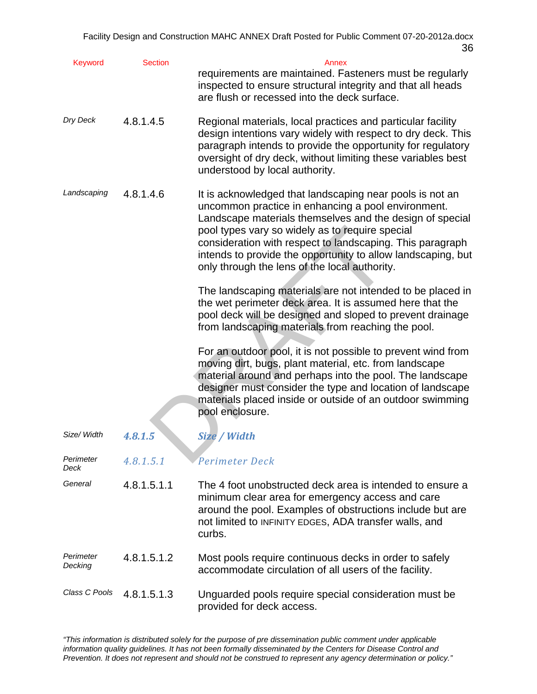| Keyword              | <b>Section</b> | Annex<br>requirements are maintained. Fasteners must be regularly<br>inspected to ensure structural integrity and that all heads<br>are flush or recessed into the deck surface.                                                                                                                                                                                                                            |
|----------------------|----------------|-------------------------------------------------------------------------------------------------------------------------------------------------------------------------------------------------------------------------------------------------------------------------------------------------------------------------------------------------------------------------------------------------------------|
| Dry Deck             | 4.8.1.4.5      | Regional materials, local practices and particular facility<br>design intentions vary widely with respect to dry deck. This<br>paragraph intends to provide the opportunity for regulatory<br>oversight of dry deck, without limiting these variables best<br>understood by local authority.                                                                                                                |
| Landscaping          | 4.8.1.4.6      | It is acknowledged that landscaping near pools is not an<br>uncommon practice in enhancing a pool environment.<br>Landscape materials themselves and the design of special<br>pool types vary so widely as to require special<br>consideration with respect to landscaping. This paragraph<br>intends to provide the opportunity to allow landscaping, but<br>only through the lens of the local authority. |
|                      |                | The landscaping materials are not intended to be placed in<br>the wet perimeter deck area. It is assumed here that the<br>pool deck will be designed and sloped to prevent drainage<br>from landscaping materials from reaching the pool.                                                                                                                                                                   |
|                      |                | For an outdoor pool, it is not possible to prevent wind from<br>moving dirt, bugs, plant material, etc. from landscape<br>material around and perhaps into the pool. The landscape<br>designer must consider the type and location of landscape<br>materials placed inside or outside of an outdoor swimming<br>pool enclosure.                                                                             |
| Size/ Width          | 4.8.1.5        | Size / Width                                                                                                                                                                                                                                                                                                                                                                                                |
| Perimeter<br>Deck    | 4.8.1.5.1      | Perimeter Deck                                                                                                                                                                                                                                                                                                                                                                                              |
| General              | 4.8.1.5.1.1    | The 4 foot unobstructed deck area is intended to ensure a<br>minimum clear area for emergency access and care<br>around the pool. Examples of obstructions include but are<br>not limited to INFINITY EDGES, ADA transfer walls, and<br>curbs.                                                                                                                                                              |
| Perimeter<br>Decking | 4.8.1.5.1.2    | Most pools require continuous decks in order to safely<br>accommodate circulation of all users of the facility.                                                                                                                                                                                                                                                                                             |
| Class C Pools        | 4.8.1.5.1.3    | Unguarded pools require special consideration must be<br>provided for deck access.                                                                                                                                                                                                                                                                                                                          |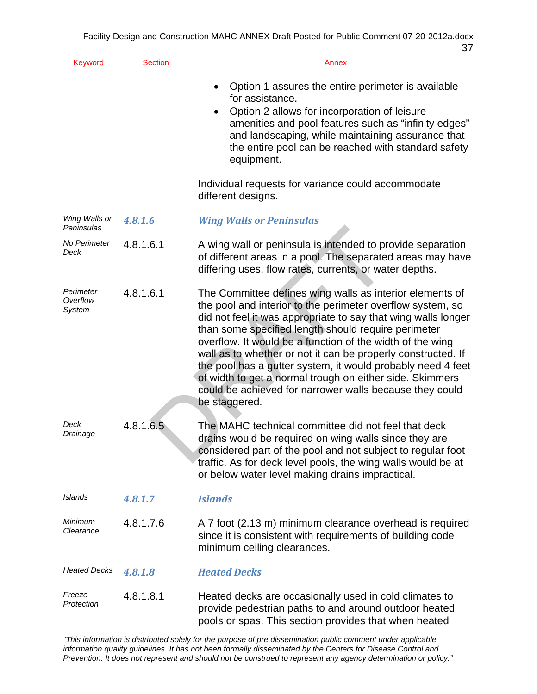| Keyword                         | <b>Section</b> | Annex                                                                                                                                                                                                                                                                                                                                                                                                                                                                                                                                                                              |
|---------------------------------|----------------|------------------------------------------------------------------------------------------------------------------------------------------------------------------------------------------------------------------------------------------------------------------------------------------------------------------------------------------------------------------------------------------------------------------------------------------------------------------------------------------------------------------------------------------------------------------------------------|
|                                 |                | Option 1 assures the entire perimeter is available<br>for assistance.<br>Option 2 allows for incorporation of leisure<br>٠<br>amenities and pool features such as "infinity edges"<br>and landscaping, while maintaining assurance that<br>the entire pool can be reached with standard safety<br>equipment.                                                                                                                                                                                                                                                                       |
|                                 |                | Individual requests for variance could accommodate<br>different designs.                                                                                                                                                                                                                                                                                                                                                                                                                                                                                                           |
| Wing Walls or<br>Peninsulas     | 4.8.1.6        | <b>Wing Walls or Peninsulas</b>                                                                                                                                                                                                                                                                                                                                                                                                                                                                                                                                                    |
| No Perimeter<br>Deck            | 4.8.1.6.1      | A wing wall or peninsula is intended to provide separation<br>of different areas in a pool. The separated areas may have<br>differing uses, flow rates, currents, or water depths.                                                                                                                                                                                                                                                                                                                                                                                                 |
| Perimeter<br>Overflow<br>System | 4.8.1.6.1      | The Committee defines wing walls as interior elements of<br>the pool and interior to the perimeter overflow system, so<br>did not feel it was appropriate to say that wing walls longer<br>than some specified length should require perimeter<br>overflow. It would be a function of the width of the wing<br>wall as to whether or not it can be properly constructed. If<br>the pool has a gutter system, it would probably need 4 feet<br>of width to get a normal trough on either side. Skimmers<br>could be achieved for narrower walls because they could<br>be staggered. |
| Deck<br>Drainage                | 4.8.1.6.5      | The MAHC technical committee did not feel that deck<br>drains would be required on wing walls since they are<br>considered part of the pool and not subject to regular foot<br>traffic. As for deck level pools, the wing walls would be at<br>or below water level making drains impractical.                                                                                                                                                                                                                                                                                     |
| <b>Islands</b>                  | 4.8.1.7        | <b>Islands</b>                                                                                                                                                                                                                                                                                                                                                                                                                                                                                                                                                                     |
| Minimum<br>Clearance            | 4.8.1.7.6      | A 7 foot (2.13 m) minimum clearance overhead is required<br>since it is consistent with requirements of building code<br>minimum ceiling clearances.                                                                                                                                                                                                                                                                                                                                                                                                                               |
| <b>Heated Decks</b>             | 4.8.1.8        | <b>Heated Decks</b>                                                                                                                                                                                                                                                                                                                                                                                                                                                                                                                                                                |
| Freeze<br>Protection            | 4.8.1.8.1      | Heated decks are occasionally used in cold climates to<br>provide pedestrian paths to and around outdoor heated<br>pools or spas. This section provides that when heated                                                                                                                                                                                                                                                                                                                                                                                                           |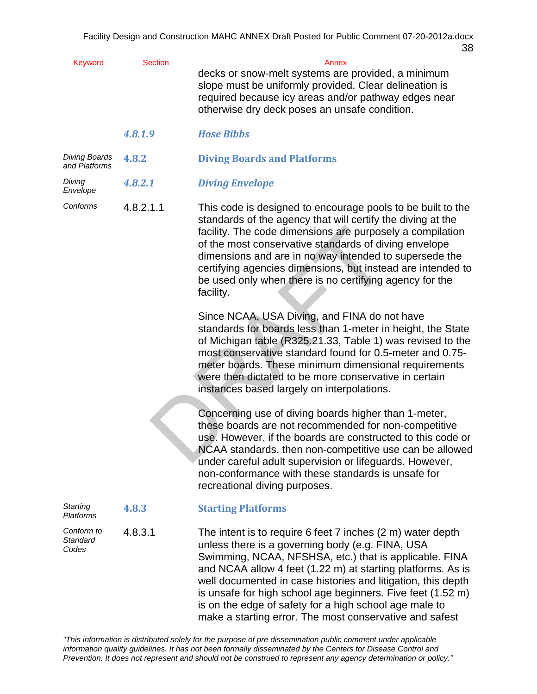| <b>Keyword</b>                        | <b>Section</b> | Annex<br>decks or snow-melt systems are provided, a minimum<br>slope must be uniformly provided. Clear delineation is<br>required because icy areas and/or pathway edges near<br>otherwise dry deck poses an unsafe condition.                                                                                                                                                                                                                                                              |
|---------------------------------------|----------------|---------------------------------------------------------------------------------------------------------------------------------------------------------------------------------------------------------------------------------------------------------------------------------------------------------------------------------------------------------------------------------------------------------------------------------------------------------------------------------------------|
|                                       | 4.8.1.9        | <b>Hose Bibbs</b>                                                                                                                                                                                                                                                                                                                                                                                                                                                                           |
| <b>Diving Boards</b><br>and Platforms | 4.8.2          | <b>Diving Boards and Platforms</b>                                                                                                                                                                                                                                                                                                                                                                                                                                                          |
| Diving<br>Envelope                    | 4.8.2.1        | <b>Diving Envelope</b>                                                                                                                                                                                                                                                                                                                                                                                                                                                                      |
| Conforms                              | 4.8.2.1.1      | This code is designed to encourage pools to be built to the<br>standards of the agency that will certify the diving at the<br>facility. The code dimensions are purposely a compilation<br>of the most conservative standards of diving envelope<br>dimensions and are in no way intended to supersede the<br>certifying agencies dimensions, but instead are intended to<br>be used only when there is no certifying agency for the<br>facility.                                           |
|                                       |                | Since NCAA, USA Diving, and FINA do not have<br>standards for boards less than 1-meter in height, the State<br>of Michigan table (R325.21.33, Table 1) was revised to the<br>most conservative standard found for 0.5-meter and 0.75-<br>meter boards. These minimum dimensional requirements<br>were then dictated to be more conservative in certain<br>instances based largely on interpolations.                                                                                        |
|                                       |                | Concerning use of diving boards higher than 1-meter,<br>these boards are not recommended for non-competitive<br>use. However, if the boards are constructed to this code or<br>NCAA standards, then non-competitive use can be allowed<br>under careful adult supervision or lifeguards. However,<br>non-conformance with these standards is unsafe for<br>recreational diving purposes.                                                                                                    |
| <b>Starting</b><br><b>Platforms</b>   | 4.8.3          | <b>Starting Platforms</b>                                                                                                                                                                                                                                                                                                                                                                                                                                                                   |
| Conform to<br>Standard<br>Codes       | 4.8.3.1        | The intent is to require 6 feet 7 inches (2 m) water depth<br>unless there is a governing body (e.g. FINA, USA<br>Swimming, NCAA, NFSHSA, etc.) that is applicable. FINA<br>and NCAA allow 4 feet (1.22 m) at starting platforms. As is<br>well documented in case histories and litigation, this depth<br>is unsafe for high school age beginners. Five feet (1.52 m)<br>is on the edge of safety for a high school age male to<br>make a starting error. The most conservative and safest |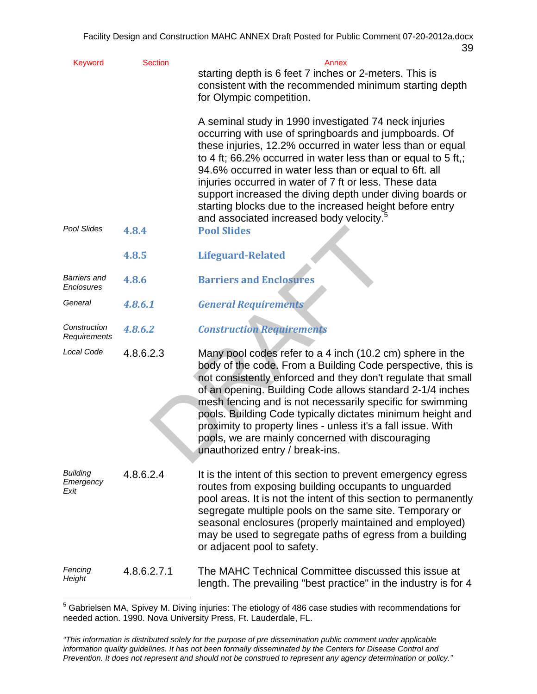| Keyword                              | <b>Section</b> | Annex<br>starting depth is 6 feet 7 inches or 2-meters. This is<br>consistent with the recommended minimum starting depth<br>for Olympic competition.                                                                                                                                                                                                                                                                                                                                                                                              |
|--------------------------------------|----------------|----------------------------------------------------------------------------------------------------------------------------------------------------------------------------------------------------------------------------------------------------------------------------------------------------------------------------------------------------------------------------------------------------------------------------------------------------------------------------------------------------------------------------------------------------|
|                                      |                | A seminal study in 1990 investigated 74 neck injuries<br>occurring with use of springboards and jumpboards. Of<br>these injuries, 12.2% occurred in water less than or equal<br>to 4 ft; 66.2% occurred in water less than or equal to 5 ft,;<br>94.6% occurred in water less than or equal to 6ft. all<br>injuries occurred in water of 7 ft or less. These data<br>support increased the diving depth under diving boards or<br>starting blocks due to the increased height before entry<br>and associated increased body velocity. <sup>5</sup> |
| Pool Slides                          | 4.8.4          | <b>Pool Slides</b>                                                                                                                                                                                                                                                                                                                                                                                                                                                                                                                                 |
|                                      | 4.8.5          | <b>Lifeguard-Related</b>                                                                                                                                                                                                                                                                                                                                                                                                                                                                                                                           |
| <b>Barriers and</b><br>Enclosures    | 4.8.6          | <b>Barriers and Enclosures</b>                                                                                                                                                                                                                                                                                                                                                                                                                                                                                                                     |
| General                              | 4.8.6.1        | <b>General Requirements</b>                                                                                                                                                                                                                                                                                                                                                                                                                                                                                                                        |
| Construction<br>Requirements         | 4.8.6.2        | <b>Construction Requirements</b>                                                                                                                                                                                                                                                                                                                                                                                                                                                                                                                   |
| Local Code                           | 4.8.6.2.3      | Many pool codes refer to a 4 inch (10.2 cm) sphere in the<br>body of the code. From a Building Code perspective, this is<br>not consistently enforced and they don't regulate that small<br>of an opening. Building Code allows standard 2-1/4 inches<br>mesh fencing and is not necessarily specific for swimming<br>pools. Building Code typically dictates minimum height and<br>proximity to property lines - unless it's a fall issue. With<br>pools, we are mainly concerned with discouraging<br>unauthorized entry / break-ins.            |
| <b>Building</b><br>Emergency<br>Exit | 4.8.6.2.4      | It is the intent of this section to prevent emergency egress<br>routes from exposing building occupants to unguarded<br>pool areas. It is not the intent of this section to permanently<br>segregate multiple pools on the same site. Temporary or<br>seasonal enclosures (properly maintained and employed)<br>may be used to segregate paths of egress from a building<br>or adjacent pool to safety.                                                                                                                                            |
| Fencing<br>Height                    | 4.8.6.2.7.1    | The MAHC Technical Committee discussed this issue at<br>length. The prevailing "best practice" in the industry is for 4                                                                                                                                                                                                                                                                                                                                                                                                                            |

 5 Gabrielsen MA, Spivey M. Diving injuries: The etiology of 486 case studies with recommendations for needed action. 1990. Nova University Press, Ft. Lauderdale, FL.

*<sup>&</sup>quot;This information is distributed solely for the purpose of pre dissemination public comment under applicable information quality guidelines. It has not been formally disseminated by the Centers for Disease Control and Prevention. It does not represent and should not be construed to represent any agency determination or policy."*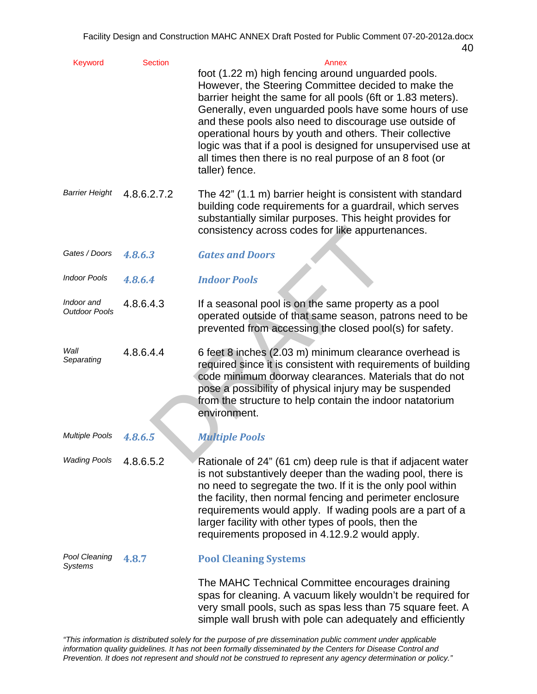| Keyword                            | <b>Section</b> | Annex<br>foot (1.22 m) high fencing around unguarded pools.<br>However, the Steering Committee decided to make the<br>barrier height the same for all pools (6ft or 1.83 meters).<br>Generally, even unguarded pools have some hours of use<br>and these pools also need to discourage use outside of<br>operational hours by youth and others. Their collective<br>logic was that if a pool is designed for unsupervised use at<br>all times then there is no real purpose of an 8 foot (or<br>taller) fence. |
|------------------------------------|----------------|----------------------------------------------------------------------------------------------------------------------------------------------------------------------------------------------------------------------------------------------------------------------------------------------------------------------------------------------------------------------------------------------------------------------------------------------------------------------------------------------------------------|
| <b>Barrier Height</b>              | 4.8.6.2.7.2    | The 42" (1.1 m) barrier height is consistent with standard<br>building code requirements for a guardrail, which serves<br>substantially similar purposes. This height provides for<br>consistency across codes for like appurtenances.                                                                                                                                                                                                                                                                         |
| Gates / Doors                      | 4.8.6.3        | <b>Gates and Doors</b>                                                                                                                                                                                                                                                                                                                                                                                                                                                                                         |
| <b>Indoor Pools</b>                | 4.8.6.4        | <b>Indoor Pools</b>                                                                                                                                                                                                                                                                                                                                                                                                                                                                                            |
| Indoor and<br><b>Outdoor Pools</b> | 4.8.6.4.3      | If a seasonal pool is on the same property as a pool<br>operated outside of that same season, patrons need to be<br>prevented from accessing the closed pool(s) for safety.                                                                                                                                                                                                                                                                                                                                    |
| Wall<br>Separating                 | 4.8.6.4.4      | 6 feet 8 inches (2.03 m) minimum clearance overhead is<br>required since it is consistent with requirements of building<br>code minimum doorway clearances. Materials that do not<br>pose a possibility of physical injury may be suspended<br>from the structure to help contain the indoor natatorium<br>environment.                                                                                                                                                                                        |
| <b>Multiple Pools</b>              | 4.8.6.5        | <b>Multiple Pools</b>                                                                                                                                                                                                                                                                                                                                                                                                                                                                                          |
| <b>Wading Pools</b>                | 4.8.6.5.2      | Rationale of 24" (61 cm) deep rule is that if adjacent water<br>is not substantively deeper than the wading pool, there is<br>no need to segregate the two. If it is the only pool within<br>the facility, then normal fencing and perimeter enclosure<br>requirements would apply. If wading pools are a part of a<br>larger facility with other types of pools, then the<br>requirements proposed in 4.12.9.2 would apply.                                                                                   |
| Pool Cleaning<br>Systems           | 4.8.7          | <b>Pool Cleaning Systems</b>                                                                                                                                                                                                                                                                                                                                                                                                                                                                                   |
|                                    |                | The MAHC Technical Committee encourages draining<br>spas for cleaning. A vacuum likely wouldn't be required for<br>very small pools, such as spas less than 75 square feet. A<br>simple wall brush with pole can adequately and efficiently                                                                                                                                                                                                                                                                    |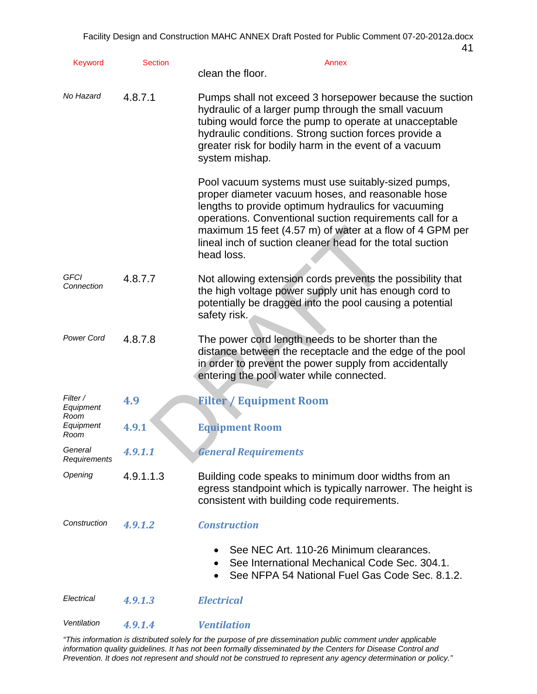| <b>Keyword</b>                         | <b>Section</b> | Annex<br>clean the floor.                                                                                                                                                                                                                                                                                                                                         |
|----------------------------------------|----------------|-------------------------------------------------------------------------------------------------------------------------------------------------------------------------------------------------------------------------------------------------------------------------------------------------------------------------------------------------------------------|
| No Hazard                              | 4.8.7.1        | Pumps shall not exceed 3 horsepower because the suction<br>hydraulic of a larger pump through the small vacuum<br>tubing would force the pump to operate at unacceptable<br>hydraulic conditions. Strong suction forces provide a<br>greater risk for bodily harm in the event of a vacuum<br>system mishap.                                                      |
|                                        |                | Pool vacuum systems must use suitably-sized pumps,<br>proper diameter vacuum hoses, and reasonable hose<br>lengths to provide optimum hydraulics for vacuuming<br>operations. Conventional suction requirements call for a<br>maximum 15 feet (4.57 m) of water at a flow of 4 GPM per<br>lineal inch of suction cleaner head for the total suction<br>head loss. |
| GFCI<br>Connection                     | 4.8.7.7        | Not allowing extension cords prevents the possibility that<br>the high voltage power supply unit has enough cord to<br>potentially be dragged into the pool causing a potential<br>safety risk.                                                                                                                                                                   |
| <b>Power Cord</b>                      | 4.8.7.8        | The power cord length needs to be shorter than the<br>distance between the receptacle and the edge of the pool<br>in order to prevent the power supply from accidentally<br>entering the pool water while connected.                                                                                                                                              |
| Filter /                               | 4.9            | <b>Filter / Equipment Room</b>                                                                                                                                                                                                                                                                                                                                    |
| Equipment<br>Room<br>Equipment<br>Room | 4.9.1          | <b>Equipment Room</b>                                                                                                                                                                                                                                                                                                                                             |
| General<br>Requirements                | 4.9.1.1        | <b>General Requirements</b>                                                                                                                                                                                                                                                                                                                                       |
| Opening                                | 4.9.1.1.3      | Building code speaks to minimum door widths from an<br>egress standpoint which is typically narrower. The height is<br>consistent with building code requirements.                                                                                                                                                                                                |
| Construction                           | 4.9.1.2        | <b>Construction</b>                                                                                                                                                                                                                                                                                                                                               |
|                                        |                | See NEC Art. 110-26 Minimum clearances.<br>See International Mechanical Code Sec. 304.1.<br>See NFPA 54 National Fuel Gas Code Sec. 8.1.2.                                                                                                                                                                                                                        |
| Electrical                             | 4.9.1.3        | <b>Electrical</b>                                                                                                                                                                                                                                                                                                                                                 |
| Ventilation                            | 4.9.1.4        | <b>Ventilation</b>                                                                                                                                                                                                                                                                                                                                                |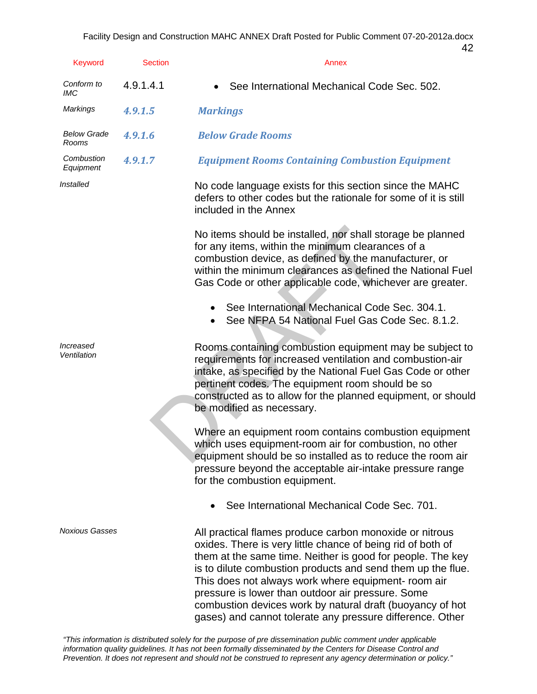| <b>Keyword</b>                         | <b>Section</b> | 42<br>Annex                                                                                                                                                                                                                                                                                                                                                     |
|----------------------------------------|----------------|-----------------------------------------------------------------------------------------------------------------------------------------------------------------------------------------------------------------------------------------------------------------------------------------------------------------------------------------------------------------|
| Conform to<br><b>IMC</b>               | 4.9.1.4.1      | See International Mechanical Code Sec. 502.                                                                                                                                                                                                                                                                                                                     |
| <b>Markings</b>                        | 4.9.1.5        | <b>Markings</b>                                                                                                                                                                                                                                                                                                                                                 |
| <b>Below Grade</b><br>Rooms            | 4.9.1.6        | <b>Below Grade Rooms</b>                                                                                                                                                                                                                                                                                                                                        |
| Combustion<br>Equipment                | 4.9.1.7        | <b>Equipment Rooms Containing Combustion Equipment</b>                                                                                                                                                                                                                                                                                                          |
| Installed                              |                | No code language exists for this section since the MAHC<br>defers to other codes but the rationale for some of it is still<br>included in the Annex                                                                                                                                                                                                             |
|                                        |                | No items should be installed, nor shall storage be planned<br>for any items, within the minimum clearances of a<br>combustion device, as defined by the manufacturer, or<br>within the minimum clearances as defined the National Fuel<br>Gas Code or other applicable code, whichever are greater.                                                             |
|                                        |                | See International Mechanical Code Sec. 304.1.<br>See NFPA 54 National Fuel Gas Code Sec. 8.1.2.                                                                                                                                                                                                                                                                 |
| <i><b>Increased</b></i><br>Ventilation |                | Rooms containing combustion equipment may be subject to<br>requirements for increased ventilation and combustion-air<br>intake, as specified by the National Fuel Gas Code or other<br>pertinent codes. The equipment room should be so<br>constructed as to allow for the planned equipment, or should<br>be modified as necessary.                            |
|                                        |                | Where an equipment room contains combustion equipment<br>which uses equipment-room air for combustion, no other<br>equipment should be so installed as to reduce the room air<br>pressure beyond the acceptable air-intake pressure range<br>for the combustion equipment.                                                                                      |
|                                        |                | See International Mechanical Code Sec. 701.                                                                                                                                                                                                                                                                                                                     |
| <b>Noxious Gasses</b>                  |                | All practical flames produce carbon monoxide or nitrous<br>oxides. There is very little chance of being rid of both of<br>them at the same time. Neither is good for people. The key<br>is to dilute combustion products and send them up the flue.<br>This does not always work where equipment- room air<br>pressure is lower than outdoor air pressure. Some |

combustion devices work by natural draft (buoyancy of hot gases) and cannot tolerate any pressure difference. Other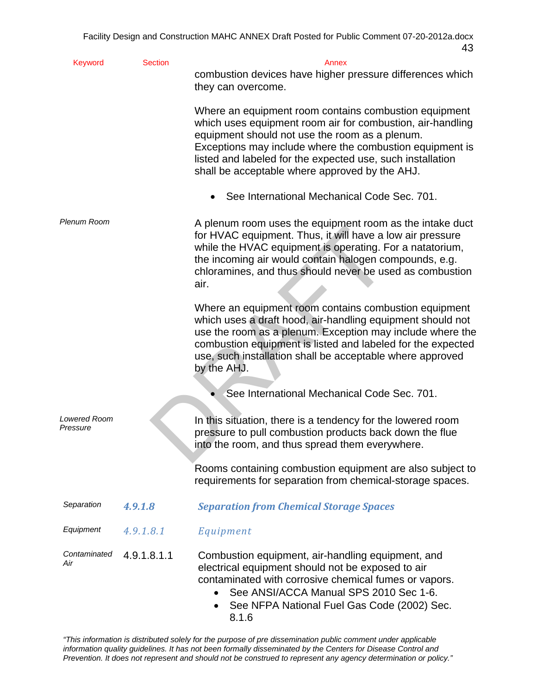| <b>Keyword</b>           | <b>Section</b> | Annex                                                                                                                                                                                                                                                                                                                                             |
|--------------------------|----------------|---------------------------------------------------------------------------------------------------------------------------------------------------------------------------------------------------------------------------------------------------------------------------------------------------------------------------------------------------|
|                          |                | combustion devices have higher pressure differences which<br>they can overcome.                                                                                                                                                                                                                                                                   |
|                          |                | Where an equipment room contains combustion equipment<br>which uses equipment room air for combustion, air-handling<br>equipment should not use the room as a plenum.<br>Exceptions may include where the combustion equipment is<br>listed and labeled for the expected use, such installation<br>shall be acceptable where approved by the AHJ. |
|                          |                | See International Mechanical Code Sec. 701.                                                                                                                                                                                                                                                                                                       |
| Plenum Room              |                | A plenum room uses the equipment room as the intake duct<br>for HVAC equipment. Thus, it will have a low air pressure<br>while the HVAC equipment is operating. For a natatorium,<br>the incoming air would contain halogen compounds, e.g.<br>chloramines, and thus should never be used as combustion<br>air.                                   |
|                          |                | Where an equipment room contains combustion equipment<br>which uses a draft hood, air-handling equipment should not<br>use the room as a plenum. Exception may include where the<br>combustion equipment is listed and labeled for the expected<br>use, such installation shall be acceptable where approved<br>by the AHJ.                       |
|                          |                | See International Mechanical Code Sec. 701.                                                                                                                                                                                                                                                                                                       |
| Lowered Room<br>Pressure |                | In this situation, there is a tendency for the lowered room<br>pressure to pull combustion products back down the flue<br>into the room, and thus spread them everywhere.                                                                                                                                                                         |
|                          |                | Rooms containing combustion equipment are also subject to<br>requirements for separation from chemical-storage spaces.                                                                                                                                                                                                                            |
| Separation               | 4.9.1.8        | <b>Separation from Chemical Storage Spaces</b>                                                                                                                                                                                                                                                                                                    |
| Equipment                | 4.9.1.8.1      | Equipment                                                                                                                                                                                                                                                                                                                                         |
| Contaminated<br>Air      | 4.9.1.8.1.1    | Combustion equipment, air-handling equipment, and<br>electrical equipment should not be exposed to air<br>contaminated with corrosive chemical fumes or vapors.<br>See ANSI/ACCA Manual SPS 2010 Sec 1-6.<br>See NFPA National Fuel Gas Code (2002) Sec.<br>8.1.6                                                                                 |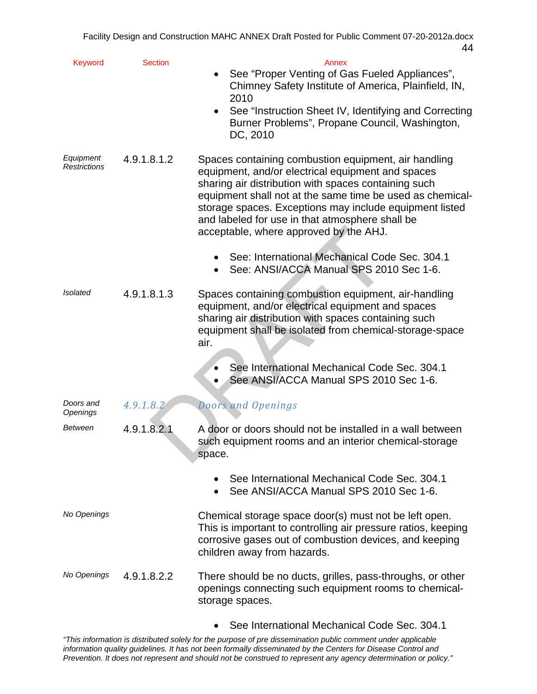| Keyword                   | <b>Section</b> | Annex                                                                                                                                                                                                                                                                                                                                                                                  |
|---------------------------|----------------|----------------------------------------------------------------------------------------------------------------------------------------------------------------------------------------------------------------------------------------------------------------------------------------------------------------------------------------------------------------------------------------|
|                           |                | See "Proper Venting of Gas Fueled Appliances",<br>Chimney Safety Institute of America, Plainfield, IN,<br>2010                                                                                                                                                                                                                                                                         |
|                           |                | See "Instruction Sheet IV, Identifying and Correcting<br>Burner Problems", Propane Council, Washington,<br>DC, 2010                                                                                                                                                                                                                                                                    |
| Equipment<br>Restrictions | 4.9.1.8.1.2    | Spaces containing combustion equipment, air handling<br>equipment, and/or electrical equipment and spaces<br>sharing air distribution with spaces containing such<br>equipment shall not at the same time be used as chemical-<br>storage spaces. Exceptions may include equipment listed<br>and labeled for use in that atmosphere shall be<br>acceptable, where approved by the AHJ. |
|                           |                | See: International Mechanical Code Sec. 304.1<br>See: ANSI/ACCA Manual SPS 2010 Sec 1-6.                                                                                                                                                                                                                                                                                               |
| <b>Isolated</b>           | 4.9.1.8.1.3    | Spaces containing combustion equipment, air-handling<br>equipment, and/or electrical equipment and spaces<br>sharing air distribution with spaces containing such<br>equipment shall be isolated from chemical-storage-space<br>air.                                                                                                                                                   |
|                           |                | See International Mechanical Code Sec. 304.1<br>See ANSI/ACCA Manual SPS 2010 Sec 1-6.                                                                                                                                                                                                                                                                                                 |
| Doors and<br>Openings     | 4.9.1.8.2      | <b>Doors and Openings</b>                                                                                                                                                                                                                                                                                                                                                              |
| Between                   | 4.9.1.8.2.1    | A door or doors should not be installed in a wall between<br>such equipment rooms and an interior chemical-storage<br>space.                                                                                                                                                                                                                                                           |
|                           |                | See International Mechanical Code Sec. 304.1<br>See ANSI/ACCA Manual SPS 2010 Sec 1-6.                                                                                                                                                                                                                                                                                                 |
| No Openings               |                | Chemical storage space door(s) must not be left open.<br>This is important to controlling air pressure ratios, keeping<br>corrosive gases out of combustion devices, and keeping<br>children away from hazards.                                                                                                                                                                        |
| No Openings               | 4.9.1.8.2.2    | There should be no ducts, grilles, pass-throughs, or other<br>openings connecting such equipment rooms to chemical-<br>storage spaces.                                                                                                                                                                                                                                                 |
|                           |                | See International Mechanical Code Sec. 304.1                                                                                                                                                                                                                                                                                                                                           |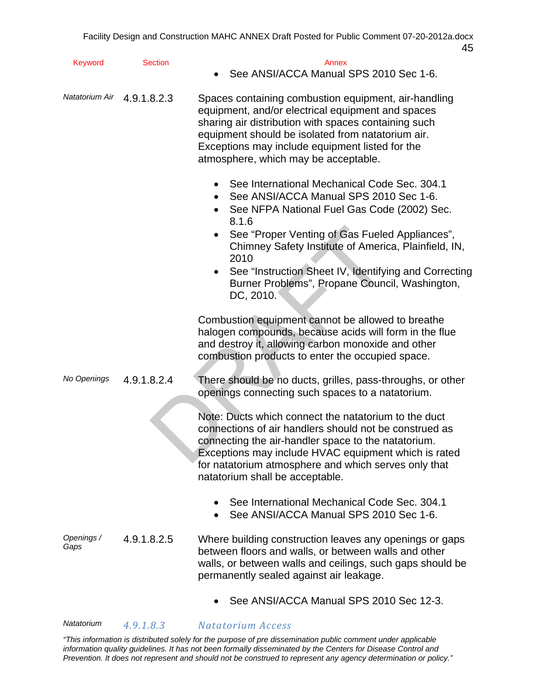| Keyword            | <b>Section</b>             | Annex<br>See ANSI/ACCA Manual SPS 2010 Sec 1-6.                                                                                                                                                                                                                                                                                                                                                       |
|--------------------|----------------------------|-------------------------------------------------------------------------------------------------------------------------------------------------------------------------------------------------------------------------------------------------------------------------------------------------------------------------------------------------------------------------------------------------------|
|                    | Natatorium Air 4.9.1.8.2.3 | Spaces containing combustion equipment, air-handling<br>equipment, and/or electrical equipment and spaces<br>sharing air distribution with spaces containing such<br>equipment should be isolated from natatorium air.<br>Exceptions may include equipment listed for the<br>atmosphere, which may be acceptable.                                                                                     |
|                    |                            | See International Mechanical Code Sec. 304.1<br>See ANSI/ACCA Manual SPS 2010 Sec 1-6.<br>See NFPA National Fuel Gas Code (2002) Sec.<br>8.1.6<br>See "Proper Venting of Gas Fueled Appliances",<br>Chimney Safety Institute of America, Plainfield, IN,<br>2010<br>See "Instruction Sheet IV, Identifying and Correcting<br>$\bullet$<br>Burner Problems", Propane Council, Washington,<br>DC, 2010. |
|                    |                            | Combustion equipment cannot be allowed to breathe<br>halogen compounds, because acids will form in the flue<br>and destroy it, allowing carbon monoxide and other<br>combustion products to enter the occupied space.                                                                                                                                                                                 |
| No Openings        | 4.9.1.8.2.4                | There should be no ducts, grilles, pass-throughs, or other<br>openings connecting such spaces to a natatorium.                                                                                                                                                                                                                                                                                        |
|                    |                            | Note: Ducts which connect the natatorium to the duct<br>connections of air handlers should not be construed as<br>connecting the air-handler space to the natatorium.<br>Exceptions may include HVAC equipment which is rated<br>for natatorium atmosphere and which serves only that<br>natatorium shall be acceptable.                                                                              |
|                    |                            | See International Mechanical Code Sec. 304.1<br>See ANSI/ACCA Manual SPS 2010 Sec 1-6.                                                                                                                                                                                                                                                                                                                |
| Openings /<br>Gaps | 4.9.1.8.2.5                | Where building construction leaves any openings or gaps<br>between floors and walls, or between walls and other<br>walls, or between walls and ceilings, such gaps should be<br>permanently sealed against air leakage.                                                                                                                                                                               |
|                    |                            | See ANSI/ACCA Manual SPS 2010 Sec 12-3.                                                                                                                                                                                                                                                                                                                                                               |

*Natatorium 4.9.1.8.3 Natatorium Access*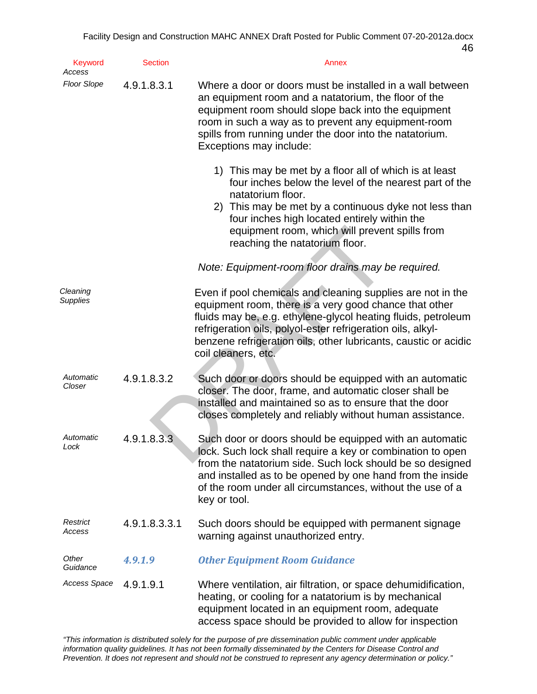| <b>Keyword</b><br>Access    | <b>Section</b> | Annex                                                                                                                                                                                                                                                                                                                                           |
|-----------------------------|----------------|-------------------------------------------------------------------------------------------------------------------------------------------------------------------------------------------------------------------------------------------------------------------------------------------------------------------------------------------------|
| <b>Floor Slope</b>          | 4.9.1.8.3.1    | Where a door or doors must be installed in a wall between<br>an equipment room and a natatorium, the floor of the<br>equipment room should slope back into the equipment<br>room in such a way as to prevent any equipment-room<br>spills from running under the door into the natatorium.<br>Exceptions may include:                           |
|                             |                | 1) This may be met by a floor all of which is at least<br>four inches below the level of the nearest part of the<br>natatorium floor.<br>2) This may be met by a continuous dyke not less than<br>four inches high located entirely within the<br>equipment room, which will prevent spills from<br>reaching the natatorium floor.              |
|                             |                | Note: Equipment-room floor drains may be required.                                                                                                                                                                                                                                                                                              |
| Cleaning<br><b>Supplies</b> |                | Even if pool chemicals and cleaning supplies are not in the<br>equipment room, there is a very good chance that other<br>fluids may be, e.g. ethylene-glycol heating fluids, petroleum<br>refrigeration oils, polyol-ester refrigeration oils, alkyl-<br>benzene refrigeration oils, other lubricants, caustic or acidic<br>coil cleaners, etc. |
| Automatic<br>Closer         | 4.9.1.8.3.2    | Such door or doors should be equipped with an automatic<br>closer. The door, frame, and automatic closer shall be<br>installed and maintained so as to ensure that the door<br>closes completely and reliably without human assistance.                                                                                                         |
| Automatic<br>Lock           | 4.9.1.8.3.3    | Such door or doors should be equipped with an automatic<br>lock. Such lock shall require a key or combination to open<br>from the natatorium side. Such lock should be so designed<br>and installed as to be opened by one hand from the inside<br>of the room under all circumstances, without the use of a<br>key or tool.                    |
| Restrict<br>Access          | 4.9.1.8.3.3.1  | Such doors should be equipped with permanent signage<br>warning against unauthorized entry.                                                                                                                                                                                                                                                     |
| Other<br>Guidance           | 4.9.1.9        | <b>Other Equipment Room Guidance</b>                                                                                                                                                                                                                                                                                                            |
| Access Space                | 4.9.1.9.1      | Where ventilation, air filtration, or space dehumidification,<br>heating, or cooling for a natatorium is by mechanical<br>equipment located in an equipment room, adequate<br>access space should be provided to allow for inspection                                                                                                           |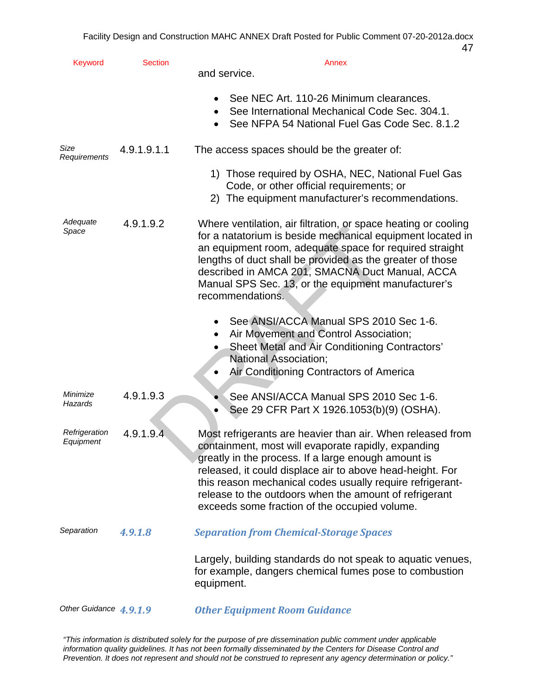| <b>Keyword</b>             | <b>Section</b> | Annex<br>and service.                                                                                                                                                                                                                                                                                                                                                                                         |
|----------------------------|----------------|---------------------------------------------------------------------------------------------------------------------------------------------------------------------------------------------------------------------------------------------------------------------------------------------------------------------------------------------------------------------------------------------------------------|
|                            |                | See NEC Art. 110-26 Minimum clearances.<br>See International Mechanical Code Sec. 304.1.<br>$\bullet$<br>See NFPA 54 National Fuel Gas Code Sec. 8.1.2                                                                                                                                                                                                                                                        |
| Size<br>Requirements       | 4.9.1.9.1.1    | The access spaces should be the greater of:                                                                                                                                                                                                                                                                                                                                                                   |
|                            |                | 1) Those required by OSHA, NEC, National Fuel Gas<br>Code, or other official requirements; or<br>2) The equipment manufacturer's recommendations.                                                                                                                                                                                                                                                             |
| Adequate<br>Space          | 4.9.1.9.2      | Where ventilation, air filtration, or space heating or cooling<br>for a natatorium is beside mechanical equipment located in<br>an equipment room, adequate space for required straight<br>lengths of duct shall be provided as the greater of those<br>described in AMCA 201, SMACNA Duct Manual, ACCA<br>Manual SPS Sec. 13, or the equipment manufacturer's<br>recommendations.                            |
|                            |                | See ANSI/ACCA Manual SPS 2010 Sec 1-6.<br>Air Movement and Control Association;<br>Sheet Metal and Air Conditioning Contractors'<br><b>National Association;</b><br>Air Conditioning Contractors of America<br>$\bullet$                                                                                                                                                                                      |
| Minimize<br>Hazards        | 4.9.1.9.3      | See ANSI/ACCA Manual SPS 2010 Sec 1-6.<br>See 29 CFR Part X 1926.1053(b)(9) (OSHA).<br>$\bullet$                                                                                                                                                                                                                                                                                                              |
| Refrigeration<br>Equipment | 4.9.1.9.4      | Most refrigerants are heavier than air. When released from<br>containment, most will evaporate rapidly, expanding<br>greatly in the process. If a large enough amount is<br>released, it could displace air to above head-height. For<br>this reason mechanical codes usually require refrigerant-<br>release to the outdoors when the amount of refrigerant<br>exceeds some fraction of the occupied volume. |
| Separation                 | 4.9.1.8        | <b>Separation from Chemical-Storage Spaces</b>                                                                                                                                                                                                                                                                                                                                                                |
|                            |                | Largely, building standards do not speak to aquatic venues,<br>for example, dangers chemical fumes pose to combustion<br>equipment.                                                                                                                                                                                                                                                                           |
| Other Guidance 4, 9, 1, 9  |                | <b>Other Equipment Room Guidance</b>                                                                                                                                                                                                                                                                                                                                                                          |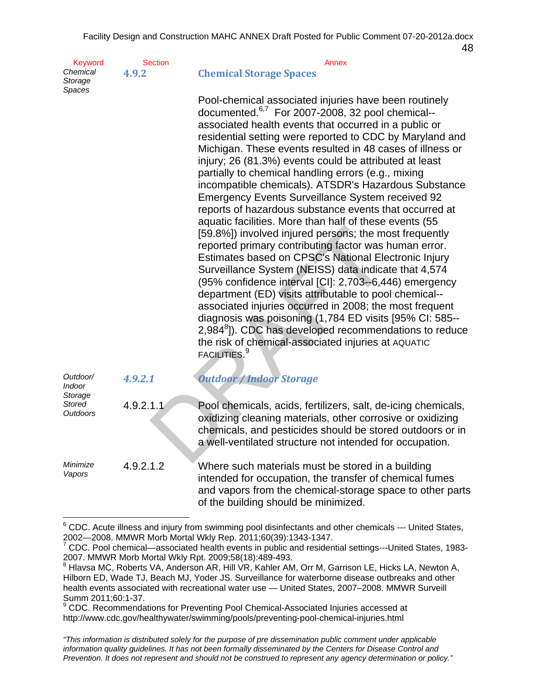48

| Keyword             | <b>Section</b> |                                | Annex |
|---------------------|----------------|--------------------------------|-------|
| Chemical<br>Storage | 4.9.2          | <b>Chemical Storage Spaces</b> |       |

*Spaces* 

[59.8%]) involved injured persons; the more<br>ported primary contributing factor was lest mates based on CPSC's National Element<br>desirates based on CPSC's National Element (NEISS) data indica<br>(95% confidence interval [CI]: 2 Pool-chemical associated injuries have been routinely documented. $6.7$  For 2007-2008, 32 pool chemical-associated health events that occurred in a public or residential setting were reported to CDC by Maryland and Michigan. These events resulted in 48 cases of illness or injury; 26 (81.3%) events could be attributed at least partially to chemical handling errors (e.g., mixing incompatible chemicals). ATSDR's Hazardous Substance Emergency Events Surveillance System received 92 reports of hazardous substance events that occurred at aquatic facilities. More than half of these events (55 [59.8%]) involved injured persons; the most frequently reported primary contributing factor was human error. Estimates based on CPSC's National Electronic Injury Surveillance System (NEISS) data indicate that 4,574 (95% confidence interval [CI]: 2,703--6,446) emergency department (ED) visits attributable to pool chemical associated injuries occurred in 2008; the most frequent diagnosis was poisoning (1,784 ED visits [95% CI: 585- 2,984<sup>8</sup>]). CDC has developed recommendations to reduce the risk of chemical-associated injuries at AQUATIC FACILITIES.<sup>9</sup>

| Outdoor/<br><i>Indoor</i><br>Storage | 4.9.2.1   | <b>Outdoor / Indoor Storage</b>                                                                                                                                                                                                                      |
|--------------------------------------|-----------|------------------------------------------------------------------------------------------------------------------------------------------------------------------------------------------------------------------------------------------------------|
| <b>Stored</b><br>Outdoors            | 4.9.2.1.1 | Pool chemicals, acids, fertilizers, salt, de-icing chemicals,<br>oxidizing cleaning materials, other corrosive or oxidizing<br>chemicals, and pesticides should be stored outdoors or in<br>a well-ventilated structure not intended for occupation. |
| Minimize<br>Vapors                   | 4.9.2.1.2 | Where such materials must be stored in a building<br>intended for occupation, the transfer of chemical fumes<br>and vapors from the chemical-storage space to other parts<br>of the building should be minimized.                                    |

 $\overline{a}$ <sup>6</sup> CDC. Acute illness and injury from swimming pool disinfectants and other chemicals --- United States, 2002—2008. MMWR Morb Mortal Wkly Rep. 2011;60(39):1343-1347.

<sup>7</sup> CDC. Pool chemical—associated health events in public and residential settings---United States, 1983 2007. MMWR Morb Mortal Wkly Rpt. 2009;58(18):489-493. 8

 $8$  Hlavsa MC, Roberts VA, Anderson AR, Hill VR, Kahler AM, Orr M, Garrison LE, Hicks LA, Newton A, Hilborn ED, Wade TJ, Beach MJ, Yoder JS. Surveillance for waterborne disease outbreaks and other health events associated with recreational water use — United States, 2007–2008. MMWR Surveill Summ 2011;60:1-37.<br><sup>9</sup> CDC. Becommande:

CDC. Recommendations for Preventing Pool Chemical-Associated Injuries accessed at http://www.cdc.gov/healthywater/swimming/pools/preventing-pool-chemical-injuries.html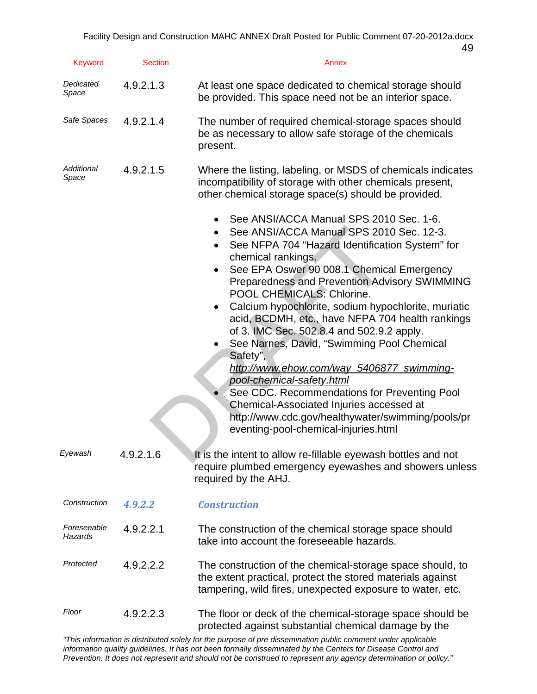| Keyword                | <b>Section</b> | Annex                                                                                                                                                                                                                                                                                                                                                                                                                                                                                                                                                                                                                                                                                                                                                                                                  |
|------------------------|----------------|--------------------------------------------------------------------------------------------------------------------------------------------------------------------------------------------------------------------------------------------------------------------------------------------------------------------------------------------------------------------------------------------------------------------------------------------------------------------------------------------------------------------------------------------------------------------------------------------------------------------------------------------------------------------------------------------------------------------------------------------------------------------------------------------------------|
| Dedicated<br>Space     | 4.9.2.1.3      | At least one space dedicated to chemical storage should<br>be provided. This space need not be an interior space.                                                                                                                                                                                                                                                                                                                                                                                                                                                                                                                                                                                                                                                                                      |
| Safe Spaces            | 4.9.2.1.4      | The number of required chemical-storage spaces should<br>be as necessary to allow safe storage of the chemicals<br>present.                                                                                                                                                                                                                                                                                                                                                                                                                                                                                                                                                                                                                                                                            |
| Additional<br>Space    | 4.9.2.1.5      | Where the listing, labeling, or MSDS of chemicals indicates<br>incompatibility of storage with other chemicals present,<br>other chemical storage space(s) should be provided.                                                                                                                                                                                                                                                                                                                                                                                                                                                                                                                                                                                                                         |
|                        |                | See ANSI/ACCA Manual SPS 2010 Sec. 1-6.<br>See ANSI/ACCA Manual SPS 2010 Sec. 12-3.<br>See NFPA 704 "Hazard Identification System" for<br>chemical rankings.<br>See EPA Oswer 90 008.1 Chemical Emergency<br>$\bullet$<br>Preparedness and Prevention Advisory SWIMMING<br>POOL CHEMICALS: Chlorine.<br>Calcium hypochlorite, sodium hypochlorite, muriatic<br>$\bullet$<br>acid, BCDMH, etc., have NFPA 704 health rankings<br>of 3. IMC Sec. 502.8.4 and 502.9.2 apply.<br>See Narnes, David, "Swimming Pool Chemical<br>Safety",<br>http://www.ehow.com/way_5406877_swimming-<br>pool-chemical-safety.html<br>See CDC. Recommendations for Preventing Pool<br>Chemical-Associated Injuries accessed at<br>http://www.cdc.gov/healthywater/swimming/pools/pr<br>eventing-pool-chemical-injuries.html |
| Eyewash                | 4.9.2.1.6      | It is the intent to allow re-fillable eyewash bottles and not<br>require plumbed emergency eyewashes and showers unless<br>required by the AHJ.                                                                                                                                                                                                                                                                                                                                                                                                                                                                                                                                                                                                                                                        |
| Construction           | 4.9.2.2        | <b>Construction</b>                                                                                                                                                                                                                                                                                                                                                                                                                                                                                                                                                                                                                                                                                                                                                                                    |
| Foreseeable<br>Hazards | 4.9.2.2.1      | The construction of the chemical storage space should<br>take into account the foreseeable hazards.                                                                                                                                                                                                                                                                                                                                                                                                                                                                                                                                                                                                                                                                                                    |
| Protected              | 4.9.2.2.2      | The construction of the chemical-storage space should, to<br>the extent practical, protect the stored materials against<br>tampering, wild fires, unexpected exposure to water, etc.                                                                                                                                                                                                                                                                                                                                                                                                                                                                                                                                                                                                                   |
| Floor                  | 4.9.2.2.3      | The floor or deck of the chemical-storage space should be<br>protected against substantial chemical damage by the                                                                                                                                                                                                                                                                                                                                                                                                                                                                                                                                                                                                                                                                                      |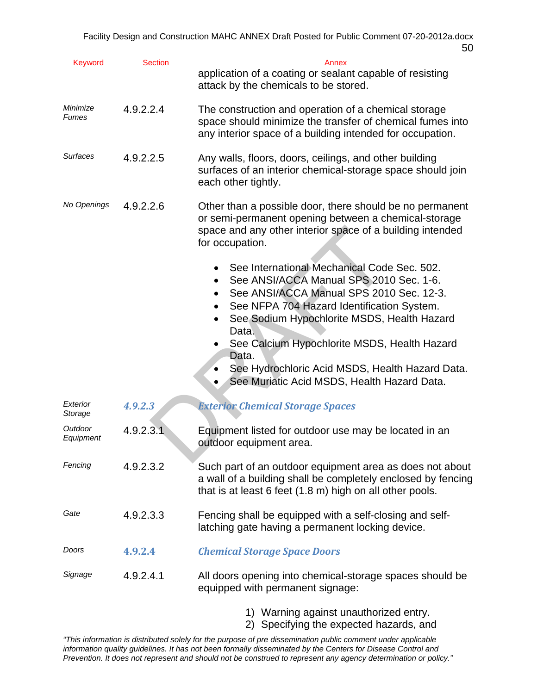| Keyword              | <b>Section</b> | Annex<br>application of a coating or sealant capable of resisting<br>attack by the chemicals to be stored.                                                                                                                                                                                                                                                                                                                    |
|----------------------|----------------|-------------------------------------------------------------------------------------------------------------------------------------------------------------------------------------------------------------------------------------------------------------------------------------------------------------------------------------------------------------------------------------------------------------------------------|
| Minimize<br>Fumes    | 4.9.2.2.4      | The construction and operation of a chemical storage<br>space should minimize the transfer of chemical fumes into<br>any interior space of a building intended for occupation.                                                                                                                                                                                                                                                |
| <b>Surfaces</b>      | 4.9.2.2.5      | Any walls, floors, doors, ceilings, and other building<br>surfaces of an interior chemical-storage space should join<br>each other tightly.                                                                                                                                                                                                                                                                                   |
| No Openings          | 4.9.2.2.6      | Other than a possible door, there should be no permanent<br>or semi-permanent opening between a chemical-storage<br>space and any other interior space of a building intended<br>for occupation.                                                                                                                                                                                                                              |
|                      |                | See International Mechanical Code Sec. 502.<br>See ANSI/ACCA Manual SPS 2010 Sec. 1-6.<br>$\bullet$<br>See ANSI/ACCA Manual SPS 2010 Sec. 12-3.<br>See NFPA 704 Hazard Identification System.<br>See Sodium Hypochlorite MSDS, Health Hazard<br>Data.<br>See Calcium Hypochlorite MSDS, Health Hazard<br>Data.<br>See Hydrochloric Acid MSDS, Health Hazard Data.<br>$\bullet$<br>See Muriatic Acid MSDS, Health Hazard Data. |
| Exterior<br>Storage  | 4.9.2.3        | <b>Exterior Chemical Storage Spaces</b>                                                                                                                                                                                                                                                                                                                                                                                       |
| Outdoor<br>Equipment | 4.9.2.3.1      | Equipment listed for outdoor use may be located in an<br>outdoor equipment area.                                                                                                                                                                                                                                                                                                                                              |
| Fencing              | 4.9.2.3.2      | Such part of an outdoor equipment area as does not about<br>a wall of a building shall be completely enclosed by fencing<br>that is at least 6 feet (1.8 m) high on all other pools.                                                                                                                                                                                                                                          |
| Gate                 | 4.9.2.3.3      | Fencing shall be equipped with a self-closing and self-<br>latching gate having a permanent locking device.                                                                                                                                                                                                                                                                                                                   |
| Doors                | 4.9.2.4        | <b>Chemical Storage Space Doors</b>                                                                                                                                                                                                                                                                                                                                                                                           |
| Signage              | 4.9.2.4.1      | All doors opening into chemical-storage spaces should be<br>equipped with permanent signage:                                                                                                                                                                                                                                                                                                                                  |
|                      |                | 1) Warning against unauthorized entry                                                                                                                                                                                                                                                                                                                                                                                         |

1) Warning against unauthorized entry. 2) Specifying the expected hazards, and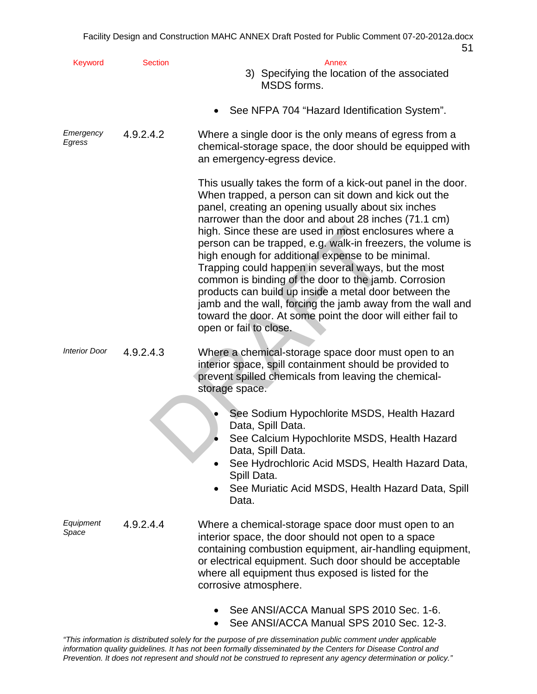| Keyword              | <b>Section</b> | Annex<br>3) Specifying the location of the associated<br>MSDS forms.                                                                                                                                                                                                                                                                                                                                                                                                                                                                                                                                                                                                                                                                            |
|----------------------|----------------|-------------------------------------------------------------------------------------------------------------------------------------------------------------------------------------------------------------------------------------------------------------------------------------------------------------------------------------------------------------------------------------------------------------------------------------------------------------------------------------------------------------------------------------------------------------------------------------------------------------------------------------------------------------------------------------------------------------------------------------------------|
|                      |                | See NFPA 704 "Hazard Identification System".                                                                                                                                                                                                                                                                                                                                                                                                                                                                                                                                                                                                                                                                                                    |
| Emergency<br>Egress  | 4.9.2.4.2      | Where a single door is the only means of egress from a<br>chemical-storage space, the door should be equipped with<br>an emergency-egress device.                                                                                                                                                                                                                                                                                                                                                                                                                                                                                                                                                                                               |
|                      |                | This usually takes the form of a kick-out panel in the door.<br>When trapped, a person can sit down and kick out the<br>panel, creating an opening usually about six inches<br>narrower than the door and about 28 inches (71.1 cm)<br>high. Since these are used in most enclosures where a<br>person can be trapped, e.g. walk-in freezers, the volume is<br>high enough for additional expense to be minimal.<br>Trapping could happen in several ways, but the most<br>common is binding of the door to the jamb. Corrosion<br>products can build up inside a metal door between the<br>jamb and the wall, forcing the jamb away from the wall and<br>toward the door. At some point the door will either fail to<br>open or fail to close. |
| <b>Interior Door</b> | 4.9.2.4.3      | Where a chemical-storage space door must open to an<br>interior space, spill containment should be provided to<br>prevent spilled chemicals from leaving the chemical-<br>storage space.                                                                                                                                                                                                                                                                                                                                                                                                                                                                                                                                                        |
|                      |                | See Sodium Hypochlorite MSDS, Health Hazard<br>Data, Spill Data.<br>See Calcium Hypochlorite MSDS, Health Hazard<br>Data, Spill Data.<br>See Hydrochloric Acid MSDS, Health Hazard Data,<br>Spill Data.<br>See Muriatic Acid MSDS, Health Hazard Data, Spill<br>Data.                                                                                                                                                                                                                                                                                                                                                                                                                                                                           |
| Equipment<br>Space   | 4.9.2.4.4      | Where a chemical-storage space door must open to an<br>interior space, the door should not open to a space<br>containing combustion equipment, air-handling equipment,<br>or electrical equipment. Such door should be acceptable<br>where all equipment thus exposed is listed for the<br>corrosive atmosphere.                                                                                                                                                                                                                                                                                                                                                                                                                                |
|                      |                | See ANSI/ACCA Manual SPS 2010 Sec. 1-6.<br>See ANSI/ACCA Manual SPS 2010 Sec. 12-3.                                                                                                                                                                                                                                                                                                                                                                                                                                                                                                                                                                                                                                                             |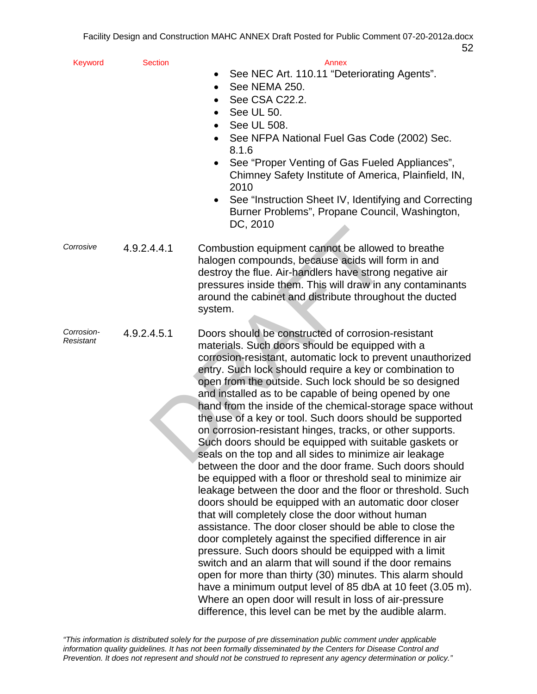| Keyword                 | <b>Section</b> | Annex                                                                                                                                                                                                                                                                                                                                                                                                                                                                                                                                                                                                                                                                                                                                                                                                                                                                                                                                                                                                                                                                                                                                                                                                                                                                                                                                                                                                                                                      |
|-------------------------|----------------|------------------------------------------------------------------------------------------------------------------------------------------------------------------------------------------------------------------------------------------------------------------------------------------------------------------------------------------------------------------------------------------------------------------------------------------------------------------------------------------------------------------------------------------------------------------------------------------------------------------------------------------------------------------------------------------------------------------------------------------------------------------------------------------------------------------------------------------------------------------------------------------------------------------------------------------------------------------------------------------------------------------------------------------------------------------------------------------------------------------------------------------------------------------------------------------------------------------------------------------------------------------------------------------------------------------------------------------------------------------------------------------------------------------------------------------------------------|
|                         |                | See NEC Art. 110.11 "Deteriorating Agents".                                                                                                                                                                                                                                                                                                                                                                                                                                                                                                                                                                                                                                                                                                                                                                                                                                                                                                                                                                                                                                                                                                                                                                                                                                                                                                                                                                                                                |
|                         |                | See NEMA 250.                                                                                                                                                                                                                                                                                                                                                                                                                                                                                                                                                                                                                                                                                                                                                                                                                                                                                                                                                                                                                                                                                                                                                                                                                                                                                                                                                                                                                                              |
|                         |                | See CSA C22.2.                                                                                                                                                                                                                                                                                                                                                                                                                                                                                                                                                                                                                                                                                                                                                                                                                                                                                                                                                                                                                                                                                                                                                                                                                                                                                                                                                                                                                                             |
|                         |                | See UL 50.                                                                                                                                                                                                                                                                                                                                                                                                                                                                                                                                                                                                                                                                                                                                                                                                                                                                                                                                                                                                                                                                                                                                                                                                                                                                                                                                                                                                                                                 |
|                         |                | See UL 508.                                                                                                                                                                                                                                                                                                                                                                                                                                                                                                                                                                                                                                                                                                                                                                                                                                                                                                                                                                                                                                                                                                                                                                                                                                                                                                                                                                                                                                                |
|                         |                | See NFPA National Fuel Gas Code (2002) Sec.<br>8.1.6                                                                                                                                                                                                                                                                                                                                                                                                                                                                                                                                                                                                                                                                                                                                                                                                                                                                                                                                                                                                                                                                                                                                                                                                                                                                                                                                                                                                       |
|                         |                | See "Proper Venting of Gas Fueled Appliances",<br>$\bullet$<br>Chimney Safety Institute of America, Plainfield, IN,<br>2010                                                                                                                                                                                                                                                                                                                                                                                                                                                                                                                                                                                                                                                                                                                                                                                                                                                                                                                                                                                                                                                                                                                                                                                                                                                                                                                                |
|                         |                | See "Instruction Sheet IV, Identifying and Correcting<br>٠<br>Burner Problems", Propane Council, Washington,<br>DC, 2010                                                                                                                                                                                                                                                                                                                                                                                                                                                                                                                                                                                                                                                                                                                                                                                                                                                                                                                                                                                                                                                                                                                                                                                                                                                                                                                                   |
|                         |                |                                                                                                                                                                                                                                                                                                                                                                                                                                                                                                                                                                                                                                                                                                                                                                                                                                                                                                                                                                                                                                                                                                                                                                                                                                                                                                                                                                                                                                                            |
| Corrosive               | 4.9.2.4.4.1    | Combustion equipment cannot be allowed to breathe<br>halogen compounds, because acids will form in and<br>destroy the flue. Air-handlers have strong negative air<br>pressures inside them. This will draw in any contaminants<br>around the cabinet and distribute throughout the ducted<br>system.                                                                                                                                                                                                                                                                                                                                                                                                                                                                                                                                                                                                                                                                                                                                                                                                                                                                                                                                                                                                                                                                                                                                                       |
| Corrosion-<br>Resistant | 4.9.2.4.5.1    | Doors should be constructed of corrosion-resistant<br>materials. Such doors should be equipped with a<br>corrosion-resistant, automatic lock to prevent unauthorized<br>entry. Such lock should require a key or combination to<br>open from the outside. Such lock should be so designed<br>and installed as to be capable of being opened by one<br>hand from the inside of the chemical-storage space without<br>the use of a key or tool. Such doors should be supported<br>on corrosion-resistant hinges, tracks, or other supports.<br>Such doors should be equipped with suitable gaskets or<br>seals on the top and all sides to minimize air leakage<br>between the door and the door frame. Such doors should<br>be equipped with a floor or threshold seal to minimize air<br>leakage between the door and the floor or threshold. Such<br>doors should be equipped with an automatic door closer<br>that will completely close the door without human<br>assistance. The door closer should be able to close the<br>door completely against the specified difference in air<br>pressure. Such doors should be equipped with a limit<br>switch and an alarm that will sound if the door remains<br>open for more than thirty (30) minutes. This alarm should<br>have a minimum output level of 85 dbA at 10 feet (3.05 m).<br>Where an open door will result in loss of air-pressure<br>difference, this level can be met by the audible alarm. |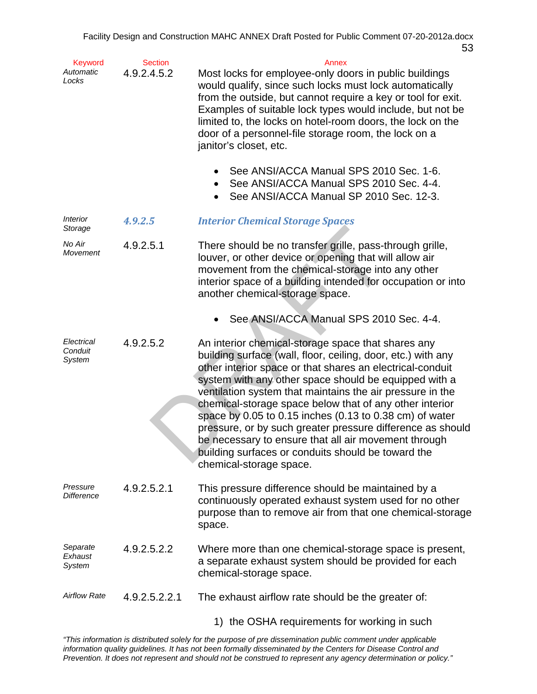| Keyword<br>Automatic<br>Locks   | <b>Section</b><br>4.9.2.4.5.2 | Annex<br>Most locks for employee-only doors in public buildings<br>would qualify, since such locks must lock automatically<br>from the outside, but cannot require a key or tool for exit.<br>Examples of suitable lock types would include, but not be<br>limited to, the locks on hotel-room doors, the lock on the<br>door of a personnel-file storage room, the lock on a<br>janitor's closet, etc.                                                                                                                                                                                                                            |
|---------------------------------|-------------------------------|------------------------------------------------------------------------------------------------------------------------------------------------------------------------------------------------------------------------------------------------------------------------------------------------------------------------------------------------------------------------------------------------------------------------------------------------------------------------------------------------------------------------------------------------------------------------------------------------------------------------------------|
|                                 |                               | See ANSI/ACCA Manual SPS 2010 Sec. 1-6.<br>See ANSI/ACCA Manual SPS 2010 Sec. 4-4.<br>See ANSI/ACCA Manual SP 2010 Sec. 12-3.                                                                                                                                                                                                                                                                                                                                                                                                                                                                                                      |
| <b>Interior</b><br>Storage      | 4.9.2.5                       | <b>Interior Chemical Storage Spaces</b>                                                                                                                                                                                                                                                                                                                                                                                                                                                                                                                                                                                            |
| No Air<br>Movement              | 4.9.2.5.1                     | There should be no transfer grille, pass-through grille,<br>louver, or other device or opening that will allow air<br>movement from the chemical-storage into any other<br>interior space of a building intended for occupation or into<br>another chemical-storage space.                                                                                                                                                                                                                                                                                                                                                         |
|                                 |                               | See ANSI/ACCA Manual SPS 2010 Sec. 4-4.                                                                                                                                                                                                                                                                                                                                                                                                                                                                                                                                                                                            |
| Electrical<br>Conduit<br>System | 4.9.2.5.2                     | An interior chemical-storage space that shares any<br>building surface (wall, floor, ceiling, door, etc.) with any<br>other interior space or that shares an electrical-conduit<br>system with any other space should be equipped with a<br>ventilation system that maintains the air pressure in the<br>chemical-storage space below that of any other interior<br>space by 0.05 to 0.15 inches (0.13 to 0.38 cm) of water<br>pressure, or by such greater pressure difference as should<br>be necessary to ensure that all air movement through<br>building surfaces or conduits should be toward the<br>chemical-storage space. |
| Pressure<br><b>Difference</b>   | 4.9.2.5.2.1                   | This pressure difference should be maintained by a<br>continuously operated exhaust system used for no other<br>purpose than to remove air from that one chemical-storage<br>space.                                                                                                                                                                                                                                                                                                                                                                                                                                                |
| Separate<br>Exhaust<br>System   | 4.9.2.5.2.2                   | Where more than one chemical-storage space is present,<br>a separate exhaust system should be provided for each<br>chemical-storage space.                                                                                                                                                                                                                                                                                                                                                                                                                                                                                         |
| <b>Airflow Rate</b>             | 4.9.2.5.2.2.1                 | The exhaust airflow rate should be the greater of:                                                                                                                                                                                                                                                                                                                                                                                                                                                                                                                                                                                 |
|                                 |                               | 1) the OSHA requirements for working in such                                                                                                                                                                                                                                                                                                                                                                                                                                                                                                                                                                                       |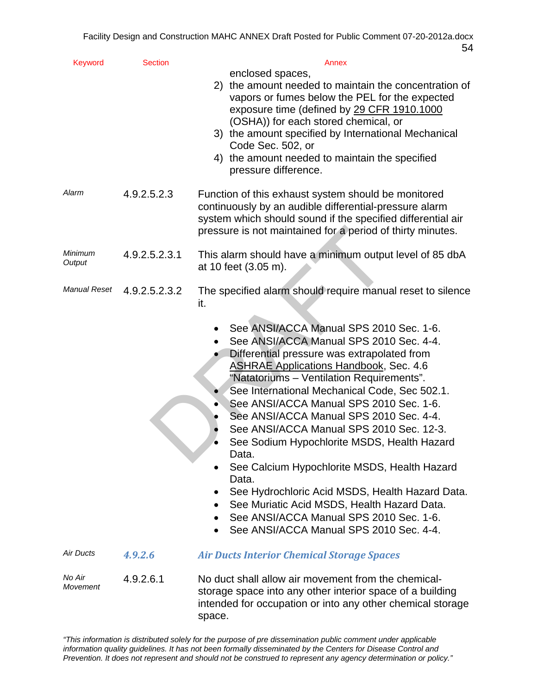| Keyword            | <b>Section</b> | Annex<br>enclosed spaces,                                                                                                                                                                                                                                                                                                                                                                                                                                                                                                                                                                                                                                                                                                   |
|--------------------|----------------|-----------------------------------------------------------------------------------------------------------------------------------------------------------------------------------------------------------------------------------------------------------------------------------------------------------------------------------------------------------------------------------------------------------------------------------------------------------------------------------------------------------------------------------------------------------------------------------------------------------------------------------------------------------------------------------------------------------------------------|
|                    |                | 2) the amount needed to maintain the concentration of<br>vapors or fumes below the PEL for the expected<br>exposure time (defined by 29 CFR 1910.1000                                                                                                                                                                                                                                                                                                                                                                                                                                                                                                                                                                       |
|                    |                | (OSHA)) for each stored chemical, or<br>3) the amount specified by International Mechanical<br>Code Sec. 502, or                                                                                                                                                                                                                                                                                                                                                                                                                                                                                                                                                                                                            |
|                    |                | 4) the amount needed to maintain the specified<br>pressure difference.                                                                                                                                                                                                                                                                                                                                                                                                                                                                                                                                                                                                                                                      |
| Alarm              | 4.9.2.5.2.3    | Function of this exhaust system should be monitored<br>continuously by an audible differential-pressure alarm<br>system which should sound if the specified differential air<br>pressure is not maintained for a period of thirty minutes.                                                                                                                                                                                                                                                                                                                                                                                                                                                                                  |
| Minimum<br>Output  | 4.9.2.5.2.3.1  | This alarm should have a minimum output level of 85 dbA<br>at 10 feet (3.05 m).                                                                                                                                                                                                                                                                                                                                                                                                                                                                                                                                                                                                                                             |
| Manual Reset       | 4.9.2.5.2.3.2  | The specified alarm should require manual reset to silence<br>it.                                                                                                                                                                                                                                                                                                                                                                                                                                                                                                                                                                                                                                                           |
|                    |                | See ANSI/ACCA Manual SPS 2010 Sec. 1-6.<br>See ANSI/ACCA Manual SPS 2010 Sec. 4-4.<br>Differential pressure was extrapolated from<br><b>ASHRAE Applications Handbook, Sec. 4.6</b><br>"Natatoriums - Ventilation Requirements".<br>See International Mechanical Code, Sec 502.1.<br>See ANSI/ACCA Manual SPS 2010 Sec. 1-6.<br>See ANSI/ACCA Manual SPS 2010 Sec. 4-4.<br>See ANSI/ACCA Manual SPS 2010 Sec. 12-3.<br>See Sodium Hypochlorite MSDS, Health Hazard<br>Data.<br>See Calcium Hypochlorite MSDS, Health Hazard<br>Data.<br>See Hydrochloric Acid MSDS, Health Hazard Data.<br>See Muriatic Acid MSDS, Health Hazard Data.<br>See ANSI/ACCA Manual SPS 2010 Sec. 1-6.<br>See ANSI/ACCA Manual SPS 2010 Sec. 4-4. |
| Air Ducts          | 4.9.2.6        | <b>Air Ducts Interior Chemical Storage Spaces</b>                                                                                                                                                                                                                                                                                                                                                                                                                                                                                                                                                                                                                                                                           |
| No Air<br>Movement | 4.9.2.6.1      | No duct shall allow air movement from the chemical-<br>storage space into any other interior space of a building<br>intended for occupation or into any other chemical storage<br>space.                                                                                                                                                                                                                                                                                                                                                                                                                                                                                                                                    |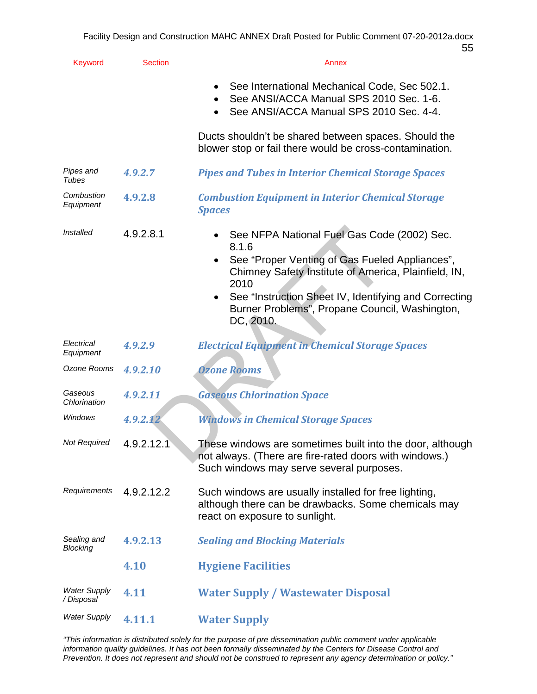| Keyword                           | <b>Section</b> | Annex                                                                                                                                                                                                                                                                                                       |
|-----------------------------------|----------------|-------------------------------------------------------------------------------------------------------------------------------------------------------------------------------------------------------------------------------------------------------------------------------------------------------------|
|                                   |                | See International Mechanical Code, Sec 502.1.<br>See ANSI/ACCA Manual SPS 2010 Sec. 1-6.<br>See ANSI/ACCA Manual SPS 2010 Sec. 4-4.                                                                                                                                                                         |
|                                   |                | Ducts shouldn't be shared between spaces. Should the<br>blower stop or fail there would be cross-contamination.                                                                                                                                                                                             |
| Pipes and<br>Tubes                | 4.9.2.7        | <b>Pipes and Tubes in Interior Chemical Storage Spaces</b>                                                                                                                                                                                                                                                  |
| Combustion<br>Equipment           | 4.9.2.8        | <b>Combustion Equipment in Interior Chemical Storage</b><br><b>Spaces</b>                                                                                                                                                                                                                                   |
| Installed                         | 4.9.2.8.1      | See NFPA National Fuel Gas Code (2002) Sec.<br>8.1.6<br>See "Proper Venting of Gas Fueled Appliances",<br>Chimney Safety Institute of America, Plainfield, IN,<br>2010<br>See "Instruction Sheet IV, Identifying and Correcting<br>$\bullet$<br>Burner Problems", Propane Council, Washington,<br>DC, 2010. |
| Electrical<br>Equipment           | 4.9.2.9        | <b>Electrical Equipment in Chemical Storage Spaces</b>                                                                                                                                                                                                                                                      |
| Ozone Rooms                       | 4.9.2.10       | <b>Ozone Rooms</b>                                                                                                                                                                                                                                                                                          |
| Gaseous<br>Chlorination           | 4.9.2.11       | <b>Gaseous Chlorination Space</b>                                                                                                                                                                                                                                                                           |
| Windows                           | 4.9.2.12       | <b>Windows in Chemical Storage Spaces</b>                                                                                                                                                                                                                                                                   |
| Not Required                      | 4.9.2.12.1     | These windows are sometimes built into the door, although<br>not always. (There are fire-rated doors with windows.)<br>Such windows may serve several purposes.                                                                                                                                             |
| Requirements                      | 4.9.2.12.2     | Such windows are usually installed for free lighting,<br>although there can be drawbacks. Some chemicals may<br>react on exposure to sunlight.                                                                                                                                                              |
| Sealing and<br>Blocking           | 4.9.2.13       | <b>Sealing and Blocking Materials</b>                                                                                                                                                                                                                                                                       |
|                                   | 4.10           | <b>Hygiene Facilities</b>                                                                                                                                                                                                                                                                                   |
| <b>Water Supply</b><br>/ Disposal | 4.11           | <b>Water Supply / Wastewater Disposal</b>                                                                                                                                                                                                                                                                   |
| <b>Water Supply</b>               | 4.11.1         | <b>Water Supply</b>                                                                                                                                                                                                                                                                                         |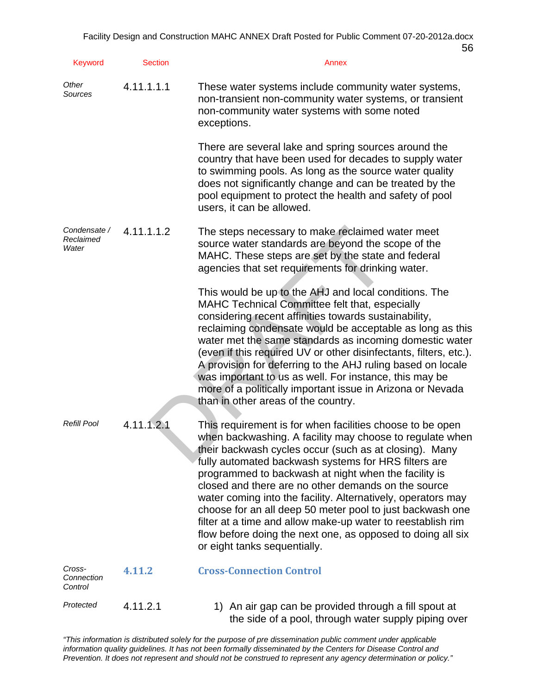| Keyword                            | <b>Section</b> | Annex                                                                                                                                                                                                                                                                                                                                                                                                                                                                                                                                                                                                                                             |
|------------------------------------|----------------|---------------------------------------------------------------------------------------------------------------------------------------------------------------------------------------------------------------------------------------------------------------------------------------------------------------------------------------------------------------------------------------------------------------------------------------------------------------------------------------------------------------------------------------------------------------------------------------------------------------------------------------------------|
| Other<br>Sources                   | 4.11.1.1.1     | These water systems include community water systems,<br>non-transient non-community water systems, or transient<br>non-community water systems with some noted<br>exceptions.                                                                                                                                                                                                                                                                                                                                                                                                                                                                     |
|                                    |                | There are several lake and spring sources around the<br>country that have been used for decades to supply water<br>to swimming pools. As long as the source water quality<br>does not significantly change and can be treated by the<br>pool equipment to protect the health and safety of pool<br>users, it can be allowed.                                                                                                                                                                                                                                                                                                                      |
| Condensate /<br>Reclaimed<br>Water | 4.11.1.1.2     | The steps necessary to make reclaimed water meet<br>source water standards are beyond the scope of the<br>MAHC. These steps are set by the state and federal<br>agencies that set requirements for drinking water.                                                                                                                                                                                                                                                                                                                                                                                                                                |
|                                    |                | This would be up to the AHJ and local conditions. The<br><b>MAHC Technical Committee felt that, especially</b><br>considering recent affinities towards sustainability,<br>reclaiming condensate would be acceptable as long as this<br>water met the same standards as incoming domestic water<br>(even if this required UV or other disinfectants, filters, etc.).<br>A provision for deferring to the AHJ ruling based on locale<br>was important to us as well. For instance, this may be<br>more of a politically important issue in Arizona or Nevada<br>than in other areas of the country.                                                |
| <b>Refill Pool</b>                 | 4.11.1.2.1     | This requirement is for when facilities choose to be open<br>when backwashing. A facility may choose to regulate when<br>their backwash cycles occur (such as at closing). Many<br>fully automated backwash systems for HRS filters are<br>programmed to backwash at night when the facility is<br>closed and there are no other demands on the source<br>water coming into the facility. Alternatively, operators may<br>choose for an all deep 50 meter pool to just backwash one<br>filter at a time and allow make-up water to reestablish rim<br>flow before doing the next one, as opposed to doing all six<br>or eight tanks sequentially. |
| Cross-<br>Connection<br>Control    | 4.11.2         | <b>Cross-Connection Control</b>                                                                                                                                                                                                                                                                                                                                                                                                                                                                                                                                                                                                                   |
| Protected                          | 4.11.2.1       | 1) An air gap can be provided through a fill spout at<br>the side of a pool, through water supply piping over                                                                                                                                                                                                                                                                                                                                                                                                                                                                                                                                     |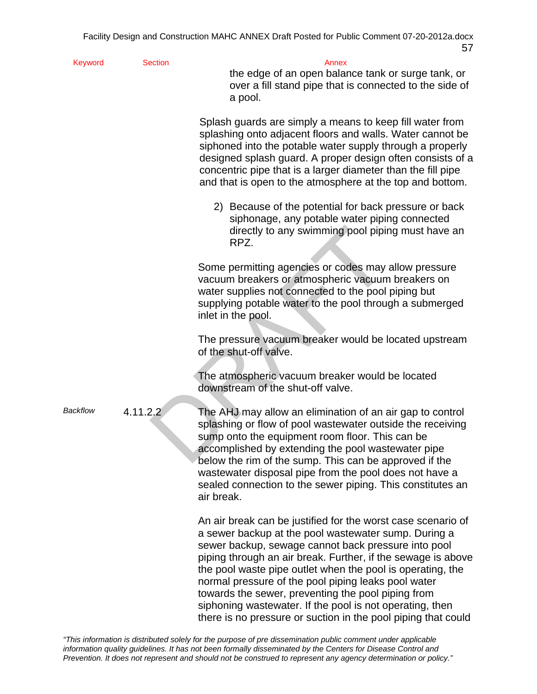Keyword Section **Section** Annex

the edge of an open balance tank or surge tank, or over a fill stand pipe that is connected to the side of a pool.

Splash guards are simply a means to keep fill water from splashing onto adjacent floors and walls. Water cannot be siphoned into the potable water supply through a properly designed splash guard. A proper design often consists of a concentric pipe that is a larger diameter than the fill pipe and that is open to the atmosphere at the top and bottom.

2) Because of the potential for back pressure or back siphonage, any potable water piping connected directly to any swimming pool piping must have an RPZ.

Some permitting agencies or codes may allow pressure vacuum breakers or atmospheric vacuum breakers on water supplies not connected to the pool piping but supplying potable water to the pool through a submerged inlet in the pool.

The pressure vacuum breaker would be located upstream of the shut-off valve.

The atmospheric vacuum breaker would be located downstream of the shut-off valve.

directly to any swimming pool pipin<br>
RPZ.<br>
Some permitting agencies or codes may<br>
vacuum breakers or atmospheric vacuum<br>
water supplies not connected to the pool<br>
supplying potable water to the pool throu<br>
inlet in the poo *Backflow* 4.11.2.2 The AHJ may allow an elimination of an air gap to control splashing or flow of pool wastewater outside the receiving sump onto the equipment room floor. This can be accomplished by extending the pool wastewater pipe below the rim of the sump. This can be approved if the wastewater disposal pipe from the pool does not have a sealed connection to the sewer piping. This constitutes an air break.

> An air break can be justified for the worst case scenario of a sewer backup at the pool wastewater sump. During a sewer backup, sewage cannot back pressure into pool piping through an air break. Further, if the sewage is above the pool waste pipe outlet when the pool is operating, the normal pressure of the pool piping leaks pool water towards the sewer, preventing the pool piping from siphoning wastewater. If the pool is not operating, then there is no pressure or suction in the pool piping that could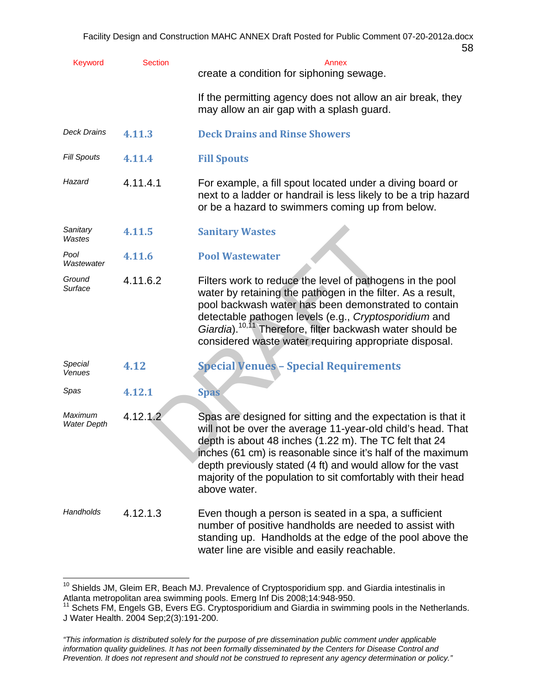| ۰.<br>۰.<br>M.<br>-<br>× |  |
|--------------------------|--|
|--------------------------|--|

| <b>Keyword</b>                | <b>Section</b> | Annex<br>create a condition for siphoning sewage.                                                                                                                                                                                                                                                                                                                                                    |
|-------------------------------|----------------|------------------------------------------------------------------------------------------------------------------------------------------------------------------------------------------------------------------------------------------------------------------------------------------------------------------------------------------------------------------------------------------------------|
|                               |                | If the permitting agency does not allow an air break, they<br>may allow an air gap with a splash guard.                                                                                                                                                                                                                                                                                              |
| <b>Deck Drains</b>            | 4.11.3         | <b>Deck Drains and Rinse Showers</b>                                                                                                                                                                                                                                                                                                                                                                 |
| <b>Fill Spouts</b>            | 4.11.4         | <b>Fill Spouts</b>                                                                                                                                                                                                                                                                                                                                                                                   |
| Hazard                        | 4.11.4.1       | For example, a fill spout located under a diving board or<br>next to a ladder or handrail is less likely to be a trip hazard<br>or be a hazard to swimmers coming up from below.                                                                                                                                                                                                                     |
| Sanitary<br>Wastes            | 4.11.5         | <b>Sanitary Wastes</b>                                                                                                                                                                                                                                                                                                                                                                               |
| Pool<br>Wastewater            | 4.11.6         | <b>Pool Wastewater</b>                                                                                                                                                                                                                                                                                                                                                                               |
| Ground<br>Surface             | 4.11.6.2       | Filters work to reduce the level of pathogens in the pool<br>water by retaining the pathogen in the filter. As a result,<br>pool backwash water has been demonstrated to contain<br>detectable pathogen levels (e.g., Cryptosporidium and<br>Giardia). <sup>10,11</sup> Therefore, filter backwash water should be<br>considered waste water requiring appropriate disposal.                         |
| Special<br>Venues             | 4.12           | <b>Special Venues - Special Requirements</b>                                                                                                                                                                                                                                                                                                                                                         |
| Spas                          | 4.12.1         | <b>Spas</b>                                                                                                                                                                                                                                                                                                                                                                                          |
| Maximum<br><b>Water Depth</b> | 4.12.1.2       | Spas are designed for sitting and the expectation is that it<br>will not be over the average 11-year-old child's head. That<br>depth is about 48 inches (1.22 m). The TC felt that 24<br>inches (61 cm) is reasonable since it's half of the maximum<br>depth previously stated (4 ft) and would allow for the vast<br>majority of the population to sit comfortably with their head<br>above water. |
| Handholds                     | 4.12.1.3       | Even though a person is seated in a spa, a sufficient<br>number of positive handholds are needed to assist with<br>standing up. Handholds at the edge of the pool above the<br>water line are visible and easily reachable.                                                                                                                                                                          |

 $10$  Shields JM, Gleim ER, Beach MJ. Prevalence of Cryptosporidium spp. and Giardia intestinalis in Atlanta metropolitan area swimming pools. Emerg Inf Dis 2008;14:948-950.<br><sup>11</sup> Schets FM, Engels GB, Evers EG. Cryptosporidium and Giardia in swimming pools in the Netherlands.

1

J Water Health. 2004 Sep;2(3):191-200.

*<sup>&</sup>quot;This information is distributed solely for the purpose of pre dissemination public comment under applicable information quality guidelines. It has not been formally disseminated by the Centers for Disease Control and Prevention. It does not represent and should not be construed to represent any agency determination or policy."*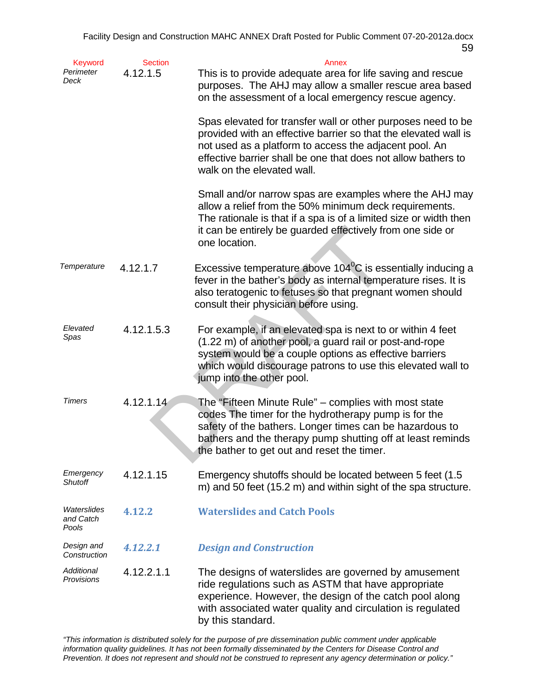| <b>Keyword</b><br>Perimeter<br>Deck | <b>Section</b><br>4.12.1.5 | Annex<br>This is to provide adequate area for life saving and rescue<br>purposes. The AHJ may allow a smaller rescue area based<br>on the assessment of a local emergency rescue agency.                                                                                                 |
|-------------------------------------|----------------------------|------------------------------------------------------------------------------------------------------------------------------------------------------------------------------------------------------------------------------------------------------------------------------------------|
|                                     |                            | Spas elevated for transfer wall or other purposes need to be<br>provided with an effective barrier so that the elevated wall is<br>not used as a platform to access the adjacent pool. An<br>effective barrier shall be one that does not allow bathers to<br>walk on the elevated wall. |
|                                     |                            | Small and/or narrow spas are examples where the AHJ may<br>allow a relief from the 50% minimum deck requirements.<br>The rationale is that if a spa is of a limited size or width then<br>it can be entirely be guarded effectively from one side or<br>one location.                    |
| Temperature                         | 4.12.1.7                   | Excessive temperature above $104\degree$ C is essentially inducing a<br>fever in the bather's body as internal temperature rises. It is<br>also teratogenic to fetuses so that pregnant women should<br>consult their physician before using.                                            |
| Elevated<br>Spas                    | 4.12.1.5.3                 | For example, if an elevated spa is next to or within 4 feet<br>(1.22 m) of another pool, a guard rail or post-and-rope<br>system would be a couple options as effective barriers<br>which would discourage patrons to use this elevated wall to<br>jump into the other pool.             |
| <b>Timers</b>                       | 4.12.1.14                  | The "Fifteen Minute Rule" – complies with most state<br>codes The timer for the hydrotherapy pump is for the<br>safety of the bathers. Longer times can be hazardous to<br>bathers and the therapy pump shutting off at least reminds<br>the bather to get out and reset the timer.      |
| Emergency<br><b>Shutoff</b>         | 4.12.1.15                  | Emergency shutoffs should be located between 5 feet (1.5)<br>m) and 50 feet (15.2 m) and within sight of the spa structure.                                                                                                                                                              |
| Waterslides<br>and Catch<br>Pools   | 4.12.2                     | <b>Waterslides and Catch Pools</b>                                                                                                                                                                                                                                                       |
| Design and<br>Construction          | 4.12.2.1                   | <b>Design and Construction</b>                                                                                                                                                                                                                                                           |
| Additional<br>Provisions            | 4.12.2.1.1                 | The designs of waterslides are governed by amusement<br>ride regulations such as ASTM that have appropriate<br>experience. However, the design of the catch pool along<br>with associated water quality and circulation is regulated<br>by this standard.                                |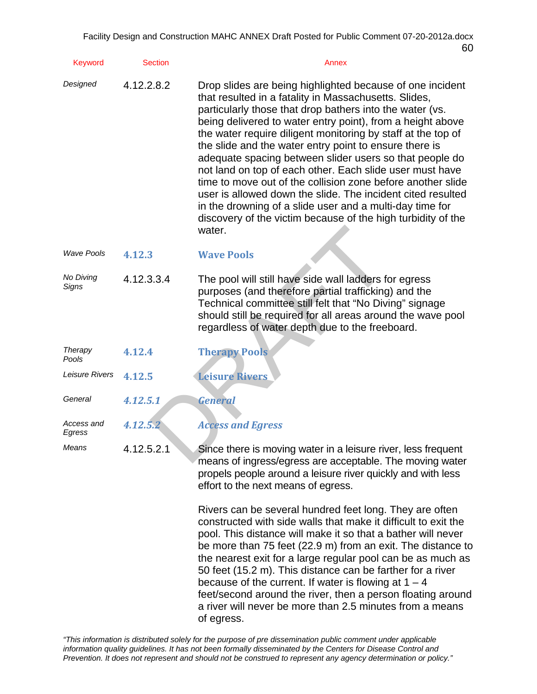| <b>Keyword</b>            | <b>Section</b> | Annex                                                                                                                                                                                                                                                                                                                                                                                                                                                                                                                                                                                                                                                                                                                                                             |
|---------------------------|----------------|-------------------------------------------------------------------------------------------------------------------------------------------------------------------------------------------------------------------------------------------------------------------------------------------------------------------------------------------------------------------------------------------------------------------------------------------------------------------------------------------------------------------------------------------------------------------------------------------------------------------------------------------------------------------------------------------------------------------------------------------------------------------|
| Designed                  | 4.12.2.8.2     | Drop slides are being highlighted because of one incident<br>that resulted in a fatality in Massachusetts. Slides,<br>particularly those that drop bathers into the water (vs.<br>being delivered to water entry point), from a height above<br>the water require diligent monitoring by staff at the top of<br>the slide and the water entry point to ensure there is<br>adequate spacing between slider users so that people do<br>not land on top of each other. Each slide user must have<br>time to move out of the collision zone before another slide<br>user is allowed down the slide. The incident cited resulted<br>in the drowning of a slide user and a multi-day time for<br>discovery of the victim because of the high turbidity of the<br>water. |
| <b>Wave Pools</b>         | 4.12.3         | <b>Wave Pools</b>                                                                                                                                                                                                                                                                                                                                                                                                                                                                                                                                                                                                                                                                                                                                                 |
| No Diving<br><b>Signs</b> | 4.12.3.3.4     | The pool will still have side wall ladders for egress<br>purposes (and therefore partial trafficking) and the<br>Technical committee still felt that "No Diving" signage<br>should still be required for all areas around the wave pool<br>regardless of water depth due to the freeboard.                                                                                                                                                                                                                                                                                                                                                                                                                                                                        |
| Therapy<br>Pools          | 4.12.4         | <b>Therapy Pools</b>                                                                                                                                                                                                                                                                                                                                                                                                                                                                                                                                                                                                                                                                                                                                              |
| Leisure Rivers            | 4.12.5         | <b>Leisure Rivers</b>                                                                                                                                                                                                                                                                                                                                                                                                                                                                                                                                                                                                                                                                                                                                             |
| General                   | 4.12.5.1       | <b>General</b>                                                                                                                                                                                                                                                                                                                                                                                                                                                                                                                                                                                                                                                                                                                                                    |
| Access and<br>Egress      | 4.12.5.2       | <b>Access and Egress</b>                                                                                                                                                                                                                                                                                                                                                                                                                                                                                                                                                                                                                                                                                                                                          |
| Means                     | 4.12.5.2.1     | Since there is moving water in a leisure river, less frequent<br>means of ingress/egress are acceptable. The moving water<br>propels people around a leisure river quickly and with less<br>effort to the next means of egress.                                                                                                                                                                                                                                                                                                                                                                                                                                                                                                                                   |
|                           |                | Rivers can be several hundred feet long. They are often<br>constructed with side walls that make it difficult to exit the<br>pool. This distance will make it so that a bather will never<br>be more than 75 feet (22.9 m) from an exit. The distance to<br>the nearest exit for a large regular pool can be as much as<br>50 feet (15.2 m). This distance can be farther for a river<br>because of the current. If water is flowing at $1 - 4$<br>feet/second around the river, then a person floating around<br>a river will never be more than 2.5 minutes from a means<br>of egress.                                                                                                                                                                          |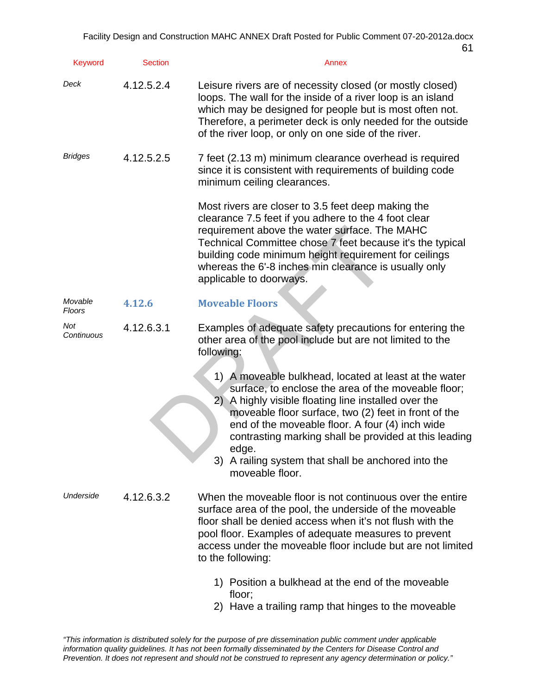| <b>Keyword</b>    | <b>Section</b> | Annex                                                                                                                                                                                                                                                                                                                                                                                                                             |
|-------------------|----------------|-----------------------------------------------------------------------------------------------------------------------------------------------------------------------------------------------------------------------------------------------------------------------------------------------------------------------------------------------------------------------------------------------------------------------------------|
| Deck              | 4.12.5.2.4     | Leisure rivers are of necessity closed (or mostly closed)<br>loops. The wall for the inside of a river loop is an island<br>which may be designed for people but is most often not.<br>Therefore, a perimeter deck is only needed for the outside<br>of the river loop, or only on one side of the river.                                                                                                                         |
| <b>Bridges</b>    | 4.12.5.2.5     | 7 feet (2.13 m) minimum clearance overhead is required<br>since it is consistent with requirements of building code<br>minimum ceiling clearances.                                                                                                                                                                                                                                                                                |
|                   |                | Most rivers are closer to 3.5 feet deep making the<br>clearance 7.5 feet if you adhere to the 4 foot clear<br>requirement above the water surface. The MAHC<br>Technical Committee chose 7 feet because it's the typical<br>building code minimum height requirement for ceilings<br>whereas the 6'-8 inches min clearance is usually only<br>applicable to doorways.                                                             |
| Movable<br>Floors | 4.12.6         | <b>Moveable Floors</b>                                                                                                                                                                                                                                                                                                                                                                                                            |
| Not<br>Continuous | 4.12.6.3.1     | Examples of adequate safety precautions for entering the<br>other area of the pool include but are not limited to the<br>following:                                                                                                                                                                                                                                                                                               |
|                   |                | 1) A moveable bulkhead, located at least at the water<br>surface, to enclose the area of the moveable floor;<br>2)<br>A highly visible floating line installed over the<br>moveable floor surface, two (2) feet in front of the<br>end of the moveable floor. A four (4) inch wide<br>contrasting marking shall be provided at this leading<br>edge.<br>3)<br>A railing system that shall be anchored into the<br>moveable floor. |
| Underside         | 4.12.6.3.2     | When the moveable floor is not continuous over the entire<br>surface area of the pool, the underside of the moveable<br>floor shall be denied access when it's not flush with the<br>pool floor. Examples of adequate measures to prevent<br>access under the moveable floor include but are not limited<br>to the following:                                                                                                     |
|                   |                | 1) Position a bulkhead at the end of the moveable<br>floor;                                                                                                                                                                                                                                                                                                                                                                       |

2) Have a trailing ramp that hinges to the moveable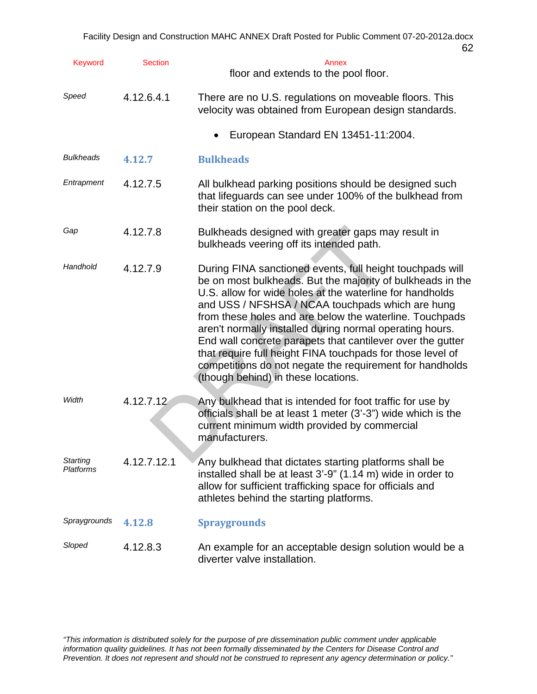| Keyword               | <b>Section</b> | Annex<br>floor and extends to the pool floor.                                                                                                                                                                                                                                                                                                                                                                                                                                                                                                                                                 |
|-----------------------|----------------|-----------------------------------------------------------------------------------------------------------------------------------------------------------------------------------------------------------------------------------------------------------------------------------------------------------------------------------------------------------------------------------------------------------------------------------------------------------------------------------------------------------------------------------------------------------------------------------------------|
| Speed                 | 4.12.6.4.1     | There are no U.S. regulations on moveable floors. This<br>velocity was obtained from European design standards.                                                                                                                                                                                                                                                                                                                                                                                                                                                                               |
|                       |                | European Standard EN 13451-11:2004.                                                                                                                                                                                                                                                                                                                                                                                                                                                                                                                                                           |
| <b>Bulkheads</b>      | 4.12.7         | <b>Bulkheads</b>                                                                                                                                                                                                                                                                                                                                                                                                                                                                                                                                                                              |
| Entrapment            | 4.12.7.5       | All bulkhead parking positions should be designed such<br>that lifeguards can see under 100% of the bulkhead from<br>their station on the pool deck.                                                                                                                                                                                                                                                                                                                                                                                                                                          |
| Gap                   | 4.12.7.8       | Bulkheads designed with greater gaps may result in<br>bulkheads veering off its intended path.                                                                                                                                                                                                                                                                                                                                                                                                                                                                                                |
| Handhold              | 4.12.7.9       | During FINA sanctioned events, full height touchpads will<br>be on most bulkheads. But the majority of bulkheads in the<br>U.S. allow for wide holes at the waterline for handholds<br>and USS / NFSHSA / NCAA touchpads which are hung<br>from these holes and are below the waterline. Touchpads<br>aren't normally installed during normal operating hours.<br>End wall concrete parapets that cantilever over the gutter<br>that require full height FINA touchpads for those level of<br>competitions do not negate the requirement for handholds<br>(though behind) in these locations. |
| Width                 | 4.12.7.12      | Any bulkhead that is intended for foot traffic for use by<br>officials shall be at least 1 meter (3'-3") wide which is the<br>current minimum width provided by commercial<br>manufacturers.                                                                                                                                                                                                                                                                                                                                                                                                  |
| Starting<br>Platforms | 4.12.7.12.1    | Any bulkhead that dictates starting platforms shall be<br>installed shall be at least 3'-9" (1.14 m) wide in order to<br>allow for sufficient trafficking space for officials and<br>athletes behind the starting platforms.                                                                                                                                                                                                                                                                                                                                                                  |
| Spraygrounds          | 4.12.8         | <b>Spraygrounds</b>                                                                                                                                                                                                                                                                                                                                                                                                                                                                                                                                                                           |
| Sloped                | 4.12.8.3       | An example for an acceptable design solution would be a<br>diverter valve installation.                                                                                                                                                                                                                                                                                                                                                                                                                                                                                                       |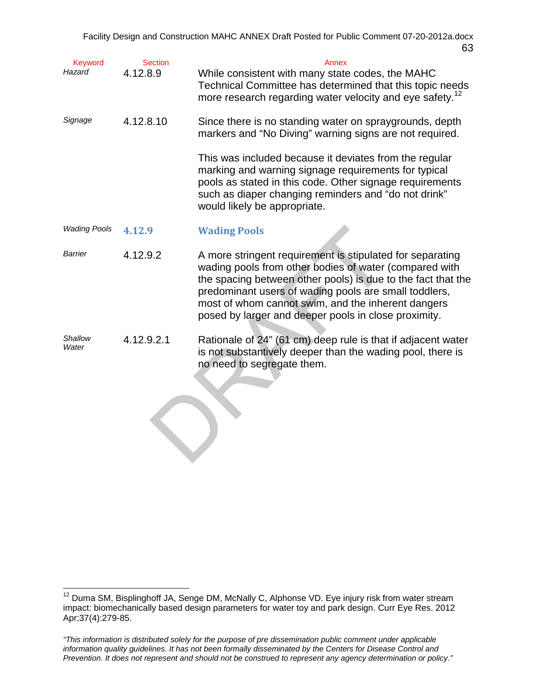| Keyword<br>Hazard   | <b>Section</b><br>4.12.8.9 | Annex<br>While consistent with many state codes, the MAHC<br>Technical Committee has determined that this topic needs<br>more research regarding water velocity and eye safety. <sup>12</sup>                                                                                                                                                              |
|---------------------|----------------------------|------------------------------------------------------------------------------------------------------------------------------------------------------------------------------------------------------------------------------------------------------------------------------------------------------------------------------------------------------------|
| Signage             | 4.12.8.10                  | Since there is no standing water on spraygrounds, depth<br>markers and "No Diving" warning signs are not required.                                                                                                                                                                                                                                         |
|                     |                            | This was included because it deviates from the regular<br>marking and warning signage requirements for typical<br>pools as stated in this code. Other signage requirements<br>such as diaper changing reminders and "do not drink"<br>would likely be appropriate.                                                                                         |
| <b>Wading Pools</b> | 4.12.9                     | <b>Wading Pools</b>                                                                                                                                                                                                                                                                                                                                        |
| Barrier             | 4.12.9.2                   | A more stringent requirement is stipulated for separating<br>wading pools from other bodies of water (compared with<br>the spacing between other pools) is due to the fact that the<br>predominant users of wading pools are small toddlers,<br>most of whom cannot swim, and the inherent dangers<br>posed by larger and deeper pools in close proximity. |
| Shallow<br>Water    | 4.12.9.2.1                 | Rationale of 24" (61 cm) deep rule is that if adjacent water<br>is not substantively deeper than the wading pool, there is<br>no need to segregate them.                                                                                                                                                                                                   |

 $\overline{a}$ 

 $12$  Duma SM, Bisplinghoff JA, Senge DM, McNally C, Alphonse VD. Eye injury risk from water stream impact: biomechanically based design parameters for water toy and park design. Curr Eye Res. 2012 Apr;37(4):279-85.

*<sup>&</sup>quot;This information is distributed solely for the purpose of pre dissemination public comment under applicable information quality guidelines. It has not been formally disseminated by the Centers for Disease Control and Prevention. It does not represent and should not be construed to represent any agency determination or policy."*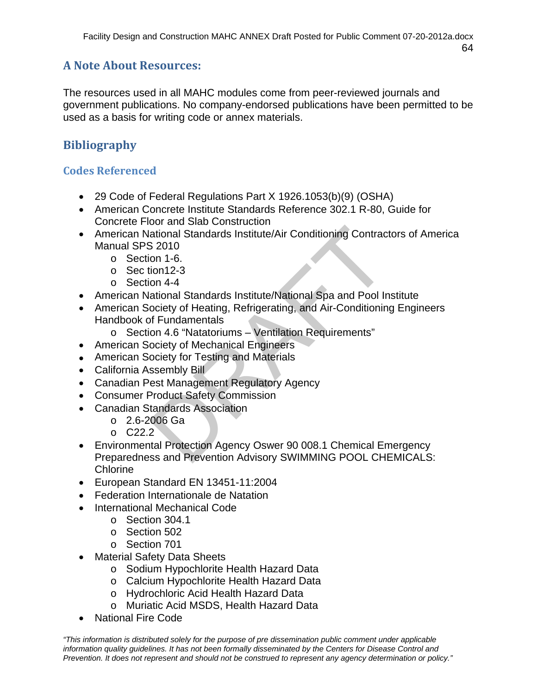# **A Note About Resources:**

The resources used in all MAHC modules come from peer-reviewed journals and government publications. No company-endorsed publications have been permitted to be used as a basis for writing code or annex materials.

# **Bibliography**

## **Codes Referenced**

- 29 Code of Federal Regulations Part X 1926.1053(b)(9) (OSHA)
- American Concrete Institute Standards Reference 302.1 R-80, Guide for Concrete Floor and Slab Construction
- ational Standards Institute/Air Conditioning Contractional Standards Institute/Air Conditioning Contraction 2010<br>
2010<br>
2010<br>
2010<br>
2012-3<br>
2012<br>
2012<br>
2012<br>
2012<br>
2012<br>
2012<br>
2012<br>
2012<br>
2014<br>
2014<br>
2014<br>
2014<br>
2016<br>
21 P American National Standards Institute/Air Conditioning Contractors of America Manual SPS 2010
	- o Section 1-6.
	- o Sec tion12-3
	- o Section 4-4
- American National Standards Institute/National Spa and Pool Institute
- American Society of Heating, Refrigerating, and Air-Conditioning Engineers Handbook of Fundamentals
	- o Section 4.6 "Natatoriums Ventilation Requirements"
- American Society of Mechanical Engineers
- American Society for Testing and Materials
- California Assembly Bill
- Canadian Pest Management Regulatory Agency
- Consumer Product Safety Commission
- Canadian Standards Association
	- $O$  2.6-2006 Ga
	- o C22.2
- Environmental Protection Agency Oswer 90 008.1 Chemical Emergency Preparedness and Prevention Advisory SWIMMING POOL CHEMICALS: **Chlorine**
- European Standard EN 13451-11:2004
- Federation Internationale de Natation
- International Mechanical Code
	- o Section 304.1
	- o Section 502
	- o Section 701
- Material Safety Data Sheets
	- o Sodium Hypochlorite Health Hazard Data
	- o Calcium Hypochlorite Health Hazard Data
	- o Hydrochloric Acid Health Hazard Data
	- o Muriatic Acid MSDS, Health Hazard Data
- National Fire Code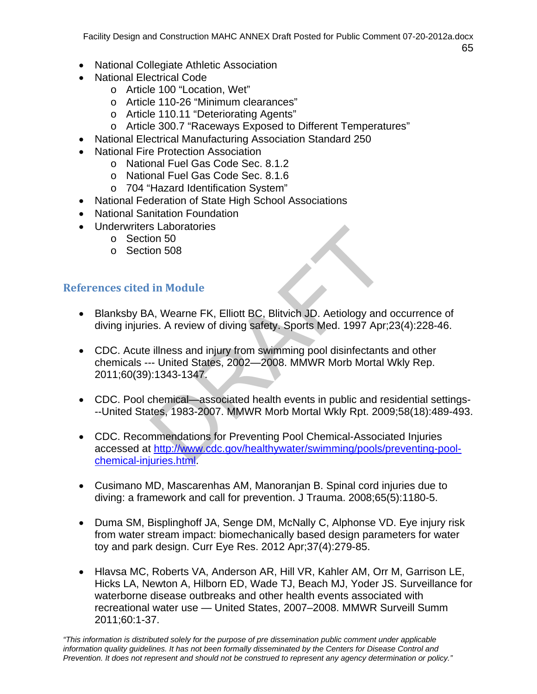- National Collegiate Athletic Association
- National Electrical Code
	- o Article 100 "Location, Wet"
	- o Article 110-26 "Minimum clearances"
	- o Article 110.11 "Deteriorating Agents"
	- o Article 300.7 "Raceways Exposed to Different Temperatures"
- National Electrical Manufacturing Association Standard 250
- National Fire Protection Association
	- o National Fuel Gas Code Sec. 8.1.2
	- o National Fuel Gas Code Sec. 8.1.6
	- o 704 "Hazard Identification System"
- National Federation of State High School Associations
- National Sanitation Foundation
- Underwriters Laboratories
	- o Section 50
	- o Section 508

### **References cited in Module**

- Blanksby BA, Wearne FK, Elliott BC, Blitvich JD. Aetiology and occurrence of diving injuries. A review of diving safety. Sports Med. 1997 Apr;23(4):228-46.
- s Laboratories<br>
in Module<br>
A, Wearne FK, Elliott BC, Blitvich JD. Aetiology and<br>
S. A review of diving safety. Sports Med. 1997 Apr;<br>
illness and injury from swimming pool disinfectants<br>
-- United States, 2002—2008. MMWR M CDC. Acute illness and injury from swimming pool disinfectants and other chemicals --- United States, 2002—2008. MMWR Morb Mortal Wkly Rep. 2011;60(39):1343-1347.
- CDC. Pool chemical—associated health events in public and residential settings---United States, 1983-2007. MMWR Morb Mortal Wkly Rpt. 2009;58(18):489-493.
- CDC. Recommendations for Preventing Pool Chemical-Associated Injuries accessed at http://www.cdc.gov/healthywater/swimming/pools/preventing-poolchemical-injuries.html.
- Cusimano MD, Mascarenhas AM, Manoranjan B. Spinal cord injuries due to diving: a framework and call for prevention. J Trauma. 2008;65(5):1180-5.
- Duma SM, Bisplinghoff JA, Senge DM, McNally C, Alphonse VD. Eye injury risk from water stream impact: biomechanically based design parameters for water toy and park design. Curr Eye Res. 2012 Apr;37(4):279-85.
- Hlavsa MC, Roberts VA, Anderson AR, Hill VR, Kahler AM, Orr M, Garrison LE, Hicks LA, Newton A, Hilborn ED, Wade TJ, Beach MJ, Yoder JS. Surveillance for waterborne disease outbreaks and other health events associated with recreational water use — United States, 2007–2008. MMWR Surveill Summ 2011;60:1-37.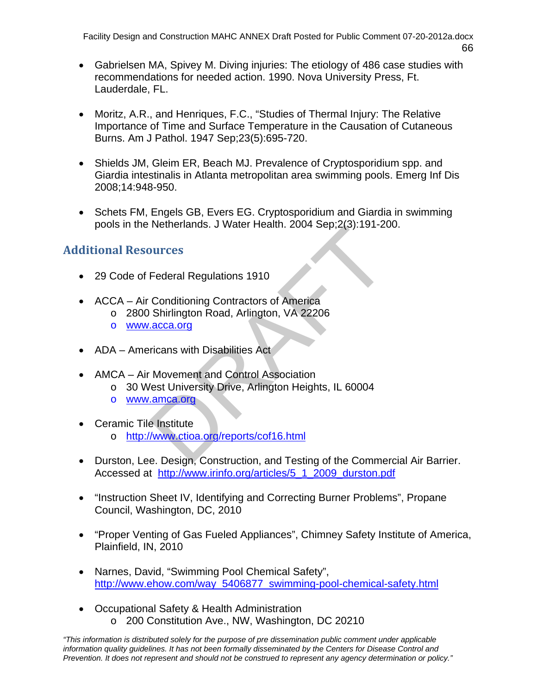- Gabrielsen MA, Spivey M. Diving injuries: The etiology of 486 case studies with recommendations for needed action. 1990. Nova University Press, Ft. Lauderdale, FL.
- Moritz, A.R., and Henriques, F.C., "Studies of Thermal Injury: The Relative Importance of Time and Surface Temperature in the Causation of Cutaneous Burns. Am J Pathol. 1947 Sep;23(5):695-720.
- Shields JM, Gleim ER, Beach MJ. Prevalence of Cryptosporidium spp. and Giardia intestinalis in Atlanta metropolitan area swimming pools. Emerg Inf Dis 2008;14:948-950.
- Schets FM, Engels GB, Evers EG. Cryptosporidium and Giardia in swimming pools in the Netherlands. J Water Health. 2004 Sep;2(3):191-200.

## **Additional Resources**

- 29 Code of Federal Regulations 1910
- ACCA Air Conditioning Contractors of America
	- o 2800 Shirlington Road, Arlington, VA 22206
	- o www.acca.org
- ADA Americans with Disabilities Act
- AMCA Air Movement and Control Association
- Netrierianius. J Water Health. 2004 Sep, 2(3).191-20<br>
Durces<br>
Federal Regulations 1910<br>
Conditioning Contractors of America<br>
Shirlington Road, Arlington, VA 22206<br>
<u>acca.org</u><br>
ricans with Disabilities Act<br>
Movement and Con o 30 West University Drive, Arlington Heights, IL 60004
	- o www.amca.org
- Ceramic Tile Institute
	- o http://www.ctioa.org/reports/cof16.html
- Durston, Lee. Design, Construction, and Testing of the Commercial Air Barrier. Accessed at http://www.irinfo.org/articles/5\_1\_2009\_durston.pdf
- "Instruction Sheet IV, Identifying and Correcting Burner Problems", Propane Council, Washington, DC, 2010
- "Proper Venting of Gas Fueled Appliances", Chimney Safety Institute of America, Plainfield, IN, 2010
- Narnes, David, "Swimming Pool Chemical Safety", http://www.ehow.com/way\_5406877\_swimming-pool-chemical-safety.html
- Occupational Safety & Health Administration o 200 Constitution Ave., NW, Washington, DC 20210